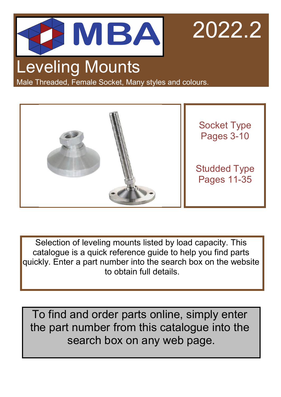

2022.2

# Leveling Mounts

Male Threaded, Female Socket, Many styles and colours.



Selection of leveling mounts listed by load capacity. This catalogue is a quick reference guide to help you find parts quickly. Enter a part number into the search box on the website to obtain full details.

To find and order parts online, simply enter the part number from this catalogue into the search box on any web page.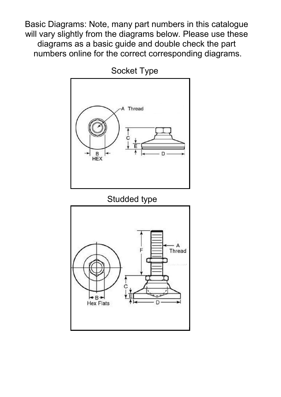Basic Diagrams: Note, many part numbers in this catalogue will vary slightly from the diagrams below. Please use these diagrams as a basic guide and double check the part numbers online for the correct corresponding diagrams.



Socket Type

### Studded type

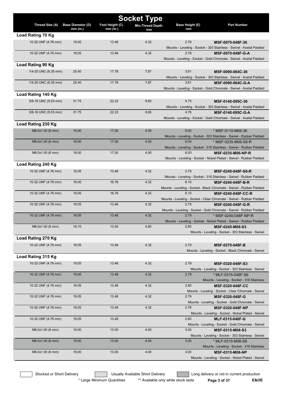|                      |                          |                 | <b>Socket Type</b>      |                        |                                                                                          |
|----------------------|--------------------------|-----------------|-------------------------|------------------------|------------------------------------------------------------------------------------------|
| Thread Size (A)      | <b>Base Diameter (D)</b> | Foot Height (C) | <b>Min.Thread Depth</b> | <b>Base Height (E)</b> | <b>Part Number</b>                                                                       |
| Load Rating 70 Kg    | $mm$ (in.)               | $mm$ (in.)      | mm                      | mm                     |                                                                                          |
| 10-32 UNF (4.76 mm)  | 19.05                    | 13.46           | 4.32                    | 2.79                   |                                                                                          |
|                      |                          |                 |                         |                        | MSF-0070-048F-36<br>Mounts - Leveling - Socket - 303 Stainless - Swivel - Acetal Padded  |
| 10-32 UNF (4.76 mm)  | 19.05                    | 13.46           | 4.32                    | 2.79                   | MSF-0070-048F-G-A                                                                        |
|                      |                          |                 |                         |                        | Mounts - Leveling - Socket - Gold Chromate - Swivel - Acetal Padded                      |
| Load Rating 90 Kg    |                          |                 |                         |                        |                                                                                          |
|                      |                          |                 |                         |                        |                                                                                          |
| 1/4-20 UNC (6.35 mm) | 25.40                    | 17.78           | 7.87                    | 3.81                   | MSF-0090-064C-36                                                                         |
| 1/4-20 UNC (6.35 mm) | 25.40                    | 17.78           | 7.87                    | 3.81                   | Mounts - Leveling - Socket - 303 Stainless - Swivel - Acetal Padded<br>MSF-0090-064C-G-A |
|                      |                          |                 |                         |                        | Mounts - Leveling - Socket - Gold Chromate - Swivel - Acetal Padded                      |
|                      |                          |                 |                         |                        |                                                                                          |
| Load Rating 140 Kg   |                          |                 |                         |                        |                                                                                          |
| 3/8-16 UNC (9.53 mm) | 31.75                    | 22.23           | 9.65                    | 4.75                   | MSF-0140-095C-36                                                                         |
|                      |                          |                 |                         |                        | Mounts - Leveling - Socket - 303 Stainless - Swivel - Acetal Padded                      |
| 3/8-16 UNC (9.53 mm) | 31.75                    | 22.23           | 9.65                    | 4.76                   | MSF-0140-095C-G-A                                                                        |
|                      |                          |                 |                         |                        | Mounts - Leveling - Socket - Gold Chromate - Swivel - Acetal Padded                      |
| Load Rating 230 Kg   |                          |                 |                         |                        |                                                                                          |
| M6.0x1.00 (6 mm)     | 19.00                    | 17.00           | 4.00                    | 6.00                   | * MSF-0110-M06-36                                                                        |
|                      |                          |                 |                         |                        | Mounts - Leveling - Socket - 303 Stainless - Swivel - Rubber Padded                      |
| M6.0x1.00 (6 mm)     | 19.00                    | 17.00           | 4.00                    | 6.00                   | * MSF-0235-M06-S6-R                                                                      |
|                      |                          |                 |                         |                        | Mounts - Leveling - Socket - 316 Stainless - Swivel - Rubber Padded                      |
| M6.0x1.00 (6 mm)     | 19.00                    | 17.00           | 4.00                    | 6.00                   | <b>MSF-0235-M06-NP-R</b>                                                                 |
|                      |                          |                 |                         |                        | Mounts - Leveling - Socket - Nickel Plated - Swivel - Rubber Padded                      |
| Load Rating 240 Kg   |                          |                 |                         |                        |                                                                                          |
| 10-32 UNF (4.76 mm)  | 19.05                    | 13.46           | 4.32                    | 2.79                   | MSF-0240-048F-S6-R                                                                       |
|                      |                          |                 |                         |                        | Mounts - Leveling - Socket - 316 Stainless - Swivel - Rubber Padded                      |
| 10-32 UNF (4.76 mm)  | 19.05                    | 16.76           | 4.32                    | 6.10                   | MSF-0240-048F-B-R                                                                        |
|                      |                          |                 |                         |                        | Mounts - Leveling - Socket - Black Chromate - Swivel - Rubber Padded                     |
| 10-32 UNF (4.76 mm)  | 19.05                    | 16.76           | 4.32                    | 6.10                   | MSF-0240-048F-CC-R                                                                       |
|                      |                          |                 |                         |                        | Mounts - Leveling - Socket - Clear Chromate - Swivel - Rubber Padded                     |
| 10-32 UNF (4.76 mm)  | 19.05                    | 13.46           | 4.32                    | 2.79                   | MSF-0240-048F-G-R                                                                        |
|                      |                          |                 |                         |                        | Mounts - Leveling - Socket - Gold Chromate - Swivel - Rubber Padded                      |
| 10-32 UNF (4.76 mm)  | 19.05                    | 13.46           | 4.32                    | 2.79                   | * MSF-0240-048F-NP-R                                                                     |
| M6.0x1.00 (6 mm)     | 19.10                    | 13.50           | 5.80                    | 2.80                   | Mounts - Leveling - Socket - Nickel Plated - Swivel - Rubber Padded                      |
|                      |                          |                 |                         |                        | MSF-0245-M06-S3                                                                          |
|                      |                          |                 |                         |                        | Mounts - Leveling - Socket - 303 Stainless - Swivel                                      |
| Load Rating 270 Kg   |                          |                 |                         |                        |                                                                                          |
| 10-32 UNF (4.76 mm)  | 19.05                    | 13.46           | 4.32                    | 2.79                   | <b>MSF-0270-048F-B</b>                                                                   |
|                      |                          |                 |                         |                        | Mounts - Leveling - Socket - Black Chromate - Swivel                                     |
| Load Rating 315 Kg   |                          |                 |                         |                        |                                                                                          |
| 10-32 UNF (4.76 mm)  | 19.05                    | 13.46           | 4.32                    | 2.79                   | MSF-0320-048F-S3                                                                         |
|                      |                          |                 |                         |                        | Mounts - Leveling - Socket - 303 Stainless - Swivel                                      |
| 10-32 UNF (4.76 mm)  | 19.05                    | 13.46           | 4.32                    | 2.79                   | * MLF-0315-048F-S6                                                                       |
|                      |                          |                 |                         |                        | Mounts - Leveling - Socket - 316 Stainless                                               |
| 10-32 UNF (4.76 mm)  | 19.05                    | 13.46           | 4.32                    | 2.80                   | <b>MSF-0320-048F-CC</b>                                                                  |
|                      |                          |                 |                         |                        | Mounts - Leveling - Socket - Clear Chromate - Swivel                                     |
| 10-32 UNF (4.76 mm)  | 19.05                    | 13.46           | 4.32                    | 2.79                   | MSF-0320-048F-G                                                                          |
|                      |                          |                 |                         |                        | Mounts - Leveling - Socket - Gold Chromate - Swivel                                      |
| 10-32 UNF (4.76 mm)  | 19.05                    | 13.49           | 4.32                    | 2.78                   | MSF-0320-048F-NP                                                                         |
|                      |                          |                 |                         |                        | Mounts - Leveling - Socket - Nickel Plated - Swivel                                      |
| 10-32 UNF (4.76 mm)  | 19.05                    | 13.49           |                         | 2.80                   | MLF-0315-048F-G                                                                          |
|                      |                          |                 |                         |                        | Mounts - Leveling - Socket - Gold Chromate - Swivel                                      |
| M6.0x1.00 (6 mm)     | 19.00                    | 13.00           | 4.00                    | 3.00                   | <b>MSF-0315-M06-S3</b>                                                                   |
| M6.0x1.00 (6 mm)     | 19.00                    | 13.00           | 4.00                    | 3.00                   | Mounts - Leveling - Socket - 303 Stainless - Swivel                                      |
|                      |                          |                 |                         |                        | * MLF-0315-M06-S6<br>Mounts - Leveling - Socket - 316 Stainless                          |
| M6.0x1.00 (6 mm)     | 19.00                    | 13.00           | 4.00                    | 3.00                   | <b>MSF-0315-M06-NP</b>                                                                   |
|                      |                          |                 |                         |                        | Mounts - Leveling - Socket - Nickel Plated - Swivel                                      |
|                      |                          |                 |                         |                        |                                                                                          |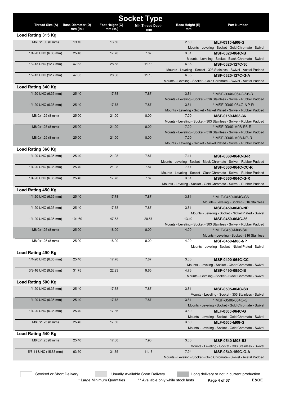|                       |                          |                 | <b>Socket Type</b>       |                        |                                                                                |
|-----------------------|--------------------------|-----------------|--------------------------|------------------------|--------------------------------------------------------------------------------|
| Thread Size (A)       | <b>Base Diameter (D)</b> | Foot Height (C) | <b>Min. Thread Depth</b> | <b>Base Height (E)</b> | <b>Part Number</b>                                                             |
| Load Rating 315 Kg    | mm (in.)                 | $mm$ (in.)      | mm                       | mm                     |                                                                                |
|                       |                          |                 |                          |                        |                                                                                |
| M6.0x1.00 (6 mm)      | 19.10                    | 13.50           |                          | 2.80                   | MLF-0315-M06-G                                                                 |
| 1/4-20 UNC (6.35 mm)  | 25.40                    | 17.78           | 7.87                     | 3.81                   | Mounts - Leveling - Socket - Gold Chromate - Swivel<br>MSF-0320-064C-B         |
|                       |                          |                 |                          |                        | Mounts - Leveling - Socket - Black Chromate - Swivel                           |
| 1/2-13 UNC (12.7 mm)  | 47.63                    | 28.58           | 11.18                    | 6.35                   | MSF-0320-127C-36                                                               |
|                       |                          |                 |                          |                        | Mounts - Leveling - Socket - 303 Stainless - Swivel - Acetal Padded            |
| 1/2-13 UNC (12.7 mm)  | 47.63                    | 28.58           | 11.18                    | 6.35                   | MSF-0320-127C-G-A                                                              |
|                       |                          |                 |                          |                        | Mounts - Leveling - Socket - Gold Chromate - Swivel - Acetal Padded            |
| Load Rating 340 Kg    |                          |                 |                          |                        |                                                                                |
| 1/4-20 UNC (6.35 mm)  | 25.40                    | 17.78           | 7.87                     | 3.81                   | * MSF-0340-064C-S6-R                                                           |
|                       |                          |                 |                          |                        | Mounts - Leveling - Socket - 316 Stainless - Swivel - Rubber Padded            |
| 1/4-20 UNC (6.35 mm)  | 25.40                    | 17.78           | 7.87                     | 3.81                   | * MSF-0340-064C-NP-R                                                           |
|                       |                          |                 |                          |                        | Mounts - Leveling - Socket - Nickel Plated - Swivel - Rubber Padded            |
| M8.0x1.25 (8 mm)      | 25.00                    | 21.00           | 8.00                     | 7.00                   | MSF-0150-M08-36                                                                |
|                       |                          |                 |                          |                        | Mounts - Leveling - Socket - 303 Stainless - Swivel - Rubber Padded            |
| M8.0x1.25 (8 mm)      | 25.00                    | 21.00           | 8.00                     | 7.00                   | * MSF-0340-M08-S6-R                                                            |
|                       |                          |                 |                          |                        | Mounts - Leveling - Socket - 316 Stainless - Swivel - Rubber Padded            |
| M8.0x1.25 (8 mm)      | 25.00                    | 21.00           | 8.00                     | 7.00                   | * MSF-0340-M08-NP-R                                                            |
|                       |                          |                 |                          |                        | Mounts - Leveling - Socket - Nickel Plated - Swivel - Rubber Padded            |
| Load Rating 360 Kg    |                          |                 |                          |                        |                                                                                |
| 1/4-20 UNC (6.35 mm)  | 25.40                    | 21.08           | 7.87                     | 7.11                   | <b>MSF-0360-064C-B-R</b>                                                       |
|                       |                          |                 |                          |                        | Mounts - Leveling - Socket - Black Chromate - Swivel - Rubber Padded           |
| 1/4-20 UNC (6.35 mm)  | 25.40                    | 21.08           | 7.87                     | 7.11                   | <b>MSF-0360-064C-CC-R</b>                                                      |
|                       |                          |                 |                          |                        | Mounts - Leveling - Socket - Clear Chromate - Swivel - Rubber Padded           |
| 1/4-20 UNC (6.35 mm)  | 25.40                    | 17.78           | 7.87                     | 3.81                   | MSF-0360-064C-G-R                                                              |
|                       |                          |                 |                          |                        | Mounts - Leveling - Socket - Gold Chromate - Swivel - Rubber Padded            |
| Load Rating 450 Kg    |                          |                 |                          |                        |                                                                                |
| 1/4-20 UNC (6.35 mm)  | 25.40                    | 17.78           | 7.87                     | 3.81                   | * MLF-0450-064C-S6                                                             |
|                       |                          |                 |                          |                        | Mounts - Leveling - Socket - 316 Stainless                                     |
| 1/4-20 UNC (6.35 mm)  | 25.40                    | 17.78           | 7.87                     | 3.81                   | <b>MSF-0450-064C-NP</b><br>Mounts - Leveling - Socket - Nickel Plated - Swivel |
| 1/4-20 UNC (6.35 mm)  | 101.60                   | 47.63           | 20.57                    | 13.49                  | MSF-0450-064C-36                                                               |
|                       |                          |                 |                          |                        | Mounts - Leveling - Socket - 303 Stainless - Swivel - Rubber Padded            |
| M8.0x1.25 (8 mm)      | 25.00                    | 18.00           | 8.00                     | 4.00                   | * MLF-0450-M08-S6                                                              |
|                       |                          |                 |                          |                        | Mounts - Leveling - Socket - 316 Stainless                                     |
| M8.0x1.25 (8 mm)      | 25.00                    | 18.00           | 8.00                     | 4.00                   | MSF-0450-M08-NP                                                                |
|                       |                          |                 |                          |                        | Mounts - Leveling - Socket - Nickel Plated - Swivel                            |
| Load Rating 490 Kg    |                          |                 |                          |                        |                                                                                |
| 1/4-20 UNC (6.35 mm)  | 25.40                    | 17.78           | 7.87                     | 3.80                   | <b>MSF-0490-064C-CC</b>                                                        |
|                       |                          |                 |                          |                        | Mounts - Leveling - Socket - Clear Chromate - Swivel                           |
| 3/8-16 UNC (9.53 mm)  | 31.75                    | 22.23           | 9.65                     | 4.76                   | MSF-0490-095C-B                                                                |
|                       |                          |                 |                          |                        | Mounts - Leveling - Socket - Black Chromate - Swivel                           |
| Load Rating 500 Kg    |                          |                 |                          |                        |                                                                                |
| 1/4-20 UNC (6.35 mm)  | 25.40                    | 17.78           | 7.87                     | 3.81                   | MSF-0505-064C-S3                                                               |
|                       |                          |                 |                          |                        | Mounts - Leveling - Socket - 303 Stainless - Swivel                            |
| 1/4-20 UNC (6.35 mm)  | 25.40                    | 17.78           | 7.87                     | 3.81                   | * MSF-0500-064C-G                                                              |
|                       |                          |                 |                          |                        | Mounts - Leveling - Socket - Gold Chromate - Swivel                            |
| 1/4-20 UNC (6.35 mm)  | 25.40                    | 17.86           |                          | 3.80                   | MLF-0500-064C-G                                                                |
|                       |                          |                 |                          |                        | Mounts - Leveling - Socket - Gold Chromate - Swivel                            |
| M8.0x1.25 (8 mm)      | 25.40                    | 17.80           |                          | 3.80                   | <b>MLF-0500-M08-G</b>                                                          |
|                       |                          |                 |                          |                        | Mounts - Leveling - Socket - Gold Chromate - Swivel                            |
| Load Rating 540 Kg    |                          |                 |                          |                        |                                                                                |
| M8.0x1.25 (8 mm)      | 25.40                    | 17.80           | 7.90                     | 3.80                   | MSF-0540-M08-S3                                                                |
|                       |                          |                 |                          |                        | Mounts - Leveling - Socket - 303 Stainless - Swivel                            |
| 5/8-11 UNC (15.88 mm) | 63.50                    | 31.75           | 11.18                    | 7.94                   | MSF-0540-159C-G-A                                                              |
|                       |                          |                 |                          |                        | Mounts - Leveling - Socket - Gold Chromate - Swivel - Acetal Padded            |

\* Large Minimum Quantities \*\* Available only while stock lasts **Page 4 of 37 E&OE**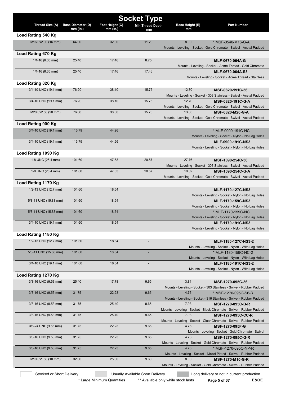|                           |                                        |                               | <b>Socket Type</b>               |                              |                                                                                          |
|---------------------------|----------------------------------------|-------------------------------|----------------------------------|------------------------------|------------------------------------------------------------------------------------------|
| Thread Size (A)           | <b>Base Diameter (D)</b><br>$mm$ (in.) | Foot Height (C)<br>$mm$ (in.) | <b>Min.Thread Depth</b><br>mm    | <b>Base Height (E)</b><br>mm | <b>Part Number</b>                                                                       |
| Load Rating 540 Kg        |                                        |                               |                                  |                              |                                                                                          |
| M16.0x2.00 (16 mm)        | 64.00                                  | 32.00                         | 11.20                            | 8.00                         | * MSF-0540-M16-G-A                                                                       |
|                           |                                        |                               |                                  |                              | Mounts - Leveling - Socket - Gold Chromate - Swivel - Acetal Padded                      |
| Load Rating 670 Kg        |                                        |                               |                                  |                              |                                                                                          |
| $1/4 - 16$ (6.35 mm)      | 25.40                                  | 17.46                         | 8.75                             |                              | MLF-0670-064A-G                                                                          |
|                           |                                        |                               |                                  |                              | Mounts - Leveling - Socket - Acme Thread - Gold Chromate                                 |
| $1/4 - 16$ (6.35 mm)      | 25.40                                  | 17.46                         | 17.46                            |                              | MLF-0670-064A-S3<br>Mounts - Leveling - Socket - Acme Thread - Stainless                 |
| Load Rating 820 Kg        |                                        |                               |                                  |                              |                                                                                          |
| 3/4-10 UNC (19.1 mm)      | 76.20                                  | 38.10                         | 15.75                            | 12.70                        | MSF-0820-191C-36                                                                         |
|                           |                                        |                               |                                  |                              | Mounts - Leveling - Socket - 303 Stainless - Swivel - Acetal Padded                      |
| 3/4-10 UNC (19.1 mm)      | 76.20                                  | 38.10                         | 15.75                            | 12.70                        | MSF-0820-191C-G-A                                                                        |
|                           |                                        |                               |                                  |                              | Mounts - Leveling - Socket - Gold Chromate - Swivel - Acetal Padded                      |
| M20.0x2.50 (20 mm)        | 76.00                                  | 38.00                         | 15.70                            | 13.00                        | MSF-0820-M20-G-A                                                                         |
| Load Rating 900 Kg        |                                        |                               |                                  |                              | Mounts - Leveling - Socket - Gold Chromate - Swivel - Acetal Padded                      |
| 3/4-10 UNC (19.1 mm)      | 113.79                                 | 44.96                         |                                  |                              | * MLF-0900-191C-NC                                                                       |
|                           |                                        |                               |                                  |                              | Mounts - Leveling - Socket - Nylon - No Lag Holes                                        |
| 3/4-10 UNC (19.1 mm)      | 113.79                                 | 44.96                         |                                  |                              | <b>MLF-0900-191C-NS3</b>                                                                 |
|                           |                                        |                               |                                  |                              | Mounts - Leveling - Socket - Nylon - No Lag Holes                                        |
| Load Rating 1090 Kg       |                                        |                               |                                  |                              |                                                                                          |
| 1-8 UNC (25.4 mm)         | 101.60                                 | 47.63                         | 20.57                            | 27.76                        | MSF-1090-254C-36                                                                         |
|                           |                                        |                               |                                  |                              | Mounts - Leveling - Socket - 303 Stainless - Swivel - Acetal Padded                      |
| 1-8 UNC (25.4 mm)         | 101.60                                 | 47.63                         | 20.57                            | 10.32                        | MSF-1090-254C-G-A<br>Mounts - Leveling - Socket - Gold Chromate - Swivel - Acetal Padded |
| Load Rating 1170 Kg       |                                        |                               |                                  |                              |                                                                                          |
| 1/2-13 UNC (12.7 mm)      | 101.60                                 | 18.54                         |                                  |                              | <b>MLF-1170-127C-NS3</b>                                                                 |
|                           |                                        |                               |                                  |                              | Mounts - Leveling - Socket - Nylon - No Lag Holes                                        |
| 5/8-11 UNC (15.88 mm)     | 101.60                                 | 18.54                         |                                  |                              | MLF-1170-159C-NS3                                                                        |
|                           |                                        |                               |                                  |                              | Mounts - Leveling - Socket - Nylon - No Lag Holes                                        |
| 5/8-11 UNC (15.88 mm)     | 101.60                                 | 18.54                         |                                  |                              | * MLF-1170-159C-NC                                                                       |
| 3/4-10 UNC (19.1 mm)      | 101.60                                 | 18.54                         |                                  |                              | Mounts - Leveling - Socket - Nylon - No Lag Holes<br>MLF-1170-191C-NS3                   |
|                           |                                        |                               |                                  |                              | Mounts - Leveling - Socket - Nylon - No Lag Holes                                        |
| Load Rating 1180 Kg       |                                        |                               |                                  |                              |                                                                                          |
| 1/2-13 UNC (12.7 mm)      | 101.60                                 | 18.54                         |                                  |                              | MLF-1180-127C-NS3-2                                                                      |
|                           |                                        |                               |                                  |                              | Mounts - Leveling - Socket - Nylon - With Lag Holes                                      |
| 5/8-11 UNC (15.88 mm)     | 101.60                                 | 18.54                         |                                  |                              | * MLF-1180-159C-NC-2                                                                     |
| 3/4-10 UNC (19.1 mm)      | 101.60                                 | 18.54                         |                                  |                              | Mounts - Leveling - Socket - Nylon - With Lag Holes<br>MLF-1180-191C-NS3-2               |
|                           |                                        |                               |                                  |                              | Mounts - Leveling - Socket - Nylon - With Lag Holes                                      |
| Load Rating 1270 Kg       |                                        |                               |                                  |                              |                                                                                          |
| 3/8-16 UNC (9.53 mm)      | 25.40                                  | 17.78                         | 9.65                             | 3.81                         | MSF-1270-095C-36                                                                         |
|                           |                                        |                               |                                  |                              | Mounts - Leveling - Socket - 303 Stainless - Swivel - Rubber Padded                      |
| 3/8-16 UNC (9.53 mm)      | 31.75                                  | 22.23                         | 9.65                             | 4.76                         | * MSF-1270-095C-S6-R                                                                     |
| 3/8-16 UNC (9.53 mm)      | 31.75                                  | 25.40                         | 9.65                             | 7.93                         | Mounts - Leveling - Socket - 316 Stainless - Swivel - Rubber Padded<br>MSF-1270-095C-B-R |
|                           |                                        |                               |                                  |                              | Mounts - Leveling - Socket - Black Chromate - Swivel - Rubber Padded                     |
| 3/8-16 UNC (9.53 mm)      | 31.75                                  | 25.40                         | 9.65                             | 7.93                         | <b>MSF-1270-095C-CC-R</b>                                                                |
|                           |                                        |                               |                                  |                              | Mounts - Leveling - Socket - Clear Chromate - Swivel - Rubber Padded                     |
| 3/8-24 UNF (9.53 mm)      | 31.75                                  | 22.23                         | 9.65                             | 4.76                         | <b>MSF-1270-095F-G</b>                                                                   |
|                           | 31.75                                  | 22.23                         | 9.65                             | 4.76                         | Mounts - Leveling - Socket - Gold Chromate - Swivel                                      |
| 3/8-16 UNC (9.53 mm)      |                                        |                               |                                  |                              | MSF-1270-095C-G-R<br>Mounts - Leveling - Socket - Gold Chromate - Swivel - Rubber Padded |
| 3/8-16 UNC (9.53 mm)      | 31.75                                  | 22.23                         | 9.65                             | 4.76                         | * MSF-1270-095C-NP-R                                                                     |
|                           |                                        |                               |                                  |                              | Mounts - Leveling - Socket - Nickel Plated - Swivel - Rubber Padded                      |
| M10.0x1.50 (10 mm)        | 32.00                                  | 25.00                         | 9.60                             | 8.00                         | MSF-1270-M10-G-R                                                                         |
|                           |                                        |                               |                                  |                              | Mounts - Leveling - Socket - Gold Chromate - Swivel - Rubber Padded                      |
| Stocked or Short Delivery |                                        |                               | Usually Available Short Delivery |                              | Long delivery or not in current production                                               |

\* Large Minimum Quantities \*\* Available only while stock lasts **Page 5 of 37** E&OE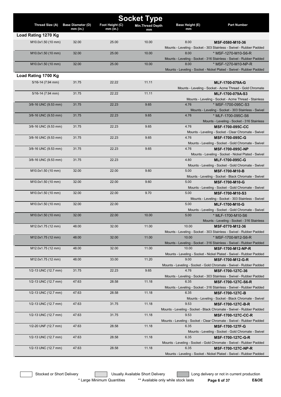| Thread Size (A)       | <b>Base Diameter (D)</b> | Foot Height (C) | <b>Socket Type</b><br><b>Min.Thread Depth</b> | Base Height (E) | <b>Part Number</b>                                                                         |
|-----------------------|--------------------------|-----------------|-----------------------------------------------|-----------------|--------------------------------------------------------------------------------------------|
|                       | $mm$ (in.)               | $mm$ (in.)      | mm                                            | mm              |                                                                                            |
| Load Rating 1270 Kg   |                          |                 |                                               |                 |                                                                                            |
| M10.0x1.50 (10 mm)    | 32.00                    | 25.00           | 10.00                                         | 8.00            | MSF-0580-M10-36                                                                            |
|                       |                          |                 |                                               |                 | Mounts - Leveling - Socket - 303 Stainless - Swivel - Rubber Padded                        |
| M10.0x1.50 (10 mm)    | 32.00                    | 25.00           | 10.00                                         | 8.00            | * MSF-1270-M10-S6-R                                                                        |
|                       |                          |                 |                                               |                 | Mounts - Leveling - Socket - 316 Stainless - Swivel - Rubber Padded                        |
| M10.0x1.50 (10 mm)    | 32.00                    | 25.00           | 10.00                                         | 8.00            | * MSF-1270-M10-NP-R<br>Mounts - Leveling - Socket - Nickel Plated - Swivel - Rubber Padded |
| Load Rating 1700 Kg   |                          |                 |                                               |                 |                                                                                            |
|                       |                          |                 |                                               |                 |                                                                                            |
| $5/16 - 14$ (7.94 mm) | 31.75                    | 22.22           | 11.11                                         |                 | MLF-1700-079A-G                                                                            |
| $5/16 - 14$ (7.94 mm) | 31.75                    | 22.22           | 11.11                                         |                 | Mounts - Leveling - Socket - Acme Thread - Gold Chromate<br>MLF-1700-079A-S3               |
|                       |                          |                 |                                               |                 | Mounts - Leveling - Socket - Acme Thread - Stainless                                       |
| 3/8-16 UNC (9.53 mm)  | 31.75                    | 22.23           | 9.65                                          | 4.76            | * MSF-1700-095C-S3                                                                         |
|                       |                          |                 |                                               |                 | Mounts - Leveling - Socket - 303 Stainless - Swivel                                        |
| 3/8-16 UNC (9.53 mm)  | 31.75                    | 22.23           | 9.65                                          | 4.76            | * MLF-1700-095C-S6                                                                         |
|                       |                          |                 |                                               |                 | Mounts - Leveling - Socket - 316 Stainless                                                 |
| 3/8-16 UNC (9.53 mm)  | 31.75                    | 22.23           | 9.65                                          | 4.76            | <b>MSF-1700-095C-CC</b>                                                                    |
|                       |                          |                 |                                               |                 | Mounts - Leveling - Socket - Clear Chromate - Swivel                                       |
| 3/8-16 UNC (9.53 mm)  | 31.75                    | 22.23           | 9.65                                          | 4.76            | MSF-1700-095C-G                                                                            |
|                       |                          |                 |                                               |                 | Mounts - Leveling - Socket - Gold Chromate - Swivel                                        |
| 3/8-16 UNC (9.53 mm)  | 31.75                    | 22.23           | 9.65                                          | 4.76            | MSF-1700-095C-NP                                                                           |
|                       |                          |                 |                                               |                 | Mounts - Leveling - Socket - Nickel Plated - Swivel                                        |
| 3/8-16 UNC (9.53 mm)  | 31.75                    | 22.23           |                                               | 4.80            | MLF-1700-095C-G                                                                            |
|                       |                          |                 |                                               |                 | Mounts - Leveling - Socket - Gold Chromate - Swivel                                        |
| M10.0x1.50 (10 mm)    | 32.00                    | 22.00           | 9.60                                          | 5.00            | <b>MSF-1700-M10-B</b>                                                                      |
|                       |                          |                 |                                               |                 | Mounts - Leveling - Socket - Black Chromate - Swivel                                       |
| M10.0x1.50 (10 mm)    | 32.00                    | 22.00           | 9.60                                          | 5.00            | <b>MSF-1700-M10-G</b>                                                                      |
|                       |                          |                 |                                               |                 | Mounts - Leveling - Socket - Gold Chromate - Swivel                                        |
| M10.0x1.50 (10 mm)    | 32.00                    | 22.00           | 9.70                                          | 5.00            | MSF-1700-M10-S3                                                                            |
| M10.0x1.50 (10 mm)    | 32.00                    | 22.00           |                                               | 5.00            | Mounts - Leveling - Socket - 303 Stainless - Swivel<br>MLF-1700-M10-G                      |
|                       |                          |                 |                                               |                 | Mounts - Leveling - Socket - Gold Chromate - Swivel                                        |
| M10.0x1.50 (10 mm)    | 32.00                    | 22.00           | 10.00                                         | 5.00            | * MLF-1700-M10-S6                                                                          |
|                       |                          |                 |                                               |                 | Mounts - Leveling - Socket - 316 Stainless                                                 |
| M12.0x1.75 (12 mm)    | 48.00                    | 32.00           | 11.00                                         | 10.00           | MSF-0770-M12-36                                                                            |
|                       |                          |                 |                                               |                 | Mounts - Leveling - Socket - 303 Stainless - Swivel - Rubber Padded                        |
| M12.0x1.75 (12 mm)    | 48.00                    | 32.00           | 11.00                                         | 10.00           | * MSF-1700-M12-S6-R                                                                        |
|                       |                          |                 |                                               |                 | Mounts - Leveling - Socket - 316 Stainless - Swivel - Rubber Padded                        |
| M12.0x1.75 (12 mm)    | 48.00                    | 32.00           | 11.00                                         | 10.00           | <b>MSF-1700-M12-NP-R</b>                                                                   |
|                       |                          |                 |                                               |                 | Mounts - Leveling - Socket - Nickel Plated - Swivel - Rubber Padded                        |
| M12.0x1.75 (12 mm)    | 48.00                    | 33.00           | 11.20                                         | 9.00            | MSF-1700-M12-G-R                                                                           |
|                       |                          |                 |                                               |                 | Mounts - Leveling - Socket - Gold Chromate - Swivel - Rubber Padded                        |
| 1/2-13 UNC (12.7 mm)  | 31.75                    | 22.23           | 9.65                                          | 4.76            | MSF-1700-127C-36                                                                           |
|                       |                          |                 |                                               |                 | Mounts - Leveling - Socket - 303 Stainless - Swivel - Rubber Padded                        |
| 1/2-13 UNC (12.7 mm)  | 47.63                    | 28.58           | 11.18                                         | 6.35            | MSF-1700-127C-S6-R                                                                         |
|                       |                          |                 |                                               | 6.35            | Mounts - Leveling - Socket - 316 Stainless - Swivel - Rubber Padded                        |
| 1/2-13 UNC (12.7 mm)  | 47.63                    | 28.58           | 11.18                                         |                 | <b>MSF-1700-127C-B</b>                                                                     |
| 1/2-13 UNC (12.7 mm)  | 47.63                    | 31.75           | 11.18                                         | 9.53            | Mounts - Leveling - Socket - Black Chromate - Swivel                                       |
|                       |                          |                 |                                               |                 | MSF-1700-127C-B-R<br>Mounts - Leveling - Socket - Black Chromate - Swivel - Rubber Padded  |
| 1/2-13 UNC (12.7 mm)  | 47.63                    | 31.75           | 11.18                                         | 9.53            | <b>MSF-1700-127C-CC-R</b>                                                                  |
|                       |                          |                 |                                               |                 | Mounts - Leveling - Socket - Clear Chromate - Swivel - Rubber Padded                       |
| 1/2-20 UNF (12.7 mm)  | 47.63                    | 28.58           | 11.18                                         | 6.35            | <b>MSF-1700-127F-G</b>                                                                     |
|                       |                          |                 |                                               |                 | Mounts - Leveling - Socket - Gold Chromate - Swivel                                        |
| 1/2-13 UNC (12.7 mm)  | 47.63                    | 28.58           | 11.18                                         | 6.35            | MSF-1700-127C-G-R                                                                          |
|                       |                          |                 |                                               |                 | Mounts - Leveling - Socket - Gold Chromate - Swivel - Rubber Padded                        |
| 1/2-13 UNC (12.7 mm)  | 47.63                    | 28.58           | 11.18                                         | 6.35            | <b>MSF-1700-127C-NP-R</b>                                                                  |
|                       |                          |                 |                                               |                 | Mounts - Leveling - Socket - Nickel Plated - Swivel - Rubber Padded                        |
|                       |                          |                 |                                               |                 |                                                                                            |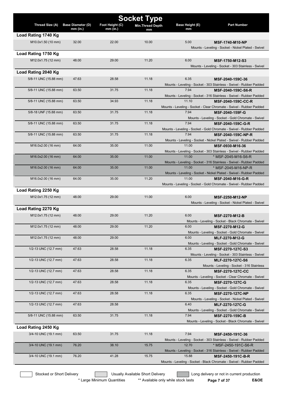|                       |                                      |                               | <b>Socket Type</b>      |                       |                                                                                                   |
|-----------------------|--------------------------------------|-------------------------------|-------------------------|-----------------------|---------------------------------------------------------------------------------------------------|
| Thread Size (A)       | <b>Base Diameter (D)</b><br>mm (in.) | Foot Height (C)<br>$mm$ (in.) | <b>Min.Thread Depth</b> | Base Height (E)<br>mm | <b>Part Number</b>                                                                                |
| Load Rating 1740 Kg   |                                      |                               | mm                      |                       |                                                                                                   |
| M10.0x1.50 (10 mm)    | 32.00                                | 22.00                         | 10.00                   | 5.00                  | <b>MSF-1740-M10-NP</b>                                                                            |
|                       |                                      |                               |                         |                       | Mounts - Leveling - Socket - Nickel Plated - Swivel                                               |
| Load Rating 1750 Kg   |                                      |                               |                         |                       |                                                                                                   |
| M12.0x1.75 (12 mm)    | 48.00                                | 29.00                         | 11.20                   | 6.00                  | MSF-1750-M12-S3                                                                                   |
|                       |                                      |                               |                         |                       | Mounts - Leveling - Socket - 303 Stainless - Swivel                                               |
| Load Rating 2040 Kg   |                                      |                               |                         |                       |                                                                                                   |
| 5/8-11 UNC (15.88 mm) | 47.63                                | 28.58                         | 11.18                   | 6.35                  | MSF-2040-159C-36                                                                                  |
|                       |                                      |                               |                         |                       | Mounts - Leveling - Socket - 303 Stainless - Swivel - Rubber Padded                               |
| 5/8-11 UNC (15.88 mm) | 63.50                                | 31.75                         | 11.18                   | 7.94                  | MSF-2040-159C-S6-R                                                                                |
|                       |                                      |                               |                         |                       | Mounts - Leveling - Socket - 316 Stainless - Swivel - Rubber Padded                               |
| 5/8-11 UNC (15.88 mm) | 63.50                                | 34.93                         | 11.18                   | 11.10                 | <b>MSF-2040-159C-CC-R</b><br>Mounts - Leveling - Socket - Clear Chromate - Swivel - Rubber Padded |
| 5/8-18 UNF (15.88 mm) | 63.50                                | 31.75                         | 11.18                   | 7.94                  | MSF-2040-159F-G                                                                                   |
|                       |                                      |                               |                         |                       | Mounts - Leveling - Socket - Gold Chromate - Swivel                                               |
| 5/8-11 UNC (15.88 mm) | 63.50                                | 31.75                         | 11.18                   | 7.94                  | MSF-2040-159C-G-R                                                                                 |
|                       |                                      |                               |                         |                       | Mounts - Leveling - Socket - Gold Chromate - Swivel - Rubber Padded                               |
| 5/8-11 UNC (15.88 mm) | 63.50                                | 31.75                         | 11.18                   | 7.94                  | <b>MSF-2040-159C-NP-R</b>                                                                         |
| M16.0x2.00 (16 mm)    | 64.00                                | 35.00                         | 11.00                   | 11.00                 | Mounts - Leveling - Socket - Nickel Plated - Swivel - Rubber Padded                               |
|                       |                                      |                               |                         |                       | MSF-0930-M16-36<br>Mounts - Leveling - Socket - 303 Stainless - Swivel - Rubber Padded            |
| M16.0x2.00 (16 mm)    | 64.00                                | 35.00                         | 11.00                   | 11.00                 | * MSF-2045-M16-S6-R                                                                               |
|                       |                                      |                               |                         |                       | Mounts - Leveling - Socket - 316 Stainless - Swivel - Rubber Padded                               |
| M16.0x2.00 (16 mm)    | 64.00                                | 35.00                         | 11.00                   | 11.00                 | * MSF-2045-M16-NP-R                                                                               |
|                       |                                      |                               |                         |                       | Mounts - Leveling - Socket - Nickel Plated - Swivel - Rubber Padded                               |
| M16.0x2.00 (16 mm)    | 64.00                                | 35.00                         | 11.20                   | 11.00                 | MSF-2040-M16-G-R<br>Mounts - Leveling - Socket - Gold Chromate - Swivel - Rubber Padded           |
| Load Rating 2250 Kg   |                                      |                               |                         |                       |                                                                                                   |
| M12.0x1.75 (12 mm)    | 48.00                                | 29.00                         | 11.00                   | 6.00                  | MSF-2250-M12-NP                                                                                   |
|                       |                                      |                               |                         |                       | Mounts - Leveling - Socket - Nickel Plated - Swivel                                               |
| Load Rating 2270 Kg   |                                      |                               |                         |                       |                                                                                                   |
| M12.0x1.75 (12 mm)    | 48.00                                | 29.00                         | 11.20                   | 6.00                  | <b>MSF-2270-M12-B</b>                                                                             |
|                       |                                      |                               |                         |                       | Mounts - Leveling - Socket - Black Chromate - Swivel                                              |
| M12.0x1.75 (12 mm)    | 48.00                                | 29.00                         | 11.20                   | 6.00                  | MSF-2270-M12-G                                                                                    |
|                       |                                      |                               |                         |                       | Mounts - Leveling - Socket - Gold Chromate - Swivel                                               |
| M12.0x1.75 (12 mm)    | 48.00                                | 29.00                         |                         | 6.00                  | MLF-2270-M12-G                                                                                    |
| 1/2-13 UNC (12.7 mm)  | 47.63                                | 28.58                         | 11.18                   | 6.35                  | Mounts - Leveling - Socket - Gold Chromate - Swivel<br>MSF-2270-127C-S3                           |
|                       |                                      |                               |                         |                       | Mounts - Leveling - Socket - 303 Stainless - Swivel                                               |
| 1/2-13 UNC (12.7 mm)  | 47.63                                | 28.58                         | 11.18                   | 6.35                  | MLF-2270-127C-S6                                                                                  |
|                       |                                      |                               |                         |                       | Mounts - Leveling - Socket - 316 Stainless                                                        |
| 1/2-13 UNC (12.7 mm)  | 47.63                                | 28.58                         | 11.18                   | 6.35                  | <b>MSF-2270-127C-CC</b>                                                                           |
|                       |                                      |                               |                         |                       | Mounts - Leveling - Socket - Clear Chromate - Swivel                                              |
| 1/2-13 UNC (12.7 mm)  | 47.63                                | 28.58                         | 11.18                   | 6.35                  | <b>MSF-2270-127C-G</b><br>Mounts - Leveling - Socket - Gold Chromate - Swivel                     |
| 1/2-13 UNC (12.7 mm)  | 47.63                                | 28.58                         | 11.18                   | 6.35                  | <b>MSF-2270-127C-NP</b>                                                                           |
|                       |                                      |                               |                         |                       | Mounts - Leveling - Socket - Nickel Plated - Swivel                                               |
| 1/2-13 UNC (12.7 mm)  | 47.63                                | 28.58                         |                         | 6.40                  | MLF-2270-127C-G                                                                                   |
|                       |                                      |                               |                         |                       | Mounts - Leveling - Socket - Gold Chromate - Swivel                                               |
| 5/8-11 UNC (15.88 mm) | 63.50                                | 31.75                         | 11.18                   | 7.94                  | <b>MSF-2270-159C-B</b>                                                                            |
| Load Rating 2450 Kg   |                                      |                               |                         |                       | Mounts - Leveling - Socket - Black Chromate - Swivel                                              |
|                       |                                      |                               | 11.18                   | 7.94                  |                                                                                                   |
| 3/4-10 UNC (19.1 mm)  | 63.50                                | 31.75                         |                         |                       | MSF-2450-191C-36<br>Mounts - Leveling - Socket - 303 Stainless - Swivel - Rubber Padded           |
| 3/4-10 UNC (19.1 mm)  | 76.20                                | 38.10                         | 15.75                   | 12.70                 | * MSF-2450-191C-S6-R                                                                              |
|                       |                                      |                               |                         |                       | Mounts - Leveling - Socket - 316 Stainless - Swivel - Rubber Padded                               |
| 3/4-10 UNC (19.1 mm)  | 76.20                                | 41.28                         | 15.75                   | 15.88                 | MSF-2450-191C-B-R                                                                                 |
|                       |                                      |                               |                         |                       | Mounts - Leveling - Socket - Black Chromate - Swivel - Rubber Padded                              |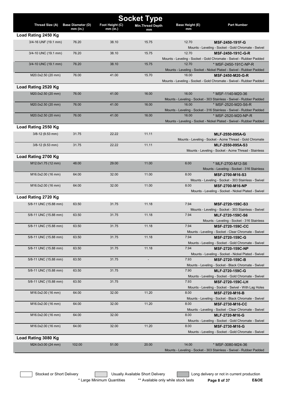| <b>Socket Type</b>    |                          |                 |                          |                 |                                                                                             |
|-----------------------|--------------------------|-----------------|--------------------------|-----------------|---------------------------------------------------------------------------------------------|
| Thread Size (A)       | <b>Base Diameter (D)</b> | Foot Height (C) | <b>Min. Thread Depth</b> | Base Height (E) | <b>Part Number</b>                                                                          |
|                       | mm (in.)                 | $mm$ (in.)      | mm                       | mm              |                                                                                             |
| Load Rating 2450 Kg   |                          |                 |                          |                 |                                                                                             |
| 3/4-16 UNF (19.1 mm)  | 76.20                    | 38.10           | 15.75                    | 12.70           | MSF-2450-191F-G                                                                             |
|                       |                          |                 |                          |                 | Mounts - Leveling - Socket - Gold Chromate - Swivel                                         |
| 3/4-10 UNC (19.1 mm)  | 76.20                    | 38.10           | 15.75                    | 12.70           | MSF-2450-191C-G-R                                                                           |
| 3/4-10 UNC (19.1 mm)  | 76.20                    | 38.10           | 15.75                    | 12.70           | Mounts - Leveling - Socket - Gold Chromate - Swivel - Rubber Padded<br>* MSF-2450-191C-NP-R |
|                       |                          |                 |                          |                 | Mounts - Leveling - Socket - Nickel Plated - Swivel - Rubber Padded                         |
| M20.0x2.50 (20 mm)    | 76.00                    | 41.00           | 15.70                    | 16.00           | MSF-2450-M20-G-R                                                                            |
|                       |                          |                 |                          |                 | Mounts - Leveling - Socket - Gold Chromate - Swivel - Rubber Padded                         |
| Load Rating 2520 Kg   |                          |                 |                          |                 |                                                                                             |
| M20.0x2.50 (20 mm)    | 76.00                    | 41.00           | 16.00                    | 16.00           | * MSF-1140-M20-36                                                                           |
|                       |                          |                 |                          |                 | Mounts - Leveling - Socket - 303 Stainless - Swivel - Rubber Padded                         |
| M20.0x2.50 (20 mm)    | 76.00                    | 41.00           | 16.00                    | 16.00           | * MSF-2520-M20-S6-R                                                                         |
|                       |                          |                 |                          |                 | Mounts - Leveling - Socket - 316 Stainless - Swivel - Rubber Padded                         |
| M20.0x2.50 (20 mm)    | 76.00                    | 41.00           | 16.00                    | 16.00           | * MSF-2520-M20-NP-R                                                                         |
|                       |                          |                 |                          |                 | Mounts - Leveling - Socket - Nickel Plated - Swivel - Rubber Padded                         |
| Load Rating 2550 Kg   |                          |                 |                          |                 |                                                                                             |
| $3/8 - 12$ (9.53 mm)  | 31.75                    | 22.22           | 11.11                    |                 | MLF-2550-095A-G                                                                             |
|                       |                          |                 |                          |                 | Mounts - Leveling - Socket - Acme Thread - Gold Chromate                                    |
| $3/8 - 12$ (9.53 mm)  | 31.75                    | 22.22           | 11.11                    |                 | MLF-2550-095A-S3                                                                            |
|                       |                          |                 |                          |                 | Mounts - Leveling - Socket - Acme Thread - Stainless                                        |
| Load Rating 2700 Kg   |                          |                 |                          |                 |                                                                                             |
| M12.0x1.75 (12 mm)    | 48.00                    | 29.00           | 11.00                    | 6.00            | * MLF-2700-M12-S6                                                                           |
|                       |                          |                 |                          |                 | Mounts - Leveling - Socket - 316 Stainless                                                  |
| M16.0x2.00 (16 mm)    | 64.00                    | 32.00           | 11.00                    | 8.00            | MSF-2700-M16-S3                                                                             |
|                       |                          |                 |                          |                 | Mounts - Leveling - Socket - 303 Stainless - Swivel                                         |
| M16.0x2.00 (16 mm)    | 64.00                    | 32.00           | 11.00                    | 8.00            | <b>MSF-2700-M16-NP</b>                                                                      |
|                       |                          |                 |                          |                 | Mounts - Leveling - Socket - Nickel Plated - Swivel                                         |
| Load Rating 2720 Kg   |                          |                 |                          |                 |                                                                                             |
| 5/8-11 UNC (15.88 mm) | 63.50                    | 31.75           | 11.18                    | 7.94            | MSF-2720-159C-S3                                                                            |
|                       |                          |                 |                          |                 | Mounts - Leveling - Socket - 303 Stainless - Swivel                                         |
| 5/8-11 UNC (15.88 mm) | 63.50                    | 31.75           | 11.18                    | 7.94            | MLF-2720-159C-S6                                                                            |
|                       | 63.50                    |                 |                          | 7.94            | Mounts - Leveling - Socket - 316 Stainless                                                  |
| 5/8-11 UNC (15.88 mm) |                          | 31.75           | 11.18                    |                 | MSF-2720-159C-CC<br>Mounts - Leveling - Socket - Clear Chromate - Swivel                    |
| 5/8-11 UNC (15.88 mm) | 63.50                    | 31.75           | 11.18                    | 7.94            | MSF-2720-159C-G                                                                             |
|                       |                          |                 |                          |                 | Mounts - Leveling - Socket - Gold Chromate - Swivel                                         |
| 5/8-11 UNC (15.88 mm) | 63.50                    | 31.75           | 11.18                    | 7.94            | <b>MSF-2720-159C-NP</b>                                                                     |
|                       |                          |                 |                          |                 | Mounts - Leveling - Socket - Nickel Plated - Swivel                                         |
| 5/8-11 UNC (15.88 mm) | 63.50                    | 31.75           |                          | 7.93            | MSF-2720-159C-B                                                                             |
|                       |                          |                 |                          |                 | Mounts - Leveling - Socket - Black Chromate - Swivel                                        |
| 5/8-11 UNC (15.88 mm) | 63.50                    | 31.75           |                          | 7.90            | MLF-2720-159C-G                                                                             |
|                       |                          |                 |                          |                 | Mounts - Leveling - Socket - Gold Chromate - Swivel                                         |
| 5/8-11 UNC (15.88 mm) | 63.50                    | 31.75           |                          | 7.93            | <b>MSF-2720-159C-LH</b>                                                                     |
|                       |                          |                 |                          |                 | Mounts - Leveling - Socket - Swivel - With Lag Holes                                        |
| M16.0x2.00 (16 mm)    | 64.00                    | 32.00           | 11.20                    | 8.00            | MSF-2720-M16-B                                                                              |
| M16.0x2.00 (16 mm)    | 64.00                    | 32.00           | 11.20                    | 8.00            | Mounts - Leveling - Socket - Black Chromate - Swivel                                        |
|                       |                          |                 |                          |                 | <b>MSF-2730-M16-CC</b><br>Mounts - Leveling - Socket - Clear Chromate - Swivel              |
| M16.0x2.00 (16 mm)    | 64.00                    | 32.00           |                          | 8.00            | <b>MLF-2720-M16-G</b>                                                                       |
|                       |                          |                 |                          |                 | Mounts - Leveling - Socket - Gold Chromate - Swivel                                         |
| M16.0x2.00 (16 mm)    | 64.00                    | 32.00           | 11.20                    | 8.00            | MSF-2730-M16-G                                                                              |
|                       |                          |                 |                          |                 | Mounts - Leveling - Socket - Gold Chromate - Swivel                                         |
| Load Rating 3080 Kg   |                          |                 |                          |                 |                                                                                             |
| M24.0x3.00 (24 mm)    | 102.00                   | 51.00           | 20.00                    | 14.00           | * MSF-3080-M24-36                                                                           |
|                       |                          |                 |                          |                 | Mounts - Leveling - Socket - 303 Stainless - Swivel - Rubber Padded                         |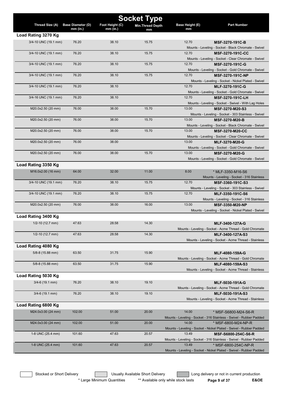| <b>Socket Type</b>   |                          |                 |                         |                 |                                                                              |  |
|----------------------|--------------------------|-----------------|-------------------------|-----------------|------------------------------------------------------------------------------|--|
| Thread Size (A)      | <b>Base Diameter (D)</b> | Foot Height (C) | <b>Min.Thread Depth</b> | Base Height (E) | <b>Part Number</b>                                                           |  |
|                      | $mm$ (in.)               | $mm$ (in.)      | mm                      | mm              |                                                                              |  |
| Load Rating 3270 Kg  |                          |                 |                         |                 |                                                                              |  |
| 3/4-10 UNC (19.1 mm) | 76.20                    | 38.10           | 15.75                   | 12.70           | MSF-3270-191C-B                                                              |  |
|                      |                          |                 |                         |                 | Mounts - Leveling - Socket - Black Chromate - Swivel                         |  |
| 3/4-10 UNC (19.1 mm) | 76.20                    | 38.10           | 15.75                   | 12.70           | <b>MSF-3270-191C-CC</b>                                                      |  |
|                      |                          |                 |                         |                 | Mounts - Leveling - Socket - Clear Chromate - Swivel                         |  |
| 3/4-10 UNC (19.1 mm) | 76.20                    | 38.10           | 15.75                   | 12.70           | MSF-3270-191C-G                                                              |  |
|                      |                          |                 |                         |                 | Mounts - Leveling - Socket - Gold Chromate - Swivel                          |  |
| 3/4-10 UNC (19.1 mm) | 76.20                    | 38.10           | 15.75                   | 12.70           | <b>MSF-3270-191C-NP</b>                                                      |  |
|                      |                          |                 |                         |                 | Mounts - Leveling - Socket - Nickel Plated - Swivel                          |  |
| 3/4-10 UNC (19.1 mm) | 76.20                    | 38.10           |                         | 12.70           | MLF-3270-191C-G                                                              |  |
|                      |                          |                 |                         |                 | Mounts - Leveling - Socket - Gold Chromate - Swivel                          |  |
| 3/4-16 UNC (19.1 mm) | 76.20                    | 38.10           |                         | 12.70           | <b>MSF-3270-191C-LH</b>                                                      |  |
|                      |                          |                 |                         |                 | Mounts - Leveling - Socket - Swivel - With Lag Holes                         |  |
| M20.0x2.50 (20 mm)   | 76.00                    | 38.00           | 15.70                   | 13.00           | MSF-3270-M20-S3                                                              |  |
|                      |                          |                 |                         |                 | Mounts - Leveling - Socket - 303 Stainless - Swivel                          |  |
| M20.0x2.50 (20 mm)   | 76.00                    | 38.00           | 15.70                   | 13.00           | <b>MSF-3270-M20-B</b>                                                        |  |
| M20.0x2.50 (20 mm)   |                          | 38.00           | 15.70                   | 13.00           | Mounts - Leveling - Socket - Black Chromate - Swivel                         |  |
|                      | 76.00                    |                 |                         |                 | <b>MSF-3270-M20-CC</b>                                                       |  |
| M20.0x2.50 (20 mm)   | 76.00                    | 38.00           |                         | 13.00           | Mounts - Leveling - Socket - Clear Chromate - Swivel                         |  |
|                      |                          |                 |                         |                 | <b>MLF-3270-M20-G</b><br>Mounts - Leveling - Socket - Gold Chromate - Swivel |  |
| M20.0x2.50 (20 mm)   | 76.00                    | 38.00           | 15.70                   | 13.00           | MSF-3270-M20-G                                                               |  |
|                      |                          |                 |                         |                 | Mounts - Leveling - Socket - Gold Chromate - Swivel                          |  |
| Load Rating 3350 Kg  |                          |                 |                         |                 |                                                                              |  |
|                      |                          |                 |                         |                 |                                                                              |  |
| M16.0x2.00 (16 mm)   | 64.00                    | 32.00           | 11.00                   | 8.00            | * MLF-3350-M16-S6                                                            |  |
|                      | 76.20                    | 38.10           | 15.75                   | 12.70           | Mounts - Leveling - Socket - 316 Stainless                                   |  |
| 3/4-10 UNC (19.1 mm) |                          |                 |                         |                 | MSF-3360-191C-S3                                                             |  |
| 3/4-10 UNC (19.1 mm) | 76.20                    | 38.10           | 15.75                   | 12.70           | Mounts - Leveling - Socket - 303 Stainless - Swivel<br>MLF-3350-191C-S6      |  |
|                      |                          |                 |                         |                 | Mounts - Leveling - Socket - 316 Stainless                                   |  |
| M20.0x2.50 (20 mm)   | 76.00                    | 38.00           | 16.00                   | 13.00           | <b>MSF-3350-M20-NP</b>                                                       |  |
|                      |                          |                 |                         |                 | Mounts - Leveling - Socket - Nickel Plated - Swivel                          |  |
| Load Rating 3400 Kg  |                          |                 |                         |                 |                                                                              |  |
|                      |                          | 28.58           |                         |                 |                                                                              |  |
| $1/2 - 10$ (12.7 mm) | 47.63                    |                 | 14.30                   |                 | <b>MLF-3400-127A-G</b>                                                       |  |
| $1/2 - 10$ (12.7 mm) | 47.63                    | 28.58           | 14.30                   |                 | Mounts - Leveling - Socket - Acme Thread - Gold Chromate<br>MLF-3400-127A-S3 |  |
|                      |                          |                 |                         |                 | Mounts - Leveling - Socket - Acme Thread - Stainless                         |  |
| Load Rating 4080 Kg  |                          |                 |                         |                 |                                                                              |  |
|                      |                          |                 |                         |                 |                                                                              |  |
| 5/8-8 (15.88 mm)     | 63.50                    | 31.75           | 15.90                   |                 | MLF-4080-159A-G                                                              |  |
|                      |                          |                 |                         |                 | Mounts - Leveling - Socket - Acme Thread - Gold Chromate                     |  |
| 5/8-8 (15.88 mm)     | 63.50                    | 31.75           | 15.90                   |                 | MLF-4080-159A-S3                                                             |  |
|                      |                          |                 |                         |                 | Mounts - Leveling - Socket - Acme Thread - Stainless                         |  |
| Load Rating 5030 Kg  |                          |                 |                         |                 |                                                                              |  |
| $3/4 - 6$ (19.1 mm)  | 76.20                    | 38.10           | 19.10                   |                 | MLF-5030-191A-G                                                              |  |
|                      |                          |                 |                         |                 | Mounts - Leveling - Socket - Acme Thread - Gold Chromate                     |  |
| $3/4 - 6$ (19.1 mm)  | 76.20                    | 38.10           | 19.10                   |                 | MLF-5030-191A-S3                                                             |  |
|                      |                          |                 |                         |                 | Mounts - Leveling - Socket - Acme Thread - Stainless                         |  |
| Load Rating 6800 Kg  |                          |                 |                         |                 |                                                                              |  |
| M24.0x3.00 (24 mm)   | 102.00                   | 51.00           | 20.00                   | 14.00           | * MSF-S6800-M24-S6-R                                                         |  |
|                      |                          |                 |                         |                 | Mounts - Leveling - Socket - 316 Stainless - Swivel - Rubber Padded          |  |
| M24.0x3.00 (24 mm)   | 102.00                   | 51.00           | 20.00                   | 14.00           | * MSF-6800-M24-NP-R                                                          |  |
|                      |                          |                 |                         |                 | Mounts - Leveling - Socket - Nickel Plated - Swivel - Rubber Padded          |  |
| 1-8 UNC (25.4 mm)    | 101.60                   | 47.63           | 20.57                   | 13.49           | MSF-S6800-254C-S6-R                                                          |  |
|                      |                          |                 |                         |                 | Mounts - Leveling - Socket - 316 Stainless - Swivel - Rubber Padded          |  |
| 1-8 UNC (25.4 mm)    | 101.60                   | 47.63           | 20.57                   | 13.49           | * MSF-6800-254C-NP-R                                                         |  |
|                      |                          |                 |                         |                 | Mounts - Leveling - Socket - Nickel Plated - Swivel - Rubber Padded          |  |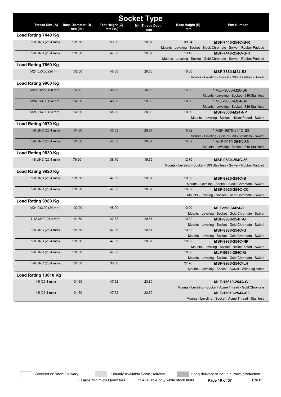| <b>Socket Type</b>   |                                        |                               |                                |                              |                                                                      |  |  |
|----------------------|----------------------------------------|-------------------------------|--------------------------------|------------------------------|----------------------------------------------------------------------|--|--|
| Thread Size (A)      | <b>Base Diameter (D)</b><br>$mm$ (in.) | Foot Height (C)<br>$mm$ (in.) | <b>Min. Thread Depth</b><br>mm | <b>Base Height (E)</b><br>mm | <b>Part Number</b>                                                   |  |  |
| Load Rating 7440 Kg  |                                        |                               |                                |                              |                                                                      |  |  |
| 1-8 UNC (25.4 mm)    | 101.60                                 | 50.80                         | 20.57                          | 30.94                        | MSF-7440-254C-B-R                                                    |  |  |
|                      |                                        |                               |                                |                              | Mounts - Leveling - Socket - Black Chromate - Swivel - Rubber Padded |  |  |
| 1-8 UNC (25.4 mm)    | 101.60                                 | 47.63                         | 20.57                          | 13.49                        | MSF-7440-254C-G-R                                                    |  |  |
|                      |                                        |                               |                                |                              | Mounts - Leveling - Socket - Gold Chromate - Swivel - Rubber Padded  |  |  |
| Load Rating 7660 Kg  |                                        |                               |                                |                              |                                                                      |  |  |
| M24.0x3.00 (24 mm)   | 102.00                                 | 48.00                         | 20.60                          | 10.00                        | MSF-7660-M24-S3                                                      |  |  |
|                      |                                        |                               |                                |                              | Mounts - Leveling - Socket - 303 Stainless - Swivel                  |  |  |
| Load Rating 9000 Kg  |                                        |                               |                                |                              |                                                                      |  |  |
| M20.0x2.50 (20 mm)   | 76.00                                  | 38.00                         | 16.00                          | 13.00                        | * MLF-9000-M20-S6                                                    |  |  |
|                      |                                        |                               |                                |                              | Mounts - Leveling - Socket - 316 Stainless                           |  |  |
| M24.0x3.00 (24 mm)   | 102.00                                 | 48.00                         | 20.00                          | 10.00                        | * MLF-9000-M24-S6                                                    |  |  |
|                      |                                        |                               |                                |                              | Mounts - Leveling - Socket - 316 Stainless                           |  |  |
| M24.0x3.00 (24 mm)   | 102.00                                 | 48.00                         | 20.00                          | 10.00                        | MSF-9000-M24-NP                                                      |  |  |
|                      |                                        |                               |                                |                              | Mounts - Leveling - Socket - Nickel Plated - Swivel                  |  |  |
| Load Rating 9070 Kg  |                                        |                               |                                |                              |                                                                      |  |  |
| 1-8 UNC (25.4 mm)    | 101.60                                 | 47.63                         | 20.57                          | 10.32                        | * MSF-9070-254C-S3                                                   |  |  |
|                      |                                        |                               |                                |                              | Mounts - Leveling - Socket - 303 Stainless - Swivel                  |  |  |
| 1-8 UNC (25.4 mm)    | 101.60                                 | 47.63                         | 20.57                          | 10.32                        | * MLF-9070-254C-S6                                                   |  |  |
|                      |                                        |                               |                                |                              | Mounts - Leveling - Socket - 316 Stainless                           |  |  |
| Load Rating 9530 Kg  |                                        |                               |                                |                              |                                                                      |  |  |
| 1-8 UNC (25.4 mm)    | 76.20                                  | 38.10                         | 15.75                          | 12.70                        | MSF-9530-254C-36                                                     |  |  |
|                      |                                        |                               |                                |                              | Mounts - Leveling - Socket - 303 Stainless - Swivel - Rubber Padded  |  |  |
| Load Rating 9920 Kg  |                                        |                               |                                |                              |                                                                      |  |  |
| 1-8 UNC (25.4 mm)    | 101.60                                 | 47.63                         | 20.57                          | 10.32                        | MSF-9920-254C-B                                                      |  |  |
|                      |                                        |                               |                                |                              | Mounts - Leveling - Socket - Black Chromate - Swivel                 |  |  |
| 1-8 UNC (25.4 mm)    | 101.60                                 | 47.63                         | 20.57                          | 10.32                        | <b>MSF-9920-254C-CC</b>                                              |  |  |
|                      |                                        |                               |                                |                              | Mounts - Leveling - Socket - Clear Chromate - Swivel                 |  |  |
| Load Rating 9980 Kg  |                                        |                               |                                |                              |                                                                      |  |  |
| M24.0x3.00 (24 mm)   | 102.00                                 | 48.00                         |                                | 10.00                        | MLF-9980-M24-G                                                       |  |  |
|                      |                                        |                               |                                |                              | Mounts - Leveling - Socket - Gold Chromate - Swivel                  |  |  |
| 1-12 UNF (25.4 mm)   | 101.60                                 | 47.63                         | 20.57                          | 10.32                        | MSF-9980-254F-G                                                      |  |  |
|                      |                                        |                               |                                |                              | Mounts - Leveling - Socket - Gold Chromate - Swivel                  |  |  |
| 1-8 UNC (25.4 mm)    | 101.60                                 | 47.63                         | 20.57                          | 10.32                        | MSF-9980-254C-G                                                      |  |  |
|                      |                                        |                               |                                |                              | Mounts - Leveling - Socket - Gold Chromate - Swivel                  |  |  |
| 1-8 UNC (25.4 mm)    | 101.60                                 | 47.63                         | 20.57                          | 10.32                        | MSF-9980-254C-NP                                                     |  |  |
|                      |                                        |                               |                                |                              | Mounts - Leveling - Socket - Nickel Plated - Swivel                  |  |  |
| 1-8 UNC (25.4 mm)    | 101.60                                 | 47.63                         |                                | 10.30                        | MLF-9980-254C-G                                                      |  |  |
|                      |                                        |                               |                                |                              | Mounts - Leveling - Socket - Gold Chromate - Swivel                  |  |  |
| 1-8 UNC (25.4 mm)    | 101.60                                 | 36.50                         |                                | 27.76                        | MSF-9980-254C-LH                                                     |  |  |
|                      |                                        |                               |                                |                              | Mounts - Leveling - Socket - Swivel - With Lag Holes                 |  |  |
| Load Rating 13610 Kg |                                        |                               |                                |                              |                                                                      |  |  |
| $1-5(25.4$ mm)       | 101.60                                 | 47.62                         | 23.80                          |                              | MLF-13610-254A-G                                                     |  |  |
|                      |                                        |                               |                                |                              | Mounts - Leveling - Socket - Acme Thread - Gold Chromate             |  |  |
| $1-5(25.4$ mm)       | 101.60                                 | 47.62                         | 23.80                          |                              | MLF-13610-254A-S3                                                    |  |  |
|                      |                                        |                               |                                |                              | Mounts - Leveling - Socket - Acme Thread - Stainless                 |  |  |

Stocked or Short Delivery **Contract Contract Contract Contract** Usually Available Short Delivery **Contract Long delivery or not in current production** \* Large Minimum Quantities \*\* Available only while stock lasts **Page 10 of 37** E&OE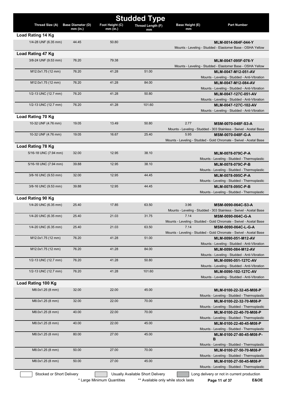|                           |                                        |                               | <b>Studded Type</b>              |                       |                                                                                           |
|---------------------------|----------------------------------------|-------------------------------|----------------------------------|-----------------------|-------------------------------------------------------------------------------------------|
| Thread Size (A)           | <b>Base Diameter (D)</b><br>$mm$ (in.) | Foot Height (C)<br>$mm$ (in.) | Thread Length (F)<br>mm          | Base Height (E)<br>mm | <b>Part Number</b>                                                                        |
| Load Rating 14 Kg         |                                        |                               |                                  |                       |                                                                                           |
| 1/4-28 UNF (6.35 mm)      | 44.45                                  | 50.80                         |                                  |                       | MLM-0014-064F-044-Y                                                                       |
|                           |                                        |                               |                                  |                       | Mounts - Leveling - Studded - Elastomer Base - OSHA Yellow                                |
| Load Rating 47 Kg         |                                        |                               |                                  |                       |                                                                                           |
| 3/8-24 UNF (9.53 mm)      | 76.20                                  | 79.38                         |                                  |                       | MLM-0047-095F-076-Y                                                                       |
|                           |                                        |                               |                                  |                       | Mounts - Leveling - Studded - Elastomer Base - OSHA Yellow                                |
| M12.0x1.75 (12 mm)        | 76.20                                  | 41.28                         | 51.00                            |                       | MLM-0047-M12-051-AV<br>Mounts - Leveling - Studded - Anti-Vibration                       |
| M12.0x1.75 (12 mm)        | 76.20                                  | 41.28                         | 84.00                            |                       | MLM-0047-M12-084-AV                                                                       |
|                           |                                        |                               |                                  |                       | Mounts - Leveling - Studded - Anti-Vibration                                              |
| 1/2-13 UNC (12.7 mm)      | 76.20                                  | 41.28                         | 50.80                            |                       | MLM-0047-127C-051-AV                                                                      |
|                           |                                        |                               |                                  |                       | Mounts - Leveling - Studded - Anti-Vibration                                              |
| 1/2-13 UNC (12.7 mm)      | 76.20                                  | 41.28                         | 101.60                           |                       | MLM-0047-127C-102-AV                                                                      |
|                           |                                        |                               |                                  |                       | Mounts - Leveling - Studded - Anti-Vibration                                              |
| Load Rating 70 Kg         |                                        |                               |                                  |                       |                                                                                           |
| 10-32 UNF (4.76 mm)       | 19.05                                  | 13.49                         | 50.80                            | 2.77                  | MSM-0070-048F-S3-A<br>Mounts - Leveling - Studded - 303 Stainless - Swivel - Acetal Base  |
| 10-32 UNF (4.76 mm)       | 19.05                                  | 16.67                         | 25.40                            | 5.95                  | MSM-0070-048F-G-A                                                                         |
|                           |                                        |                               |                                  |                       | Mounts - Leveling - Studded - Gold Chromate - Swivel - Acetal Base                        |
| <b>Load Rating 78 Kg</b>  |                                        |                               |                                  |                       |                                                                                           |
| 5/16-18 UNC (7.94 mm)     | 32.00                                  | 12.95                         | 38.10                            |                       | MLM-0078-079C-P-A                                                                         |
|                           |                                        |                               |                                  |                       | Mounts - Leveling - Studded - Thermoplastic                                               |
| 5/16-18 UNC (7.94 mm)     | 39.88                                  | 12.95                         | 38.10                            |                       | MLM-0078-079C-P-B                                                                         |
|                           |                                        |                               |                                  |                       | Mounts - Leveling - Studded - Thermoplastic                                               |
| 3/8-16 UNC (9.53 mm)      | 32.00                                  | 12.95                         | 44.45                            |                       | MLM-0078-095C-P-A<br>Mounts - Leveling - Studded - Thermoplastic                          |
| 3/8-16 UNC (9.53 mm)      | 39.88                                  | 12.95                         | 44.45                            |                       | MLM-0078-095C-P-B                                                                         |
|                           |                                        |                               |                                  |                       | Mounts - Leveling - Studded - Thermoplastic                                               |
| Load Rating 90 Kg         |                                        |                               |                                  |                       |                                                                                           |
| 1/4-20 UNC (6.35 mm)      | 25.40                                  | 17.85                         | 63.50                            | 3.96                  | MSM-0090-064C-S3-A                                                                        |
|                           |                                        |                               |                                  |                       | Mounts - Leveling - Studded - 303 Stainless - Swivel - Acetal Base                        |
| 1/4-20 UNC (6.35 mm)      | 25.40                                  | 21.03                         | 31.75                            | 7.14                  | MSM-0090-064C-G-A                                                                         |
| 1/4-20 UNC (6.35 mm)      | 25.40                                  | 21.03                         | 63.50                            | 7.14                  | Mounts - Leveling - Studded - Gold Chromate - Swivel - Acetal Base<br>MSM-0090-064C-L-G-A |
|                           |                                        |                               |                                  |                       | Mounts - Leveling - Studded - Gold Chromate - Swivel - Acetal Base                        |
| M12.0x1.75 (12 mm)        | 76.20                                  | 41.28                         | 51.00                            |                       | MLM-0090-051-M12-AV                                                                       |
|                           |                                        |                               |                                  |                       | Mounts - Leveling - Studded - Anti-Vibration                                              |
| M12.0x1.75 (12 mm)        | 76.20                                  | 41.28                         | 84.00                            |                       | MLM-0090-084-M12-AV                                                                       |
| 1/2-13 UNC (12.7 mm)      | 76.20                                  | 41.28                         | 50.80                            |                       | Mounts - Leveling - Studded - Anti-Vibration                                              |
|                           |                                        |                               |                                  |                       | MLM-0090-051-127C-AV<br>Mounts - Leveling - Studded - Anti-Vibration                      |
| 1/2-13 UNC (12.7 mm)      | 76.20                                  | 41.28                         | 101.60                           |                       | MLM-0090-102-127C-AV                                                                      |
|                           |                                        |                               |                                  |                       | Mounts - Leveling - Studded - Anti-Vibration                                              |
| Load Rating 100 Kg        |                                        |                               |                                  |                       |                                                                                           |
| M8.0x1.25 (8 mm)          | 32.00                                  | 22.00                         | 45.00                            |                       | MLM-0100-22-32-45-M08-P                                                                   |
|                           |                                        |                               |                                  |                       | Mounts - Leveling - Studded - Thermoplastic                                               |
| M8.0x1.25 (8 mm)          | 32.00                                  | 22.00                         | 70.00                            |                       | MLM-0100-22-32-70-M08-P                                                                   |
| M8.0x1.25 (8 mm)          | 40.00                                  | 22.00                         | 70.00                            |                       | Mounts - Leveling - Studded - Thermoplastic<br>MLM-0100-22-40-70-M08-P                    |
|                           |                                        |                               |                                  |                       | Mounts - Leveling - Studded - Thermoplastic                                               |
| M8.0x1.25 (8 mm)          | 40.00                                  | 22.00                         | 45.00                            |                       | MLM-0100-22-40-45-M08-P                                                                   |
|                           |                                        |                               |                                  |                       | Mounts - Leveling - Studded - Thermoplastic                                               |
| M8.0x1.25 (8 mm)          | 80.00                                  | 27.00                         | 45.00                            |                       | MLM-0100-27-80-45-M08-P-                                                                  |
|                           |                                        |                               |                                  |                       | в<br>Mounts - Leveling - Studded - Thermoplastic                                          |
| M8.0x1.25 (8 mm)          | 50.00                                  | 27.00                         | 70.00                            |                       | MLM-0100-27-50-70-M08-P                                                                   |
|                           |                                        |                               |                                  |                       | Mounts - Leveling - Studded - Thermoplastic                                               |
| M8.0x1.25 (8 mm)          | 50.00                                  | 27.00                         | 45.00                            |                       | MLM-0100-27-50-45-M08-P                                                                   |
|                           |                                        |                               |                                  |                       | Mounts - Leveling - Studded - Thermoplastic                                               |
| Stocked or Short Delivery |                                        |                               | Usually Available Short Delivery |                       | Long delivery or not in current production                                                |

\* Large Minimum Quantities \*\* Available only while stock lasts **Page 11 of 37** E&OE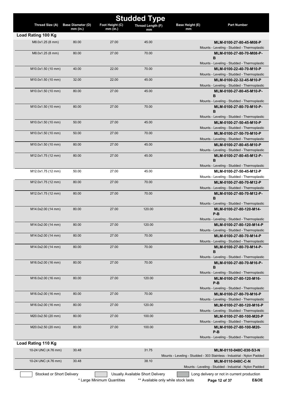|                     |                                        |                               | <b>Studded Type</b>     |                       |                                                                         |
|---------------------|----------------------------------------|-------------------------------|-------------------------|-----------------------|-------------------------------------------------------------------------|
| Thread Size (A)     | <b>Base Diameter (D)</b><br>$mm$ (in.) | Foot Height (C)<br>$mm$ (in.) | Thread Length (F)<br>mm | Base Height (E)<br>mm | <b>Part Number</b>                                                      |
| Load Rating 100 Kg  |                                        |                               |                         |                       |                                                                         |
| M8.0x1.25 (8 mm)    | 80.00                                  | 27.00                         | 45.00                   |                       | MLM-0100-27-80-45-M08-P                                                 |
|                     |                                        |                               |                         |                       | Mounts - Leveling - Studded - Thermoplastic                             |
| M8.0x1.25 (8 mm)    | 80.00                                  | 27.00                         | 70.00                   |                       | MLM-0100-27-80-70-M08-P-<br>B                                           |
|                     |                                        |                               |                         |                       | Mounts - Leveling - Studded - Thermoplastic                             |
| M10.0x1.50 (10 mm)  | 40.00                                  | 22.00                         | 70.00                   |                       | MLM-0100-22-40-70-M10-P                                                 |
|                     |                                        |                               |                         |                       | Mounts - Leveling - Studded - Thermoplastic                             |
| M10.0x1.50 (10 mm)  | 32.00                                  | 22.00                         | 45.00                   |                       | MLM-0100-22-32-45-M10-P                                                 |
|                     |                                        |                               |                         |                       | Mounts - Leveling - Studded - Thermoplastic                             |
| M10.0x1.50 (10 mm)  | 80.00                                  | 27.00                         | 45.00                   |                       | MLM-0100-27-80-45-M10-P-<br>B                                           |
|                     |                                        |                               |                         |                       | Mounts - Leveling - Studded - Thermoplastic                             |
| M10.0x1.50 (10 mm)  | 80.00                                  | 27.00                         | 70.00                   |                       | MLM-0100-27-80-70-M10-P-                                                |
|                     |                                        |                               |                         |                       | в                                                                       |
|                     |                                        |                               |                         |                       | Mounts - Leveling - Studded - Thermoplastic                             |
| M10.0x1.50 (10 mm)  | 50.00                                  | 27.00                         | 45.00                   |                       | MLM-0100-27-50-45-M10-P                                                 |
|                     | 50.00                                  | 27.00                         | 70.00                   |                       | Mounts - Leveling - Studded - Thermoplastic                             |
| M10.0x1.50 (10 mm)  |                                        |                               |                         |                       | MLM-0100-27-50-70-M10-P<br>Mounts - Leveling - Studded - Thermoplastic  |
| M10.0x1.50 (10 mm)  | 80.00                                  | 27.00                         | 45.00                   |                       | MLM-0100-27-80-45-M10-P                                                 |
|                     |                                        |                               |                         |                       | Mounts - Leveling - Studded - Thermoplastic                             |
| M12.0x1.75 (12 mm)  | 80.00                                  | 27.00                         | 45.00                   |                       | MLM-0100-27-80-45-M12-P-                                                |
|                     |                                        |                               |                         |                       | в                                                                       |
|                     |                                        |                               |                         |                       | Mounts - Leveling - Studded - Thermoplastic                             |
| M12.0x1.75 (12 mm)  | 50.00                                  | 27.00                         | 45.00                   |                       | MLM-0100-27-50-45-M12-P<br>Mounts - Leveling - Studded - Thermoplastic  |
| M12.0x1.75 (12 mm)  | 80.00                                  | 27.00                         | 70.00                   |                       | MLM-0100-27-80-70-M12-P                                                 |
|                     |                                        |                               |                         |                       | Mounts - Leveling - Studded - Thermoplastic                             |
| M12.0x1.75 (12 mm)  | 80.00                                  | 27.00                         | 70.00                   |                       | MLM-0100-27-80-70-M12-P-                                                |
|                     |                                        |                               |                         |                       | B                                                                       |
|                     |                                        |                               |                         |                       | Mounts - Leveling - Studded - Thermoplastic                             |
| M14.0x2.00 (14 mm)  | 80.00                                  | 27.00                         | 120.00                  |                       | MLM-0100-27-80-120-M14-<br>P-B                                          |
|                     |                                        |                               |                         |                       | Mounts - Leveling - Studded - Thermoplastic                             |
| M14.0x2.00 (14 mm)  | 80.00                                  | 27.00                         | 120.00                  |                       | MLM-0100-27-80-120-M14-P                                                |
|                     |                                        |                               |                         |                       | Mounts - Leveling - Studded - Thermoplastic                             |
| M14.0x2.00 (14 mm)  | 80.00                                  | 27.00                         | 70.00                   |                       | MLM-0100-27-80-70-M14-P                                                 |
|                     |                                        |                               |                         |                       | Mounts - Leveling - Studded - Thermoplastic                             |
| M14.0x2.00 (14 mm)  | 80.00                                  | 27.00                         | 70.00                   |                       | MLM-0100-27-80-70-M14-P-<br>в                                           |
|                     |                                        |                               |                         |                       | Mounts - Leveling - Studded - Thermoplastic                             |
| M16.0x2.00 (16 mm)  | 80.00                                  | 27.00                         | 70.00                   |                       | MLM-0100-27-80-70-M16-P-                                                |
|                     |                                        |                               |                         |                       | в                                                                       |
|                     |                                        |                               |                         |                       | Mounts - Leveling - Studded - Thermoplastic                             |
| M16.0x2.00 (16 mm)  | 80.00                                  | 27.00                         | 120.00                  |                       | MLM-0100-27-80-120-M16-<br>$P-B$                                        |
|                     |                                        |                               |                         |                       | Mounts - Leveling - Studded - Thermoplastic                             |
| M16.0x2.00 (16 mm)  | 80.00                                  | 27.00                         | 70.00                   |                       | MLM-0100-27-80-70-M16-P                                                 |
|                     |                                        |                               |                         |                       | Mounts - Leveling - Studded - Thermoplastic                             |
| M16.0x2.00 (16 mm)  | 80.00                                  | 27.00                         | 120.00                  |                       | MLM-0100-27-80-120-M16-P                                                |
|                     |                                        |                               |                         |                       | Mounts - Leveling - Studded - Thermoplastic                             |
| M20.0x2.50 (20 mm)  | 80.00                                  | 27.00                         | 100.00                  |                       | MLM-0100-27-80-100-M20-P                                                |
| M20.0x2.50 (20 mm)  | 80.00                                  | 27.00                         | 100.00                  |                       | Mounts - Leveling - Studded - Thermoplastic<br>MLM-0100-27-80-100-M20-  |
|                     |                                        |                               |                         |                       | $P-B$                                                                   |
|                     |                                        |                               |                         |                       | Mounts - Leveling - Studded - Thermoplastic                             |
| Load Rating 110 Kg  |                                        |                               |                         |                       |                                                                         |
| 10-24 UNC (4.76 mm) | 30.48                                  |                               | 31.75                   |                       | MLM-0110-048C-030-S3-N                                                  |
|                     |                                        |                               |                         |                       | Mounts - Leveling - Studded - 303 Stainless - Industrial - Nylon Padded |
| 10-24 UNC (4.76 mm) | 30.48                                  |                               | 38.10                   |                       | MLM-0110-048C-C-N                                                       |
|                     |                                        |                               |                         |                       | Mounts - Leveling - Studded - Industrial - Nylon Padded                 |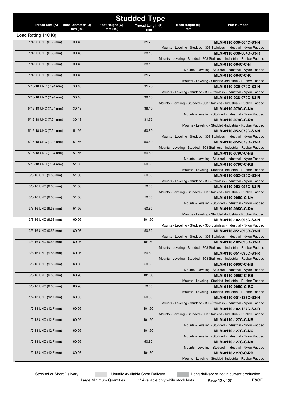|                       |                                      |                               | <b>Studded Type</b> |                       |                                                                                   |
|-----------------------|--------------------------------------|-------------------------------|---------------------|-----------------------|-----------------------------------------------------------------------------------|
| Thread Size (A)       | <b>Base Diameter (D)</b><br>mm (in.) | Foot Height (C)<br>$mm$ (in.) | Thread Length (F)   | Base Height (E)<br>mm | <b>Part Number</b>                                                                |
| Load Rating 110 Kg    |                                      |                               | mm                  |                       |                                                                                   |
| 1/4-20 UNC (6.35 mm)  | 30.48                                |                               | 31.75               |                       | MLM-0110-030-064C-S3-N                                                            |
|                       |                                      |                               |                     |                       | Mounts - Leveling - Studded - 303 Stainless - Industrial - Nylon Padded           |
| 1/4-20 UNC (6.35 mm)  | 30.48                                |                               | 38.10               |                       | MLM-0110-038-064C-S3-R                                                            |
|                       |                                      |                               |                     |                       | Mounts - Leveling - Studded - 303 Stainless - Industrial - Rubber Padded          |
| 1/4-20 UNC (6.35 mm)  | 30.48                                |                               | 38.10               |                       | MLM-0110-064C-C-N                                                                 |
|                       |                                      |                               |                     |                       | Mounts - Leveling - Studded - Industrial - Nylon Padded                           |
| 1/4-20 UNC (6.35 mm)  | 30.48                                |                               | 31.75               |                       | MLM-0110-064C-C-R                                                                 |
|                       |                                      |                               |                     |                       | Mounts - Leveling - Studded -Industrial - Rubber Padded                           |
| 5/16-18 UNC (7.94 mm) | 30.48                                |                               | 31.75               |                       | MLM-0110-030-079C-S3-N                                                            |
|                       |                                      |                               |                     |                       | Mounts - Leveling - Studded - 303 Stainless - Industrial - Nylon Padded           |
| 5/16-18 UNC (7.94 mm) | 30.48                                |                               | 38.10               |                       | MLM-0110-038-079C-S3-R                                                            |
|                       |                                      |                               |                     |                       | Mounts - Leveling - Studded - 303 Stainless - Industrial - Rubber Padded          |
| 5/16-18 UNC (7.94 mm) | 30.48                                |                               | 38.10               |                       | <b>MLM-0110-079C-C-NA</b>                                                         |
|                       |                                      |                               |                     |                       | Mounts - Leveling - Studded - Industrial - Nylon Padded                           |
| 5/16-18 UNC (7.94 mm) | 30.48                                |                               | 31.75               |                       | <b>MLM-0110-079C-C-RA</b>                                                         |
|                       |                                      |                               |                     |                       | Mounts - Leveling - Studded -Industrial - Rubber Padded                           |
| 5/16-18 UNC (7.94 mm) | 51.56                                |                               | 50.80               |                       | MLM-0110-052-079C-S3-N                                                            |
|                       |                                      |                               |                     |                       | Mounts - Leveling - Studded - 303 Stainless - Industrial - Nylon Padded           |
| 5/16-18 UNC (7.94 mm) | 51.56                                |                               | 50.80               |                       | MLM-0110-052-079C-S3-R                                                            |
|                       |                                      |                               |                     |                       | Mounts - Leveling - Studded - 303 Stainless - Industrial - Rubber Padded          |
| 5/16-18 UNC (7.94 mm) | 51.56                                |                               | 50.80               |                       | <b>MLM-0110-079C-C-NB</b>                                                         |
|                       |                                      |                               |                     |                       | Mounts - Leveling - Studded - Industrial - Nylon Padded                           |
| 5/16-18 UNC (7.94 mm) | 51.56                                |                               | 50.80               |                       | <b>MLM-0110-079C-C-RB</b>                                                         |
|                       |                                      |                               |                     |                       | Mounts - Leveling - Studded -Industrial - Rubber Padded                           |
| 3/8-16 UNC (9.53 mm)  | 51.56                                |                               | 50.80               |                       | MLM-0110-052-095C-S3-N                                                            |
|                       |                                      |                               |                     |                       | Mounts - Leveling - Studded - 303 Stainless - Industrial - Nylon Padded           |
| 3/8-16 UNC (9.53 mm)  | 51.56                                |                               | 50.80               |                       | MLM-0110-052-095C-S3-R                                                            |
|                       |                                      |                               |                     |                       | Mounts - Leveling - Studded - 303 Stainless - Industrial - Rubber Padded          |
| 3/8-16 UNC (9.53 mm)  | 51.56                                |                               | 50.80               |                       | <b>MLM-0110-095C-C-NA</b>                                                         |
|                       | 51.56                                |                               | 50.80               |                       | Mounts - Leveling - Studded - Industrial - Nylon Padded                           |
| 3/8-16 UNC (9.53 mm)  |                                      |                               |                     |                       | <b>MLM-0110-095C-C-RA</b>                                                         |
| 3/8-16 UNC (9.53 mm)  | 60.96                                |                               | 101.60              |                       | Mounts - Leveling - Studded -Industrial - Rubber Padded<br>MLM-0110-102-095C-S3-N |
|                       |                                      |                               |                     |                       | Mounts - Leveling - Studded - 303 Stainless - Industrial - Nylon Padded           |
| 3/8-16 UNC (9.53 mm)  | 60.96                                |                               | 50.80               |                       | MLM-0110-051-095C-S3-N                                                            |
|                       |                                      |                               |                     |                       | Mounts - Leveling - Studded - 303 Stainless - Industrial - Nylon Padded           |
| 3/8-16 UNC (9.53 mm)  | 60.96                                |                               | 101.60              |                       | MLM-0110-102-095C-S3-R                                                            |
|                       |                                      |                               |                     |                       | Mounts - Leveling - Studded - 303 Stainless - Industrial - Rubber Padded          |
| 3/8-16 UNC (9.53 mm)  | 60.96                                |                               | 50.80               |                       | MLM-0110-051-095C-S3-R                                                            |
|                       |                                      |                               |                     |                       | Mounts - Leveling - Studded - 303 Stainless - Industrial - Rubber Padded          |
| 3/8-16 UNC (9.53 mm)  | 60.96                                |                               | 50.80               |                       | <b>MLM-0110-095C-C-NB</b>                                                         |
|                       |                                      |                               |                     |                       | Mounts - Leveling - Studded - Industrial - Nylon Padded                           |
| 3/8-16 UNC (9.53 mm)  | 60.96                                |                               | 101.60              |                       | <b>MLM-0110-095C-C-RB</b>                                                         |
|                       |                                      |                               |                     |                       | Mounts - Leveling - Studded -Industrial - Rubber Padded                           |
| 3/8-16 UNC (9.53 mm)  | 60.96                                |                               | 50.80               |                       | MLM-0110-095C-C-RC                                                                |
|                       |                                      |                               |                     |                       | Mounts - Leveling - Studded -Industrial - Rubber Padded                           |
| 1/2-13 UNC (12.7 mm)  | 60.96                                |                               | 50.80               |                       | MLM-0110-051-127C-S3-N                                                            |
|                       |                                      |                               |                     |                       | Mounts - Leveling - Studded - 303 Stainless - Industrial - Nylon Padded           |
| 1/2-13 UNC (12.7 mm)  | 60.96                                |                               | 101.60              |                       | MLM-0110-102-127C-S3-R                                                            |
|                       |                                      |                               |                     |                       | Mounts - Leveling - Studded - 303 Stainless - Industrial - Rubber Padded          |
| 1/2-13 UNC (12.7 mm)  | 60.96                                |                               | 101.60              |                       | <b>MLM-0110-127C-C-NB</b>                                                         |
|                       |                                      |                               |                     |                       | Mounts - Leveling - Studded - Industrial - Nylon Padded                           |
| 1/2-13 UNC (12.7 mm)  | 60.96                                |                               | 101.60              |                       | MLM-0110-127C-C-NC                                                                |
|                       |                                      |                               |                     |                       | Mounts - Leveling - Studded - Industrial - Nylon Padded                           |
| 1/2-13 UNC (12.7 mm)  | 60.96                                |                               | 50.80               |                       | <b>MLM-0110-127C-C-NA</b>                                                         |
|                       |                                      |                               |                     |                       | Mounts - Leveling - Studded - Industrial - Nylon Padded                           |
| 1/2-13 UNC (12.7 mm)  | 60.96                                |                               | 101.60              |                       | <b>MLM-0110-127C-C-RB</b>                                                         |
|                       |                                      |                               |                     |                       | Mounts - Leveling - Studded -Industrial - Rubber Padded                           |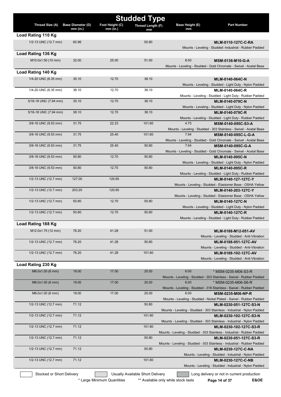|                           |                                        |                               | <b>Studded Type</b>              |                       |                                                                                                   |
|---------------------------|----------------------------------------|-------------------------------|----------------------------------|-----------------------|---------------------------------------------------------------------------------------------------|
| Thread Size (A)           | <b>Base Diameter (D)</b><br>$mm$ (in.) | Foot Height (C)<br>$mm$ (in.) | <b>Thread Length (F)</b><br>mm   | Base Height (E)<br>mm | <b>Part Number</b>                                                                                |
| Load Rating 110 Kg        |                                        |                               |                                  |                       |                                                                                                   |
| 1/2-13 UNC (12.7 mm)      | 60.96                                  |                               | 50.80                            |                       | MLM-0110-127C-C-RA                                                                                |
|                           |                                        |                               |                                  |                       | Mounts - Leveling - Studded -Industrial - Rubber Padded                                           |
| Load Rating 136 Kg        |                                        |                               |                                  |                       |                                                                                                   |
| M10.0x1.50 (10 mm)        | 32.00                                  | 25.00                         | 51.00                            | 8.00                  | MSM-0136-M10-G-A                                                                                  |
|                           |                                        |                               |                                  |                       | Mounts - Leveling - Studded - Gold Chromate - Swivel - Acetal Base                                |
| Load Rating 140 Kg        |                                        |                               |                                  |                       |                                                                                                   |
| 1/4-20 UNC (6.35 mm)      | 35.10                                  | 12.70                         | 38.10                            |                       | MLM-0140-064C-N                                                                                   |
|                           |                                        |                               |                                  |                       | Mounts - Leveling - Studded - Light Duty - Nylon Padded                                           |
| 1/4-20 UNC (6.35 mm)      | 38.10                                  | 12.70                         | 38.10                            |                       | MLM-0140-064C-R                                                                                   |
|                           | 35.10                                  | 12.70                         | 38.10                            |                       | Mounts - Leveling - Studded - Light Duty - Rubber Padded                                          |
| 5/16-18 UNC (7.94 mm)     |                                        |                               |                                  |                       | MLM-0140-079C-N<br>Mounts - Leveling - Studded - Light Duty - Nylon Padded                        |
| 5/16-18 UNC (7.94 mm)     | 38.10                                  | 12.70                         | 38.10                            |                       | MLM-0140-079C-R                                                                                   |
|                           |                                        |                               |                                  |                       | Mounts - Leveling - Studded - Light Duty - Rubber Padded                                          |
| 3/8-16 UNC (9.53 mm)      | 31.75                                  | 22.23                         | 101.60                           | 4.75                  | MSM-0140-095C-S3-A                                                                                |
|                           |                                        |                               |                                  |                       | Mounts - Leveling - Studded - 303 Stainless - Swivel - Acetal Base                                |
| 3/8-16 UNC (9.53 mm)      | 31.75                                  | 25.40                         | 101.60                           | 7.94                  | MSM-0140-095C-L-G-A                                                                               |
|                           |                                        |                               |                                  |                       | Mounts - Leveling - Studded - Gold Chromate - Swivel - Acetal Base                                |
| 3/8-16 UNC (9.53 mm)      | 31.75                                  | 25.40                         | 50.80                            | 7.94                  | MSM-0140-095C-G-A                                                                                 |
|                           |                                        |                               |                                  |                       | Mounts - Leveling - Studded - Gold Chromate - Swivel - Acetal Base                                |
| 3/8-16 UNC (9.53 mm)      | 50.80                                  | 12.70                         | 50.80                            |                       | MLM-0140-095C-N                                                                                   |
| 3/8-16 UNC (9.53 mm)      | 50.80                                  | 12.70                         | 50.80                            |                       | Mounts - Leveling - Studded - Light Duty - Nylon Padded<br><b>MLM-0140-095C-R</b>                 |
|                           |                                        |                               |                                  |                       | Mounts - Leveling - Studded - Light Duty - Rubber Padded                                          |
| 1/2-13 UNC (12.7 mm)      | 127.00                                 | 120.65                        |                                  |                       | MLM-0140-127-127C-Y                                                                               |
|                           |                                        |                               |                                  |                       | Mounts - Leveling - Studded - Elastomer Base - OSHA Yellow                                        |
| 1/2-13 UNC (12.7 mm)      | 203.20                                 | 120.65                        |                                  |                       | MLM-0140-203-127C-Y                                                                               |
|                           |                                        |                               |                                  |                       | Mounts - Leveling - Studded - Elastomer Base - OSHA Yellow                                        |
| 1/2-13 UNC (12.7 mm)      | 50.80                                  | 12.70                         | 50.80                            |                       | MLM-0140-127C-N                                                                                   |
|                           |                                        |                               |                                  |                       | Mounts - Leveling - Studded - Light Duty - Nylon Padded                                           |
| 1/2-13 UNC (12.7 mm)      | 50.80                                  | 12.70                         | 50.80                            |                       | <b>MLM-0140-127C-R</b>                                                                            |
|                           |                                        |                               |                                  |                       | Mounts - Leveling - Studded - Light Duty - Rubber Padded                                          |
| Load Rating 188 Kg        |                                        |                               |                                  |                       |                                                                                                   |
| M12.0x1.75 (12 mm)        | 76.20                                  | 41.28                         | 51.00                            |                       | MLM-0188-M12-051-AV                                                                               |
| 1/2-13 UNC (12.7 mm)      | 76.20                                  | 41.28                         | 50.80                            |                       | Mounts - Leveling - Studded - Anti-Vibration<br>MLM-0188-051-127C-AV                              |
|                           |                                        |                               |                                  |                       | Mounts - Leveling - Studded - Anti-Vibration                                                      |
| 1/2-13 UNC (12.7 mm)      | 76.20                                  | 41.28                         | 101.60                           |                       | MLM-0188-102-127C-AV                                                                              |
|                           |                                        |                               |                                  |                       | Mounts - Leveling - Studded - Anti-Vibration                                                      |
| Load Rating 230 Kg        |                                        |                               |                                  |                       |                                                                                                   |
| M6.0x1.00 (6 mm)          | 19.00                                  | 17.00                         | 25.00                            | 6.00                  | * MSM-0235-M06-S3-R                                                                               |
|                           |                                        |                               |                                  |                       | Mounts - Leveling - Studded - 303 Stainless - Swivel - Rubber Padded                              |
| M6.0x1.00 (6 mm)          | 19.00                                  | 17.00                         | 25.00                            | 6.00                  | * MSM-0235-M06-S6-R                                                                               |
|                           |                                        |                               |                                  |                       | Mounts - Leveling - Studded - 316 Stainless - Swivel - Rubber Padded                              |
| M6.0x1.00 (6 mm)          | 19.00                                  | 17.00                         | 25.00                            | 6.00                  | <b>MSM-0235-M06-NP-R</b>                                                                          |
|                           |                                        |                               |                                  |                       | Mounts - Leveling - Studded - Nickel Plated - Swivel - Rubber Padded                              |
| 1/2-13 UNC (12.7 mm)      | 71.12                                  |                               | 50.80                            |                       | MLM-0230-051-127C-S3-N                                                                            |
| 1/2-13 UNC (12.7 mm)      | 71.12                                  |                               | 101.60                           |                       | Mounts - Leveling - Studded - 303 Stainless - Industrial - Nylon Padded                           |
|                           |                                        |                               |                                  |                       | MLM-0230-102-127C-S3-N<br>Mounts - Leveling - Studded - 303 Stainless - Industrial - Nylon Padded |
| 1/2-13 UNC (12.7 mm)      | 71.12                                  |                               | 101.60                           |                       | MLM-0230-102-127C-S3-R                                                                            |
|                           |                                        |                               |                                  |                       | Mounts - Leveling - Studded - 303 Stainless - Industrial - Rubber Padded                          |
| 1/2-13 UNC (12.7 mm)      | 71.12                                  |                               | 50.80                            |                       | MLM-0230-051-127C-S3-R                                                                            |
|                           |                                        |                               |                                  |                       | Mounts - Leveling - Studded - 303 Stainless - Industrial - Rubber Padded                          |
| 1/2-13 UNC (12.7 mm)      | 71.12                                  |                               | 50.80                            |                       | MLM-0230-127C-C-NA                                                                                |
|                           |                                        |                               |                                  |                       | Mounts - Leveling - Studded - Industrial - Nylon Padded                                           |
| 1/2-13 UNC (12.7 mm)      | 71.12                                  |                               | 101.60                           |                       | <b>MLM-0230-127C-C-NB</b>                                                                         |
|                           |                                        |                               |                                  |                       | Mounts - Leveling - Studded - Industrial - Nylon Padded                                           |
| Stocked or Short Delivery |                                        |                               | Usually Available Short Delivery |                       | Long delivery or not in current production                                                        |

\* Large Minimum Quantities \*\* Available only while stock lasts Page 14 of 37 E&OE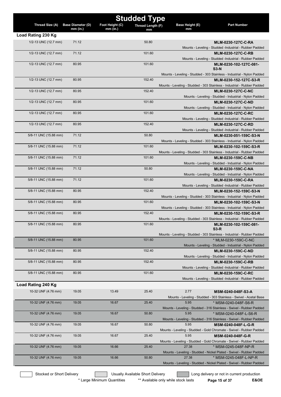|                       |                                        |                               | <b>Studded Type</b>     |                       |                                                                                                    |
|-----------------------|----------------------------------------|-------------------------------|-------------------------|-----------------------|----------------------------------------------------------------------------------------------------|
| Thread Size (A)       | <b>Base Diameter (D)</b><br>$mm$ (in.) | Foot Height (C)<br>$mm$ (in.) | Thread Length (F)<br>mm | Base Height (E)<br>mm | <b>Part Number</b>                                                                                 |
| Load Rating 230 Kg    |                                        |                               |                         |                       |                                                                                                    |
| 1/2-13 UNC (12.7 mm)  | 71.12                                  |                               | 50.80                   |                       | MLM-0230-127C-C-RA                                                                                 |
|                       |                                        |                               |                         |                       | Mounts - Leveling - Studded -Industrial - Rubber Padded                                            |
| 1/2-13 UNC (12.7 mm)  | 71.12                                  |                               | 101.60                  |                       | MLM-0230-127C-C-RB                                                                                 |
|                       |                                        |                               |                         |                       | Mounts - Leveling - Studded -Industrial - Rubber Padded                                            |
| 1/2-13 UNC (12.7 mm)  | 80.95                                  |                               | 101.60                  |                       | MLM-0230-102-127C-081-<br>$S3-N$                                                                   |
|                       |                                        |                               |                         |                       | Mounts - Leveling - Studded - 303 Stainless - Industrial - Nylon Padded                            |
| 1/2-13 UNC (12.7 mm)  | 80.95                                  |                               | 152.40                  |                       | MLM-0230-152-127C-S3-R                                                                             |
|                       |                                        |                               |                         |                       | Mounts - Leveling - Studded - 303 Stainless - Industrial - Rubber Padded                           |
| 1/2-13 UNC (12.7 mm)  | 80.95                                  |                               | 152.40                  |                       | <b>MLM-0230-127C-C-NC</b>                                                                          |
|                       |                                        |                               |                         |                       | Mounts - Leveling - Studded - Industrial - Nylon Padded                                            |
| 1/2-13 UNC (12.7 mm)  | 80.95                                  |                               | 101.60                  |                       | <b>MLM-0230-127C-C-ND</b>                                                                          |
| 1/2-13 UNC (12.7 mm)  | 80.95                                  |                               | 101.60                  |                       | Mounts - Leveling - Studded - Industrial - Nylon Padded<br><b>MLM-0230-127C-C-RC</b>               |
|                       |                                        |                               |                         |                       | Mounts - Leveling - Studded -Industrial - Rubber Padded                                            |
| 1/2-13 UNC (12.7 mm)  | 80.95                                  |                               | 152.40                  |                       | <b>MLM-0230-127C-C-RD</b>                                                                          |
|                       |                                        |                               |                         |                       | Mounts - Leveling - Studded -Industrial - Rubber Padded                                            |
| 5/8-11 UNC (15.88 mm) | 71.12                                  |                               | 50.80                   |                       | MLM-0230-051-159C-S3-N                                                                             |
|                       |                                        |                               |                         |                       | Mounts - Leveling - Studded - 303 Stainless - Industrial - Nylon Padded                            |
| 5/8-11 UNC (15.88 mm) | 71.12                                  |                               | 101.60                  |                       | MLM-0230-102-159C-S3-R                                                                             |
|                       |                                        |                               |                         |                       | Mounts - Leveling - Studded - 303 Stainless - Industrial - Rubber Padded                           |
| 5/8-11 UNC (15.88 mm) | 71.12                                  |                               | 101.60                  |                       | <b>MLM-0230-159C-C-NB</b><br>Mounts - Leveling - Studded - Industrial - Nylon Padded               |
| 5/8-11 UNC (15.88 mm) | 71.12                                  |                               | 50.80                   |                       | MLM-0230-159C-C-NA                                                                                 |
|                       |                                        |                               |                         |                       | Mounts - Leveling - Studded - Industrial - Nylon Padded                                            |
| 5/8-11 UNC (15.88 mm) | 71.12                                  |                               | 101.60                  |                       | MLM-0230-159C-C-RA                                                                                 |
|                       |                                        |                               |                         |                       | Mounts - Leveling - Studded -Industrial - Rubber Padded                                            |
| 5/8-11 UNC (15.88 mm) | 80.95                                  |                               | 152.40                  |                       | MLM-0230-152-159C-S3-N                                                                             |
|                       |                                        |                               |                         |                       | Mounts - Leveling - Studded - 303 Stainless - Industrial - Nylon Padded                            |
| 5/8-11 UNC (15.88 mm) | 80.95                                  |                               | 101.60                  |                       | MLM-0230-102-159C-S3-N                                                                             |
| 5/8-11 UNC (15.88 mm) | 80.95                                  |                               | 152.40                  |                       | Mounts - Leveling - Studded - 303 Stainless - Industrial - Nylon Padded                            |
|                       |                                        |                               |                         |                       | MLM-0230-152-159C-S3-R<br>Mounts - Leveling - Studded - 303 Stainless - Industrial - Rubber Padded |
| 5/8-11 UNC (15.88 mm) | 80.95                                  |                               | 101.60                  |                       | MLM-0230-102-159C-081-                                                                             |
|                       |                                        |                               |                         |                       | $S3-R$                                                                                             |
|                       |                                        |                               |                         |                       | Mounts - Leveling - Studded - 303 Stainless - Industrial - Rubber Padded                           |
| 5/8-11 UNC (15.88 mm) | 80.95                                  |                               | 101.60                  |                       | * MLM-0230-159C-C-NC                                                                               |
|                       |                                        |                               |                         |                       | Mounts - Leveling - Studded - Industrial - Nylon Padded                                            |
| 5/8-11 UNC (15.88 mm) | 80.95                                  |                               | 152.40                  |                       | <b>MLM-0230-159C-C-ND</b><br>Mounts - Leveling - Studded - Industrial - Nylon Padded               |
| 5/8-11 UNC (15.88 mm) | 80.95                                  |                               | 152.40                  |                       | MLM-0230-159C-C-RB                                                                                 |
|                       |                                        |                               |                         |                       | Mounts - Leveling - Studded -Industrial - Rubber Padded                                            |
| 5/8-11 UNC (15.88 mm) | 80.95                                  |                               | 101.60                  |                       | MLM-0230-159C-C-RC                                                                                 |
|                       |                                        |                               |                         |                       | Mounts - Leveling - Studded -Industrial - Rubber Padded                                            |
| Load Rating 240 Kg    |                                        |                               |                         |                       |                                                                                                    |
| 10-32 UNF (4.76 mm)   | 19.05                                  | 13.49                         | 25.40                   | 2.77                  | MSM-0240-048F-S3-A                                                                                 |
|                       |                                        |                               |                         |                       | Mounts - Leveling - Studded - 303 Stainless - Swivel - Acetal Base                                 |
| 10-32 UNF (4.76 mm)   | 19.05                                  | 16.67                         | 25.40                   | 5.95                  | * MSM-0240-048F-S6-R                                                                               |
|                       |                                        |                               |                         |                       | Mounts - Leveling - Studded - 316 Stainless - Swivel - Rubber Padded                               |
| 10-32 UNF (4.76 mm)   | 19.05                                  | 16.67                         | 50.80                   | 5.95                  | * MSM-0240-048F-L-S6-R                                                                             |
| 10-32 UNF (4.76 mm)   | 19.05                                  | 16.67                         | 50.80                   | 5.95                  | Mounts - Leveling - Studded - 316 Stainless - Swivel - Rubber Padded<br>MSM-0240-048F-L-G-R        |
|                       |                                        |                               |                         |                       | Mounts - Leveling - Studded - Gold Chromate - Swivel - Rubber Padded                               |
| 10-32 UNF (4.76 mm)   | 19.05                                  | 16.67                         | 25.40                   | 5.95                  | MSM-0240-048F-G-R                                                                                  |
|                       |                                        |                               |                         |                       | Mounts - Leveling - Studded - Gold Chromate - Swivel - Rubber Padded                               |
| 10-32 UNF (4.76 mm)   | 19.05                                  | 16.66                         | 25.40                   | 27.38                 | * MSM-0245-048F-NP-R                                                                               |
|                       |                                        |                               |                         |                       | Mounts - Leveling - Studded - Nickel Plated - Swivel - Rubber Padded                               |
| 10-32 UNF (4.76 mm)   | 19.05                                  | 16.66                         | 50.80                   | 27.38                 | * MSM-0245-048F-L-NP-R                                                                             |
|                       |                                        |                               |                         |                       | Mounts - Leveling - Studded - Nickel Plated - Swivel - Rubber Padded                               |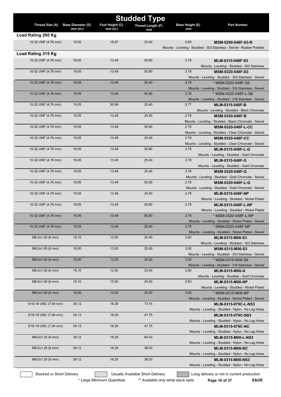|                           |                                      |                               | <b>Studded Type</b>              |                       |                                                                                 |
|---------------------------|--------------------------------------|-------------------------------|----------------------------------|-----------------------|---------------------------------------------------------------------------------|
| Thread Size (A)           | <b>Base Diameter (D)</b><br>mm (in.) | Foot Height (C)<br>$mm$ (in.) | Thread Length (F)                | Base Height (E)<br>mm | <b>Part Number</b>                                                              |
| Load Rating 290 Kg        |                                      |                               | mm                               |                       |                                                                                 |
| 10-32 UNF (4.76 mm)       | 19.05                                | 16.67                         | 25.40                            | 5.95                  | MSM-0290-048F-S3-R                                                              |
|                           |                                      |                               |                                  |                       | Mounts - Leveling - Studded - 303 Stainless - Swivel - Rubber Padded            |
| Load Rating 315 Kg        |                                      |                               |                                  |                       |                                                                                 |
| 10-32 UNF (4.76 mm)       | 19.05                                | 13.49                         | 50.80                            | 2.78                  | MLM-0315-048F-S3                                                                |
|                           |                                      |                               |                                  |                       | Mounts - Leveling - Studded - 303 Stainless                                     |
| 10-32 UNF (4.76 mm)       | 19.05                                | 13.49                         | 50.80                            | 2.78                  | MSM-0320-048F-S3                                                                |
| 10-32 UNF (4.76 mm)       | 19.05                                | 13.49                         | 25.40                            | 2.78                  | Mounts - Leveling - Studded - 303 Stainless - Swivel<br>* MSM-0320-048F-S6      |
|                           |                                      |                               |                                  |                       | Mounts - Leveling - Studded - 316 Stainless - Swivel                            |
| 10-32 UNF (4.76 mm)       | 19.05                                | 13.49                         | 50.80                            | 2.78                  | * MSM-0320-048F-L-S6                                                            |
|                           |                                      |                               |                                  |                       | Mounts - Leveling - Studded - 316 Stainless - Swivel                            |
| 10-32 UNF (4.76 mm)       | 19.05                                | 30.94                         | 25.40                            | 2.77                  | <b>MLM-0315-048F-B</b>                                                          |
| 10-32 UNF (4.76 mm)       | 19.05                                | 13.49                         | 25.40                            | 2.78                  | Mounts - Leveling - Studded - Black Chromate                                    |
|                           |                                      |                               |                                  |                       | <b>MSM-0320-048F-B</b><br>Mounts - Leveling - Studded - Black Chromate - Swivel |
| 10-32 UNF (4.76 mm)       | 19.05                                | 13.49                         | 50.80                            | 2.78                  | <b>MSM-0320-048F-L-CC</b>                                                       |
|                           |                                      |                               |                                  |                       | Mounts - Leveling - Studded - Clear Chromate - Swivel                           |
| 10-32 UNF (4.76 mm)       | 19.05                                | 13.49                         | 25.40                            | 2.78                  | <b>MSM-0320-048F-CC</b>                                                         |
|                           |                                      |                               |                                  |                       | Mounts - Leveling - Studded - Clear Chromate - Swivel                           |
| 10-32 UNF (4.76 mm)       | 19.05                                | 13.49                         | 50.80                            | 2.78                  | MLM-0315-048F-L-G<br>Mounts - Leveling - Studded - Gold Chromate                |
| 10-32 UNF (4.76 mm)       | 19.05                                | 13.49                         | 25.40                            | 2.78                  | MLM-0315-048F-G                                                                 |
|                           |                                      |                               |                                  |                       | Mounts - Leveling - Studded - Gold Chromate                                     |
| 10-32 UNF (4.76 mm)       | 19.05                                | 13.49                         | 25.40                            | 2.78                  | <b>MSM-0320-048F-G</b>                                                          |
|                           |                                      |                               |                                  |                       | Mounts - Leveling - Studded - Gold Chromate - Swivel                            |
| 10-32 UNF (4.76 mm)       | 19.05                                | 13.49                         | 50.80                            | 2.78                  | MSM-0320-048F-L-G                                                               |
| 10-32 UNF (4.76 mm)       | 19.05                                | 13.49                         | 25.40                            | 2.78                  | Mounts - Leveling - Studded - Gold Chromate - Swivel<br>MLM-0315-048F-NP        |
|                           |                                      |                               |                                  |                       | Mounts - Leveling - Studded - Nickel Plated                                     |
| 10-32 UNF (4.76 mm)       | 19.05                                | 13.49                         | 50.80                            | 2.78                  | MLM-0315-048F-L-NP                                                              |
|                           |                                      |                               |                                  |                       | Mounts - Leveling - Studded - Nickel Plated                                     |
| 10-32 UNF (4.76 mm)       | 19.05                                | 13.49                         | 50.80                            | 2.78                  | * MSM-0320-048F-L-NP                                                            |
| 10-32 UNF (4.76 mm)       | 19.05                                | 13.49                         | 25.40                            | 2.78                  | Mounts - Leveling - Studded - Nickel Plated - Swivel<br>* MSM-0320-048F-NP      |
|                           |                                      |                               |                                  |                       | Mounts - Leveling - Studded - Nickel Plated - Swivel                            |
| M6.0x1.00 (6 mm)          | 19.10                                | 13.50                         | 25.40                            | 2.80                  | MLM-0315-M06-S3                                                                 |
|                           |                                      |                               |                                  |                       | Mounts - Leveling - Studded - 303 Stainless                                     |
| M6.0x1.00 (6 mm)          | 19.00                                | 13.00                         | 25.00                            | 3.00                  | MSM-0315-M06-S3                                                                 |
| M6.0x1.00 (6 mm)          | 19.00                                | 13.00                         | 25.00                            | 3.00                  | Mounts - Leveling - Studded - 303 Stainless - Swivel<br>* MSM-0315-M06-S6       |
|                           |                                      |                               |                                  |                       | Mounts - Leveling - Studded - 316 Stainless - Swivel                            |
| M6.0x1.00 (6 mm)          | 19.10                                | 13.50                         | 25.40                            | 2.80                  | <b>MLM-0315-M06-G</b>                                                           |
|                           |                                      |                               |                                  |                       | Mounts - Leveling - Studded - Gold Chromate                                     |
| M6.0x1.00 (6 mm)          | 19.10                                | 13.50                         | 25.40                            | 2.80                  | MLM-0315-M06-NP                                                                 |
| M6.0x1.00 (6 mm)          | 19.00                                | 13.00                         | 25.00                            | 3.00                  | Mounts - Leveling - Studded - Nickel Plated                                     |
|                           |                                      |                               |                                  |                       | * MSM-0315-M06-NP<br>Mounts - Leveling - Studded - Nickel Plated - Swivel       |
| 5/16-18 UNC (7.94 mm)     | 39.12                                | 18.29                         | 73.15                            |                       | MLM-0315-079C-L-NS3                                                             |
|                           |                                      |                               |                                  |                       | Mounts - Leveling - Studded - Nylon - No Lag Holes                              |
| 5/16-18 UNC (7.94 mm)     | 39.12                                | 18.29                         | 47.75                            |                       | MLM-0315-079C-NS3                                                               |
|                           |                                      |                               |                                  |                       | Mounts - Leveling - Studded - Nylon - No Lag Holes                              |
| 5/16-18 UNC (7.94 mm)     | 39.12                                | 18.29                         | 47.75                            |                       | MLM-0315-079C-NC                                                                |
| M8.0x1.25 (8 mm)          | 39.12                                | 18.29                         | 64.03                            |                       | Mounts - Leveling - Studded - Nylon - No Lag Holes<br>MLM-0315-M08-L-NS3        |
|                           |                                      |                               |                                  |                       | Mounts - Leveling - Studded - Nylon - No Lag Holes                              |
| M8.0x1.25 (8 mm)          | 39.12                                | 18.29                         | 38.03                            |                       | <b>MLM-0315-M08-NC</b>                                                          |
|                           |                                      |                               |                                  |                       | Mounts - Leveling - Studded - Nylon - No Lag Holes                              |
| M8.0x1.25 (8 mm)          | 39.12                                | 18.29                         | 38.03                            |                       | MLM-0315-M08-NS3                                                                |
|                           |                                      |                               |                                  |                       | Mounts - Leveling - Studded - Nylon - No Lag Holes                              |
| Stocked or Short Delivery |                                      |                               | Usually Available Short Delivery |                       | Long delivery or not in current production                                      |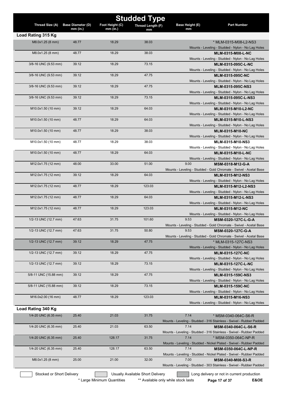|                       |                          |                 | <b>Studded Type</b> |                        |                                                                                              |
|-----------------------|--------------------------|-----------------|---------------------|------------------------|----------------------------------------------------------------------------------------------|
| Thread Size (A)       | <b>Base Diameter (D)</b> | Foot Height (C) | Thread Length (F)   | <b>Base Height (E)</b> | <b>Part Number</b>                                                                           |
|                       | $mm$ (in.)               | $mm$ (in.)      | mm                  | mm                     |                                                                                              |
| Load Rating 315 Kg    |                          |                 |                     |                        |                                                                                              |
| M8.0x1.25 (8 mm)      | 48.77                    | 18.29           | 38.03               |                        | * MLM-0315-M08-L2-NS3<br>Mounts - Leveling - Studded - Nylon - No Lag Holes                  |
| M8.0x1.25 (8 mm)      | 48.77                    | 18.29           | 38.03               |                        | <b>MLM-0315-M08-L-NC</b>                                                                     |
|                       |                          |                 |                     |                        | Mounts - Leveling - Studded - Nylon - No Lag Holes                                           |
| 3/8-16 UNC (9.53 mm)  | 39.12                    | 18.29           | 73.15               |                        | <b>MLM-0315-095C-L-NC</b>                                                                    |
|                       |                          |                 |                     |                        | Mounts - Leveling - Studded - Nylon - No Lag Holes                                           |
| 3/8-16 UNC (9.53 mm)  | 39.12                    | 18.29           | 47.75               |                        | <b>MLM-0315-095C-NC</b>                                                                      |
|                       |                          |                 |                     |                        | Mounts - Leveling - Studded - Nylon - No Lag Holes                                           |
| 3/8-16 UNC (9.53 mm)  | 39.12                    | 18.29           | 47.75               |                        | MLM-0315-095C-NS3<br>Mounts - Leveling - Studded - Nylon - No Lag Holes                      |
| 3/8-16 UNC (9.53 mm)  | 39.12                    | 18.29           | 73.15               |                        | MLM-0315-095C-L-NS3                                                                          |
|                       |                          |                 |                     |                        | Mounts - Leveling - Studded - Nylon - No Lag Holes                                           |
| M10.0x1.50 (10 mm)    | 39.12                    | 18.29           | 64.03               |                        | MLM-0315-M10-L2-NC                                                                           |
|                       |                          |                 |                     |                        | Mounts - Leveling - Studded - Nylon - No Lag Holes                                           |
| M10.0x1.50 (10 mm)    | 48.77                    | 18.29           | 64.03               |                        | <b>MLM-0315-M10-L-NS3</b>                                                                    |
|                       |                          |                 |                     |                        | Mounts - Leveling - Studded - Nylon - No Lag Holes                                           |
| M10.0x1.50 (10 mm)    | 48.77                    | 18.29           | 38.03               |                        | <b>MLM-0315-M10-NC</b><br>Mounts - Leveling - Studded - Nylon - No Lag Holes                 |
| M10.0x1.50 (10 mm)    | 48.77                    | 18.29           | 38.03               |                        | MLM-0315-M10-NS3                                                                             |
|                       |                          |                 |                     |                        | Mounts - Leveling - Studded - Nylon - No Lag Holes                                           |
| M10.0x1.50 (10 mm)    | 48.77                    | 18.29           | 64.03               |                        | <b>MLM-0315-M10-L-NC</b>                                                                     |
|                       |                          |                 |                     |                        | Mounts - Leveling - Studded - Nylon - No Lag Holes                                           |
| M12.0x1.75 (12 mm)    | 48.00                    | 33.00           | 51.00               | 9.00                   | MSM-0318-M12-G-A                                                                             |
|                       |                          |                 |                     |                        | Mounts - Leveling - Studded - Gold Chromate - Swivel - Acetal Base                           |
| M12.0x1.75 (12 mm)    | 39.12                    | 18.29           | 64.03               |                        | MLM-0315-M12-NS3                                                                             |
| M12.0x1.75 (12 mm)    | 48.77                    | 18.29           | 123.03              |                        | Mounts - Leveling - Studded - Nylon - No Lag Holes<br>MLM-0315-M12-L2-NS3                    |
|                       |                          |                 |                     |                        | Mounts - Leveling - Studded - Nylon - No Lag Holes                                           |
| M12.0x1.75 (12 mm)    | 48.77                    | 18.29           | 64.03               |                        | MLM-0315-M12-L-NS3                                                                           |
|                       |                          |                 |                     |                        | Mounts - Leveling - Studded - Nylon - No Lag Holes                                           |
| M12.0x1.75 (12 mm)    | 48.77                    | 18.29           | 123.03              |                        | <b>MLM-0315-M12-NC</b>                                                                       |
|                       |                          |                 |                     |                        | Mounts - Leveling - Studded - Nylon - No Lag Holes                                           |
| 1/2-13 UNC (12.7 mm)  | 47.63                    | 31.75           | 101.60              | 9.53                   | MSM-0320-127C-L-G-A                                                                          |
| 1/2-13 UNC (12.7 mm)  | 47.63                    | 31.75           | 50.80               | 9.53                   | Mounts - Leveling - Studded - Gold Chromate - Swivel - Acetal Base<br>MSM-0320-127C-G-A      |
|                       |                          |                 |                     |                        | Mounts - Leveling - Studded - Gold Chromate - Swivel - Acetal Base                           |
| 1/2-13 UNC (12.7 mm)  | 39.12                    | 18.29           | 47.75               |                        | * MLM-0315-127C-NS3                                                                          |
|                       |                          |                 |                     |                        | Mounts - Leveling - Studded - Nylon - No Lag Holes                                           |
| 1/2-13 UNC (12.7 mm)  | 39.12                    | 18.29           | 47.75               |                        | <b>MLM-0315-127C-NC</b>                                                                      |
|                       |                          |                 |                     |                        | Mounts - Leveling - Studded - Nylon - No Lag Holes                                           |
| 1/2-13 UNC (12.7 mm)  | 39.12                    | 18.29           | 73.15               |                        | <b>MLM-0315-127C-L-NC</b><br>Mounts - Leveling - Studded - Nylon - No Lag Holes              |
| 5/8-11 UNC (15.88 mm) | 39.12                    | 18.29           | 47.75               |                        | MLM-0315-159C-NS3                                                                            |
|                       |                          |                 |                     |                        | Mounts - Leveling - Studded - Nylon - No Lag Holes                                           |
| 5/8-11 UNC (15.88 mm) | 39.12                    | 18.29           | 73.15               |                        | MLM-0315-159C-NC                                                                             |
|                       |                          |                 |                     |                        | Mounts - Leveling - Studded - Nylon - No Lag Holes                                           |
| M16.0x2.00 (16 mm)    | 48.77                    | 18.29           | 123.03              |                        | <b>MLM-0315-M16-NS3</b>                                                                      |
|                       |                          |                 |                     |                        | Mounts - Leveling - Studded - Nylon - No Lag Holes                                           |
| Load Rating 340 Kg    |                          |                 |                     |                        |                                                                                              |
| 1/4-20 UNC (6.35 mm)  | 25.40                    | 21.03           | 31.75               | 7.14                   | * MSM-0340-064C-S6-R                                                                         |
| 1/4-20 UNC (6.35 mm)  | 25.40                    | 21.03           | 63.50               | 7.14                   | Mounts - Leveling - Studded - 316 Stainless - Swivel - Rubber Padded                         |
|                       |                          |                 |                     |                        | MSM-0340-064C-L-S6-R<br>Mounts - Leveling - Studded - 316 Stainless - Swivel - Rubber Padded |
| 1/4-20 UNC (6.35 mm)  | 25.40                    | 128.17          | 31.75               | 7.14                   | * MSM-0350-064C-NP-R                                                                         |
|                       |                          |                 |                     |                        | Mounts - Leveling - Studded - Nickel Plated - Swivel - Rubber Padded                         |
| 1/4-20 UNC (6.35 mm)  | 25.40                    | 128.17          | 63.50               | 7.14                   | <b>MSM-0350-064C-L-NP-R</b>                                                                  |
|                       |                          |                 |                     |                        | Mounts - Leveling - Studded - Nickel Plated - Swivel - Rubber Padded                         |
| M8.0x1.25 (8 mm)      | 25.00                    | 21.00           | 32.00               | 7.00                   | MSM-0340-M08-S3-R                                                                            |
|                       |                          |                 |                     |                        | Mounts - Leveling - Studded - 303 Stainless - Swivel - Rubber Padded                         |

Stocked or Short Delivery **Contains the Usually Available Short Delivery Containery** Long delivery or not in current production

\* Large Minimum Quantities \*\* Available only while stock lasts **Page 17 of 37** E&OE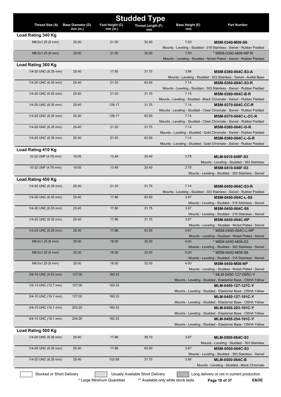|                           |                                        |                               | <b>Studded Type</b>              |                       |                                                                                                    |
|---------------------------|----------------------------------------|-------------------------------|----------------------------------|-----------------------|----------------------------------------------------------------------------------------------------|
| Thread Size (A)           | <b>Base Diameter (D)</b><br>$mm$ (in.) | Foot Height (C)<br>$mm$ (in.) | Thread Length (F)                | Base Height (E)<br>mm | <b>Part Number</b>                                                                                 |
| Load Rating 340 Kg        |                                        |                               | mm                               |                       |                                                                                                    |
| M8.0x1.25 (8 mm)          | 25.00                                  | 21.00                         | 32.00                            | 7.00                  | MSM-0340-M08-S6                                                                                    |
|                           |                                        |                               |                                  |                       | Mounts - Leveling - Studded - 316 Stainless - Swivel - Rubber Padded                               |
| M8.0x1.25 (8 mm)          | 25.00                                  | 21.00                         | 32.00                            | 7.00                  | * MSM-0340-M08-NP-R                                                                                |
|                           |                                        |                               |                                  |                       | Mounts - Leveling - Studded - Nickel Plated - Swivel - Rubber Padded                               |
| Load Rating 360 Kg        |                                        |                               |                                  |                       |                                                                                                    |
| 1/4-20 UNC (6.35 mm)      | 25.40                                  | 17.85                         | 31.75                            | 3.96                  | MSM-0360-064C-S3-A                                                                                 |
|                           |                                        |                               |                                  |                       | Mounts - Leveling - Studded - 303 Stainless - Swivel - Acetal Base                                 |
| 1/4-20 UNC (6.35 mm)      | 25.40                                  | 21.03                         | 63.50                            | 7.14                  | MSM-0360-064C-S3-R                                                                                 |
|                           |                                        |                               |                                  |                       | Mounts - Leveling - Studded - 303 Stainless - Swivel - Rubber Padded                               |
| 1/4-20 UNC (6.35 mm)      | 25.40                                  | 21.03                         | 31.75                            | 7.14                  | MSM-0360-064C-B-R                                                                                  |
| 1/4-20 UNC (6.35 mm)      | 25.40                                  | 128.17                        | 31.75                            | 7.14                  | Mounts - Leveling - Studded - Black Chromate - Swivel - Rubber Padded<br><b>MSM-0370-064C-CC-R</b> |
|                           |                                        |                               |                                  |                       | Mounts - Leveling - Studded - Clear Chromate - Swivel - Rubber Padded                              |
| 1/4-20 UNC (6.35 mm)      | 25.40                                  | 128.17                        | 63.50                            | 7.14                  | <b>MSM-0370-064C-L-CC-R</b>                                                                        |
|                           |                                        |                               |                                  |                       | Mounts - Leveling - Studded - Clear Chromate - Swivel - Rubber Padded                              |
| 1/4-20 UNC (6.35 mm)      | 25.40                                  | 21.03                         | 31.75                            | 7.14                  | MSM-0360-064C-G-R                                                                                  |
|                           |                                        |                               |                                  |                       | Mounts - Leveling - Studded - Gold Chromate - Swivel - Rubber Padded                               |
| 1/4-20 UNC (6.35 mm)      | 25.40                                  | 21.03                         | 63.50                            | 7.14                  | MSM-0360-064C-L-G-R                                                                                |
|                           |                                        |                               |                                  |                       | Mounts - Leveling - Studded - Gold Chromate - Swivel - Rubber Padded                               |
| Load Rating 410 Kg        |                                        |                               |                                  |                       |                                                                                                    |
| 10-32 UNF (4.76 mm)       | 19.05                                  | 13.49                         | 25.40                            | 2.78                  | MLM-0410-048F-S3                                                                                   |
|                           |                                        |                               |                                  |                       | Mounts - Leveling - Studded - 303 Stainless                                                        |
| 10-32 UNF (4.76 mm)       | 19.05                                  | 13.49                         | 25.40                            | 2.78                  | MSM-0410-048F-S3                                                                                   |
|                           |                                        |                               |                                  |                       | Mounts - Leveling - Studded - 303 Stainless - Swivel                                               |
| Load Rating 450 Kg        |                                        |                               |                                  |                       |                                                                                                    |
| 1/4-20 UNC (6.35 mm)      | 25.40                                  | 21.03                         | 31.75                            | 7.14                  | MSM-0450-064C-S3-R                                                                                 |
|                           |                                        |                               |                                  |                       | Mounts - Leveling - Studded - 303 Stainless - Swivel - Rubber Padded                               |
| 1/4-20 UNC (6.35 mm)      | 25.40                                  | 17.86                         | 63.50                            | 3.97                  | MSM-0450-064C-L-S6                                                                                 |
|                           |                                        |                               |                                  |                       | Mounts - Leveling - Studded - 316 Stainless - Swivel                                               |
| 1/4-20 UNC (6.35 mm)      | 25.40                                  | 17.86                         | 31.75                            | 3.97                  | MSM-0450-064C-S6                                                                                   |
|                           |                                        |                               |                                  |                       | Mounts - Leveling - Studded - 316 Stainless - Swivel                                               |
| 1/4-20 UNC (6.35 mm)      | 25.40                                  | 17.86                         | 31.75                            | 3.97                  | MSM-0450-064C-NP<br>Mounts - Leveling - Studded - Nickel Plated - Swivel                           |
| 1/4-20 UNC (6.35 mm)      | 25.40                                  | 17.86                         | 63.50                            | 3.97                  | * MSM-0450-064C-L-NP                                                                               |
|                           |                                        |                               |                                  |                       | Mounts - Leveling - Studded - Nickel Plated - Swivel                                               |
| M8.0x1.25 (8 mm)          | 25.00                                  | 18.00                         | 32.00                            | 4.00                  | * MSM-0450-M08-S3                                                                                  |
|                           |                                        |                               |                                  |                       | Mounts - Leveling - Studded - 303 Stainless - Swivel                                               |
| M8.0x1.25 (8 mm)          | 25.00                                  | 18.00                         | 32.00                            | 4.00                  | * MSM-0450-M08-S6                                                                                  |
|                           |                                        |                               |                                  |                       | Mounts - Leveling - Studded - 316 Stainless - Swivel                                               |
| M8.0x1.25 (8 mm)          | 25.00                                  | 18.00                         | 32.00                            | 4.00                  | MSM-0450-M08-NP                                                                                    |
|                           |                                        |                               |                                  |                       | Mounts - Leveling - Studded - Nickel Plated - Swivel                                               |
| 3/8-16 UNC (9.53 mm)      | 127.00                                 | 160.33                        |                                  |                       | * MLM-0450-127-095C-Y                                                                              |
| 1/2-13 UNC (12.7 mm)      | 127.00                                 | 160.33                        |                                  |                       | Mounts - Leveling - Studded - Elastomer Base - OSHA Yellow                                         |
|                           |                                        |                               |                                  |                       | MLM-0450-127-127C-Y                                                                                |
| 3/4-10 UNC (19.1 mm)      | 127.00                                 | 160.33                        |                                  |                       | Mounts - Leveling - Studded - Elastomer Base - OSHA Yellow<br>MLM-0450-127-191C-Y                  |
|                           |                                        |                               |                                  |                       | Mounts - Leveling - Studded - Elastomer Base - OSHA Yellow                                         |
| 3/4-10 UNC (19.1 mm)      | 203.20                                 | 160.33                        |                                  |                       | MLM-0450-203-191C-Y                                                                                |
|                           |                                        |                               |                                  |                       | Mounts - Leveling - Studded - Elastomer Base - OSHA Yellow                                         |
| 3/4-10 UNC (19.1 mm)      | 254.00                                 | 160.33                        |                                  |                       | MLM-0450-254-191C-Y                                                                                |
|                           |                                        |                               |                                  |                       | Mounts - Leveling - Studded - Elastomer Base - OSHA Yellow                                         |
| Load Rating 500 Kg        |                                        |                               |                                  |                       |                                                                                                    |
| 1/4-20 UNC (6.35 mm)      | 25.40                                  | 17.86                         | 38.10                            | 3.97                  | MLM-0500-064C-S3                                                                                   |
|                           |                                        |                               |                                  |                       | Mounts - Leveling - Studded - 303 Stainless                                                        |
| 1/4-20 UNC (6.35 mm)      | 25.40                                  | 17.86                         | 63.50                            | 3.97                  | MSM-0500-064C-S3                                                                                   |
|                           |                                        |                               |                                  |                       | Mounts - Leveling - Studded - 303 Stainless - Swivel                                               |
| 1/4-20 UNC (6.35 mm)      | 25.40                                  | 103.58                        | 31.75                            | 3.96                  | MLM-0500-064C-B                                                                                    |
|                           |                                        |                               |                                  |                       | Mounts - Leveling - Studded - Black Chromate                                                       |
| Stocked or Short Delivery |                                        |                               | Usually Available Short Delivery |                       | Long delivery or not in current production                                                         |
|                           |                                        |                               |                                  |                       |                                                                                                    |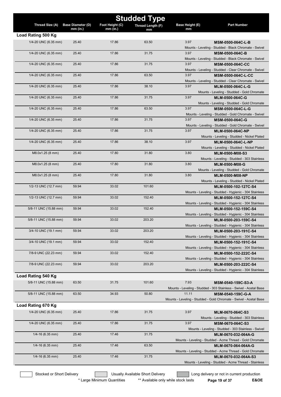| <b>Studded Type</b>   |                          |                 |                   |                        |                                                                           |  |
|-----------------------|--------------------------|-----------------|-------------------|------------------------|---------------------------------------------------------------------------|--|
| Thread Size (A)       | <b>Base Diameter (D)</b> | Foot Height (C) | Thread Length (F) | <b>Base Height (E)</b> | <b>Part Number</b>                                                        |  |
|                       | mm (in.)                 | $mm$ (in.)      | mm                | mm                     |                                                                           |  |
| Load Rating 500 Kg    |                          |                 |                   |                        |                                                                           |  |
| 1/4-20 UNC (6.35 mm)  | 25.40                    | 17.86           | 63.50             | 3.97                   | MSM-0500-064C-L-B                                                         |  |
|                       |                          |                 |                   |                        | Mounts - Leveling - Studded - Black Chromate - Swivel                     |  |
| 1/4-20 UNC (6.35 mm)  | 25.40                    | 17.86           | 31.75             | 3.97                   | <b>MSM-0500-064C-B</b>                                                    |  |
|                       |                          |                 |                   |                        | Mounts - Leveling - Studded - Black Chromate - Swivel                     |  |
| 1/4-20 UNC (6.35 mm)  | 25.40                    | 17.86           | 31.75             | 3.97                   | <b>MSM-0500-064C-CC</b>                                                   |  |
|                       |                          |                 |                   |                        | Mounts - Leveling - Studded - Clear Chromate - Swivel                     |  |
| 1/4-20 UNC (6.35 mm)  | 25.40                    | 17.86           | 63.50             | 3.97                   | <b>MSM-0500-064C-L-CC</b>                                                 |  |
|                       |                          |                 |                   |                        | Mounts - Leveling - Studded - Clear Chromate - Swivel                     |  |
| 1/4-20 UNC (6.35 mm)  | 25.40                    | 17.86           | 38.10             | 3.97                   | MLM-0500-064C-L-G                                                         |  |
|                       |                          |                 |                   |                        | Mounts - Leveling - Studded - Gold Chromate                               |  |
| 1/4-20 UNC (6.35 mm)  | 25.40                    | 17.86           | 31.75             | 3.97                   | MLM-0500-064C-G                                                           |  |
| 1/4-20 UNC (6.35 mm)  | 25.40                    | 17.86           | 63.50             | 3.97                   | Mounts - Leveling - Studded - Gold Chromate                               |  |
|                       |                          |                 |                   |                        | MSM-0500-064C-L-G<br>Mounts - Leveling - Studded - Gold Chromate - Swivel |  |
| 1/4-20 UNC (6.35 mm)  | 25.40                    | 17.86           | 31.75             | 3.97                   | MSM-0500-064C-G                                                           |  |
|                       |                          |                 |                   |                        | Mounts - Leveling - Studded - Gold Chromate - Swivel                      |  |
| 1/4-20 UNC (6.35 mm)  | 25.40                    | 17.86           | 31.75             | 3.97                   | MLM-0500-064C-NP                                                          |  |
|                       |                          |                 |                   |                        | Mounts - Leveling - Studded - Nickel Plated                               |  |
| 1/4-20 UNC (6.35 mm)  | 25.40                    | 17.86           | 38.10             | 3.97                   | MLM-0500-064C-L-NP                                                        |  |
|                       |                          |                 |                   |                        | Mounts - Leveling - Studded - Nickel Plated                               |  |
| M8.0x1.25 (8 mm)      | 25.40                    | 17.80           | 31.80             | 3.80                   | MLM-0500-M08-S3                                                           |  |
|                       |                          |                 |                   |                        | Mounts - Leveling - Studded - 303 Stainless                               |  |
| M8.0x1.25 (8 mm)      | 25.40                    | 17.80           | 31.80             | 3.80                   | MLM-0500-M08-G                                                            |  |
|                       |                          |                 |                   |                        | Mounts - Leveling - Studded - Gold Chromate                               |  |
| M8.0x1.25 (8 mm)      | 25.40                    | 17.80           | 31.80             | 3.80                   | <b>MLM-0500-M08-NP</b>                                                    |  |
|                       |                          |                 |                   |                        | Mounts - Leveling - Studded - Nickel Plated                               |  |
| 1/2-13 UNC (12.7 mm)  | 59.94                    | 33.02           | 101.60            |                        | MLM-0500-102-127C-S4                                                      |  |
|                       |                          |                 |                   |                        | Mounts - Leveling - Studded - Hygienic - 304 Stainless                    |  |
| 1/2-13 UNC (12.7 mm)  | 59.94                    | 33.02           | 152.40            |                        | MLM-0500-152-127C-S4                                                      |  |
|                       |                          |                 |                   |                        | Mounts - Leveling - Studded - Hygienic - 304 Stainless                    |  |
| 5/8-11 UNC (15.88 mm) | 59.94                    | 33.02           | 152.40            |                        | MLM-0500-152-159C-S4                                                      |  |
|                       |                          |                 |                   |                        | Mounts - Leveling - Studded - Hygienic - 304 Stainless                    |  |
| 5/8-11 UNC (15.88 mm) | 59.94                    | 33.02           | 203.20            |                        | MLM-0500-203-159C-S4                                                      |  |
|                       |                          |                 |                   |                        | Mounts - Leveling - Studded - Hygienic - 304 Stainless                    |  |
| 3/4-10 UNC (19.1 mm)  | 59.94                    | 33.02           | 203.20            |                        | MLM-0500-203-191C-S4                                                      |  |
|                       |                          |                 |                   |                        | Mounts - Leveling - Studded - Hygienic - 304 Stainless                    |  |
| 3/4-10 UNC (19.1 mm)  | 59.94                    | 33.02           | 152.40            |                        | MLM-0500-152-191C-S4                                                      |  |
|                       |                          |                 |                   |                        | Mounts - Leveling - Studded - Hygienic - 304 Stainless                    |  |
| 7/8-9 UNC (22.23 mm)  | 59.94                    | 33.02           | 152.40            |                        | MLM-0500-152-222C-S4                                                      |  |
|                       |                          |                 |                   |                        | Mounts - Leveling - Studded - Hygienic - 304 Stainless                    |  |
| 7/8-9 UNC (22.23 mm)  | 59.94                    | 33.02           | 203.20            |                        | MLM-0500-203-222C-S4                                                      |  |
|                       |                          |                 |                   |                        | Mounts - Leveling - Studded - Hygienic - 304 Stainless                    |  |
| Load Rating 540 Kg    |                          |                 |                   |                        |                                                                           |  |
| 5/8-11 UNC (15.88 mm) | 63.50                    | 31.75           | 101.60            | 7.93                   | MSM-0540-159C-S3-A                                                        |  |
|                       |                          |                 |                   |                        | Mounts - Leveling - Studded - 303 Stainless - Swivel - Acetal Base        |  |
| 5/8-11 UNC (15.88 mm) | 63.50                    | 34.93           | 50.80             | 11.11                  | MSM-0540-159C-G-A                                                         |  |
|                       |                          |                 |                   |                        | Mounts - Leveling - Studded - Gold Chromate - Swivel - Acetal Base        |  |
| Load Rating 670 Kg    |                          |                 |                   |                        |                                                                           |  |
| 1/4-20 UNC (6.35 mm)  | 25.40                    | 17.86           | 31.75             | 3.97                   | MLM-0670-064C-S3                                                          |  |
|                       |                          |                 |                   |                        | Mounts - Leveling - Studded - 303 Stainless                               |  |
| 1/4-20 UNC (6.35 mm)  | 25.40                    | 17.86           | 31.75             | 3.97                   | MSM-0670-064C-S3                                                          |  |
|                       |                          |                 |                   |                        | Mounts - Leveling - Studded - 303 Stainless - Swivel                      |  |
| $1/4 - 16$ (6.35 mm)  | 25.40                    | 17.46           | 31.75             |                        | MLM-0670-032-064A-G                                                       |  |
|                       |                          |                 |                   |                        | Mounts - Leveling - Studded - Acme Thread - Gold Chromate                 |  |
| $1/4 - 16$ (6.35 mm)  | 25.40                    | 17.46           | 63.50             |                        | MLM-0670-064-064A-G                                                       |  |
|                       |                          |                 |                   |                        | Mounts - Leveling - Studded - Acme Thread - Gold Chromate                 |  |
| $1/4 - 16$ (6.35 mm)  | 25.40                    | 17.46           | 31.75             |                        | MLM-0670-032-064A-S3                                                      |  |
|                       |                          |                 |                   |                        | Mounts - Leveling - Studded - Acme Thread - Stainless                     |  |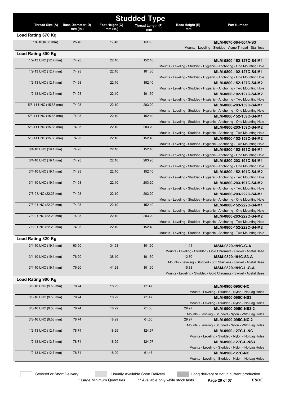| <b>Studded Type</b>   |                          |                 |                   |                       |                                                                                                   |
|-----------------------|--------------------------|-----------------|-------------------|-----------------------|---------------------------------------------------------------------------------------------------|
| Thread Size (A)       | <b>Base Diameter (D)</b> | Foot Height (C) | Thread Length (F) | Base Height (E)<br>mm | <b>Part Number</b>                                                                                |
| Load Rating 670 Kg    | $mm$ (in.)               | $mm$ (in.)      | mm                |                       |                                                                                                   |
| $1/4 - 16$ (6.35 mm)  | 25.40                    | 17.46           | 63.50             |                       | MLM-0670-064-064A-S3                                                                              |
|                       |                          |                 |                   |                       | Mounts - Leveling - Studded - Acme Thread - Stainless                                             |
| Load Rating 800 Kg    |                          |                 |                   |                       |                                                                                                   |
| 1/2-13 UNC (12.7 mm)  | 74.93                    | 22.10           | 152.40            |                       | MLM-0800-152-127C-S4-M1                                                                           |
|                       |                          |                 |                   |                       | Mounts - Leveling - Studded - Hygienic - Anchoring - One Mounting Hole                            |
| 1/2-13 UNC (12.7 mm)  | 74.93                    | 22.10           | 101.60            |                       | MLM-0800-102-127C-S4-M1                                                                           |
|                       |                          |                 |                   |                       | Mounts - Leveling - Studded - Hygienic - Anchoring - One Mounting Hole                            |
| 1/2-13 UNC (12.7 mm)  | 74.93                    | 22.10           | 152.40            |                       | MLM-0800-152-127C-S4-M2                                                                           |
|                       |                          |                 |                   |                       | Mounts - Leveling - Studded - Hygienic - Anchoring - Two Mounting Hole                            |
| 1/2-13 UNC (12.7 mm)  | 74.93                    | 22.10           | 101.60            |                       | MLM-0800-102-127C-S4-M2                                                                           |
| 5/8-11 UNC (15.88 mm) | 74.93                    | 22.10           | 203.20            |                       | Mounts - Leveling - Studded - Hygienic - Anchoring - Two Mounting Hole<br>MLM-0800-203-159C-S4-M1 |
|                       |                          |                 |                   |                       | Mounts - Leveling - Studded - Hygienic - Anchoring - One Mounting Hole                            |
| 5/8-11 UNC (15.88 mm) | 74.93                    | 22.10           | 152.40            |                       | MLM-0800-152-159C-S4-M1                                                                           |
|                       |                          |                 |                   |                       | Mounts - Leveling - Studded - Hygienic - Anchoring - One Mounting Hole                            |
| 5/8-11 UNC (15.88 mm) | 74.93                    | 22.10           | 203.20            |                       | MLM-0800-203-159C-S4-M2                                                                           |
|                       |                          |                 |                   |                       | Mounts - Leveling - Studded - Hygienic - Anchoring - Two Mounting Hole                            |
| 5/8-11 UNC (15.88 mm) | 74.93                    | 22.10           | 152.40            |                       | MLM-0800-152-159C-S4-M2                                                                           |
| 3/4-10 UNC (19.1 mm)  | 74.93                    | 22.10           | 152.40            |                       | Mounts - Leveling - Studded - Hygienic - Anchoring - Two Mounting Hole                            |
|                       |                          |                 |                   |                       | MLM-0800-152-191C-S4-M1<br>Mounts - Leveling - Studded - Hygienic - Anchoring - One Mounting Hole |
| 3/4-10 UNC (19.1 mm)  | 74.93                    | 22.10           | 203.20            |                       | MLM-0800-203-191C-S4-M1                                                                           |
|                       |                          |                 |                   |                       | Mounts - Leveling - Studded - Hygienic - Anchoring - One Mounting Hole                            |
| 3/4-10 UNC (19.1 mm)  | 74.93                    | 22.10           | 152.40            |                       | MLM-0800-152-191C-S4-M2                                                                           |
|                       |                          |                 |                   |                       | Mounts - Leveling - Studded - Hygienic - Anchoring - Two Mounting Hole                            |
| 3/4-10 UNC (19.1 mm)  | 74.93                    | 22.10           | 203.20            |                       | MLM-0800-203-191C-S4-M2                                                                           |
|                       |                          |                 |                   |                       | Mounts - Leveling - Studded - Hygienic - Anchoring - Two Mounting Hole                            |
| 7/8-9 UNC (22.23 mm)  | 74.93                    | 22.10           | 203.20            |                       | MLM-0800-203-222C-S4-M1<br>Mounts - Leveling - Studded - Hygienic - Anchoring - One Mounting Hole |
| 7/8-9 UNC (22.23 mm)  | 74.93                    | 22.10           | 152.40            |                       | MLM-0800-152-222C-S4-M1                                                                           |
|                       |                          |                 |                   |                       | Mounts - Leveling - Studded - Hygienic - Anchoring - One Mounting Hole                            |
| 7/8-9 UNC (22.23 mm)  | 74.93                    | 22.10           | 203.20            |                       | MLM-0800-203-222C-S4-M2                                                                           |
|                       |                          |                 |                   |                       | Mounts - Leveling - Studded - Hygienic - Anchoring - Two Mounting Hole                            |
| 7/8-9 UNC (22.23 mm)  | 74.93                    | 22.10           | 152.40            |                       | MLM-0800-152-222C-S4-M2                                                                           |
|                       |                          |                 |                   |                       | Mounts - Leveling - Studded - Hygienic - Anchoring - Two Mounting Hole                            |
| Load Rating 820 Kg    |                          |                 |                   |                       |                                                                                                   |
| 3/4-10 UNC (19.1 mm)  | 63.50                    | 34.93           | 101.60            | 11.11                 | MSM-0820-191C-G-A                                                                                 |
|                       |                          |                 |                   |                       | Mounts - Leveling - Studded - Gold Chromate - Swivel - Acetal Base                                |
| 3/4-10 UNC (19.1 mm)  | 76.20                    | 38.10           | 101.60            | 12.70                 | MSM-0820-191C-S3-A                                                                                |
| 3/4-10 UNC (19.1 mm)  | 76.20                    | 41.28           | 101.60            | 15.88                 | Mounts - Leveling - Studded - 303 Stainless - Swivel - Acetal Base<br>MSM-0820-191C-L-G-A         |
|                       |                          |                 |                   |                       | Mounts - Leveling - Studded - Gold Chromate - Swivel - Acetal Base                                |
| Load Rating 900 Kg    |                          |                 |                   |                       |                                                                                                   |
| 3/8-16 UNC (9.53 mm)  | 78.74                    | 18.29           | 61.47             |                       | MLM-0900-095C-NC                                                                                  |
|                       |                          |                 |                   |                       | Mounts - Leveling - Studded - Nylon - No Lag Holes                                                |
| 3/8-16 UNC (9.53 mm)  | 78.74                    | 18.29           | 61.47             |                       | MLM-0900-095C-NS3                                                                                 |
|                       |                          |                 |                   |                       | Mounts - Leveling - Studded - Nylon - No Lag Holes                                                |
| 3/8-16 UNC (9.53 mm)  | 78.74                    | 18.29           | 61.50             | 29.97                 | MLM-0900-095C-NS3-2                                                                               |
|                       |                          |                 |                   |                       | Mounts - Leveling - Studded - Nylon - With Lag Holes                                              |
| 3/8-16 UNC (9.53 mm)  | 78.74                    | 18.29           | 61.50             | 29.97                 | MLM-0900-095C-NC-2                                                                                |
| 1/2-13 UNC (12.7 mm)  | 78.74                    | 18.29           | 124.97            |                       | Mounts - Leveling - Studded - Nylon - With Lag Holes<br><b>MLM-0900-127C-L-NC</b>                 |
|                       |                          |                 |                   |                       | Mounts - Leveling - Studded - Nylon - No Lag Holes                                                |
| 1/2-13 UNC (12.7 mm)  | 78.74                    | 18.29           | 124.97            |                       | <b>MLM-0900-127C-L-NS3</b>                                                                        |
|                       |                          |                 |                   |                       | Mounts - Leveling - Studded - Nylon - No Lag Holes                                                |
| 1/2-13 UNC (12.7 mm)  | 78.74                    | 18.29           | 61.47             |                       | <b>MLM-0900-127C-NC</b>                                                                           |
|                       |                          |                 |                   |                       | Mounts - Leveling - Studded - Nylon - No Lag Holes                                                |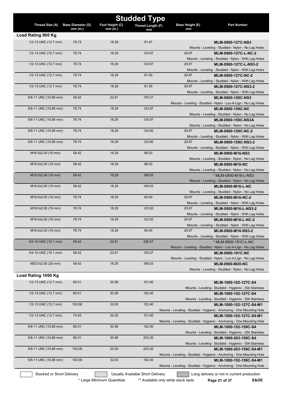|                           |                                        |                               | <b>Studded Type</b>              |                              |                                                                                     |
|---------------------------|----------------------------------------|-------------------------------|----------------------------------|------------------------------|-------------------------------------------------------------------------------------|
| Thread Size (A)           | <b>Base Diameter (D)</b><br>$mm$ (in.) | Foot Height (C)<br>$mm$ (in.) | Thread Length (F)<br>mm          | <b>Base Height (E)</b><br>mm | <b>Part Number</b>                                                                  |
| Load Rating 900 Kg        |                                        |                               |                                  |                              |                                                                                     |
| 1/2-13 UNC (12.7 mm)      | 78.74                                  | 18.29                         | 61.47                            |                              | MLM-0900-127C-NS3                                                                   |
|                           |                                        |                               |                                  |                              | Mounts - Leveling - Studded - Nylon - No Lag Holes                                  |
| 1/2-13 UNC (12.7 mm)      | 78.74                                  | 18.29                         | 124.97                           | 29.97                        | MLM-0900-127C-L-NC-2                                                                |
|                           |                                        |                               |                                  |                              | Mounts - Leveling - Studded - Nylon - With Lag Holes                                |
| 1/2-13 UNC (12.7 mm)      | 78.74                                  | 18.29                         | 124.97                           | 29.97                        | MLM-0900-127C-L-NS3-2                                                               |
| 1/2-13 UNC (12.7 mm)      | 78.74                                  | 18.29                         | 61.50                            | 29.97                        | Mounts - Leveling - Studded - Nylon - With Lag Holes<br>MLM-0900-127C-NC-2          |
|                           |                                        |                               |                                  |                              | Mounts - Leveling - Studded - Nylon - With Lag Holes                                |
| 1/2-13 UNC (12.7 mm)      | 78.74                                  | 18.29                         | 61.50                            | 29.97                        | MLM-0900-127C-NS3-2                                                                 |
|                           |                                        |                               |                                  |                              | Mounts - Leveling - Studded - Nylon - With Lag Holes                                |
| 5/8-11 UNC (15.88 mm)     | 58.42                                  | 22.61                         | 150.37                           |                              | MLM-0900-159C-NS3                                                                   |
|                           |                                        |                               |                                  |                              | Mounts - Leveling - Studded - Nylon - Loc-A-Lign - No Lag Holes                     |
| 5/8-11 UNC (15.88 mm)     | 78.74                                  | 18.29                         | 124.97                           |                              | <b>MLM-0900-159C-NC</b>                                                             |
|                           |                                        |                               |                                  |                              | Mounts - Leveling - Studded - Nylon - No Lag Holes                                  |
| 5/8-11 UNC (15.88 mm)     | 78.74                                  | 18.29                         | 124.97                           |                              | MLM-0900-159C-NS3A                                                                  |
| 5/8-11 UNC (15.88 mm)     | 78.74                                  | 18.29                         | 124.90                           | 29.97                        | Mounts - Leveling - Studded - Nylon - No Lag Holes<br>MLM-0900-159C-NC-2            |
|                           |                                        |                               |                                  |                              | Mounts - Leveling - Studded - Nylon - With Lag Holes                                |
| 5/8-11 UNC (15.88 mm)     | 78.74                                  | 18.29                         | 124.90                           | 29.97                        | MLM-0900-159C-NS3-2                                                                 |
|                           |                                        |                               |                                  |                              | Mounts - Leveling - Studded - Nylon - With Lag Holes                                |
| M16.0x2.00 (16 mm)        | 58.42                                  | 18.29                         | 88.03                            |                              | MLM-0900-M16-NS3                                                                    |
|                           |                                        |                               |                                  |                              | Mounts - Leveling - Studded - Nylon - No Lag Holes                                  |
| M16.0x2.00 (16 mm)        | 58.42                                  | 18.29                         | 88.03                            |                              | MLM-0900-M16-NC                                                                     |
|                           |                                        |                               |                                  |                              | Mounts - Leveling - Studded - Nylon - No Lag Holes                                  |
| M16.0x2.00 (16 mm)        | 58.42                                  | 18.29                         | 168.03                           |                              | * MLM-0900-M16-L-NS3                                                                |
|                           |                                        |                               |                                  |                              | Mounts - Leveling - Studded - Nylon - No Lag Holes                                  |
| M16.0x2.00 (16 mm)        | 58.42                                  | 18.29                         | 168.03                           |                              | MLM-0900-M16-L-NC                                                                   |
| M16.0x2.00 (16 mm)        | 78.74                                  | 18.29                         | 64.00                            | 29.97                        | Mounts - Leveling - Studded - Nylon - No Lag Holes<br>MLM-0900-M16-NC-2             |
|                           |                                        |                               |                                  |                              | Mounts - Leveling - Studded - Nylon - With Lag Holes                                |
| M16.0x2.00 (16 mm)        | 78.74                                  | 18.29                         | 123.00                           | 29.97                        | MLM-0900-M16-L-NS3-2                                                                |
|                           |                                        |                               |                                  |                              | Mounts - Leveling - Studded - Nylon - With Lag Holes                                |
| M16.0x2.00 (16 mm)        | 78.74                                  | 18.29                         | 123.00                           | 29.97                        | MLM-0900-M16-L-NC-2                                                                 |
|                           |                                        |                               |                                  |                              | Mounts - Leveling - Studded - Nylon - With Lag Holes                                |
| M16.0x2.00 (16 mm)        | 78.74                                  | 18.29                         | 64.00                            | 29.97                        | MLM-0900-M16-NS3-2                                                                  |
|                           |                                        |                               |                                  |                              | Mounts - Leveling - Studded - Nylon - With Lag Holes                                |
| 3/4-10 UNC (19.1 mm)      | 58.42                                  | 22.61                         | 226.57                           |                              | * MLM-0900-191C-L-NC                                                                |
| 3/4-10 UNC (19.1 mm)      | 58.42                                  | 22.61                         | 150.37                           |                              | Mounts - Leveling - Studded - Nylon - Loc-A-Lign - No Lag Holes                     |
|                           |                                        |                               |                                  |                              | MLM-0900-191C-NC<br>Mounts - Leveling - Studded - Nylon - Loc-A-Lign - No Lag Holes |
| M20.0x2.50 (20 mm)        | 58.42                                  | 18.29                         | 168.03                           |                              | MLM-0900-M20-NC                                                                     |
|                           |                                        |                               |                                  |                              | Mounts - Leveling - Studded - Nylon - No Lag Holes                                  |
| Load Rating 1000 Kg       |                                        |                               |                                  |                              |                                                                                     |
| 1/2-13 UNC (12.7 mm)      | 80.01                                  | 30.99                         | 101.60                           |                              | MLM-1000-102-127C-S4                                                                |
|                           |                                        |                               |                                  |                              | Mounts - Leveling - Studded - Hygienic - 304 Stainless                              |
| 1/2-13 UNC (12.7 mm)      | 80.01                                  | 30.99                         | 152.40                           |                              | MLM-1000-152-127C-S4                                                                |
|                           |                                        |                               |                                  |                              | Mounts - Leveling - Studded - Hygienic - 304 Stainless                              |
| 1/2-13 UNC (12.7 mm)      | 100.08                                 | 32.00                         | 152.40                           |                              | MLM-1000-152-127C-S4-M1                                                             |
|                           |                                        |                               |                                  |                              | Mounts - Leveling - Studded - Hygienic - Anchoring - One Mounting Hole              |
| 1/2-13 UNC (12.7 mm)      | 74.93                                  | 32.00                         | 101.60                           |                              | MLM-1000-102-127C-S4-M1                                                             |
|                           |                                        |                               |                                  |                              | Mounts - Leveling - Studded - Hygienic - Anchoring - One Mounting Hole              |
| 5/8-11 UNC (15.88 mm)     | 80.01                                  | 30.99                         | 152.40                           |                              | MLM-1000-152-159C-S4                                                                |
|                           |                                        |                               |                                  |                              | Mounts - Leveling - Studded - Hygienic - 304 Stainless                              |
| 5/8-11 UNC (15.88 mm)     | 80.01                                  | 30.99                         | 203.20                           |                              | MLM-1000-203-159C-S4<br>Mounts - Leveling - Studded - Hygienic - 304 Stainless      |
| 5/8-11 UNC (15.88 mm)     | 100.08                                 | 32.00                         | 203.20                           |                              | MLM-1000-203-159C-S4-M1                                                             |
|                           |                                        |                               |                                  |                              | Mounts - Leveling - Studded - Hygienic - Anchoring - One Mounting Hole              |
| 5/8-11 UNC (15.88 mm)     | 100.08                                 | 32.00                         | 152.40                           |                              | MLM-1000-152-159C-S4-M1                                                             |
|                           |                                        |                               |                                  |                              | Mounts - Leveling - Studded - Hygienic - Anchoring - One Mounting Hole              |
| Stocked or Short Delivery |                                        |                               | Usually Available Short Delivery |                              | Long delivery or not in current production                                          |
|                           |                                        |                               |                                  |                              |                                                                                     |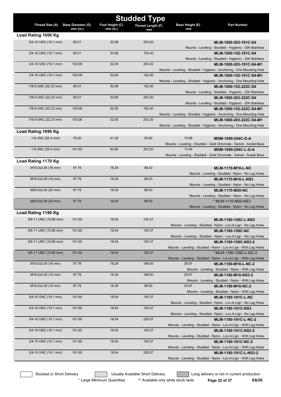|                       |                                        |                               | <b>Studded Type</b> |                       |                                                                                                |
|-----------------------|----------------------------------------|-------------------------------|---------------------|-----------------------|------------------------------------------------------------------------------------------------|
| Thread Size (A)       | <b>Base Diameter (D)</b><br>$mm$ (in.) | Foot Height (C)<br>$mm$ (in.) | Thread Length (F)   | Base Height (E)<br>mm | <b>Part Number</b>                                                                             |
| Load Rating 1000 Kg   |                                        |                               | mm                  |                       |                                                                                                |
| 3/4-10 UNC (19.1 mm)  | 80.01                                  | 30.99                         | 203.20              |                       | MLM-1000-203-191C-S4                                                                           |
|                       |                                        |                               |                     |                       | Mounts - Leveling - Studded - Hygienic - 304 Stainless                                         |
| 3/4-10 UNC (19.1 mm)  | 80.01                                  | 30.99                         | 152.40              |                       | MLM-1000-152-191C-S4                                                                           |
|                       |                                        |                               |                     |                       | Mounts - Leveling - Studded - Hygienic - 304 Stainless                                         |
| 3/4-10 UNC (19.1 mm)  | 100.08                                 | 32.00                         | 203.20              |                       | MLM-1000-203-191C-S4-M1                                                                        |
|                       |                                        |                               |                     |                       | Mounts - Leveling - Studded - Hygienic - Anchoring - One Mounting Hole                         |
| 3/4-10 UNC (19.1 mm)  | 100.08                                 | 32.00                         | 152.40              |                       | MLM-1000-152-191C-S4-M1                                                                        |
| 7/8-9 UNC (22.23 mm)  | 80.01                                  | 30.99                         | 152.40              |                       | Mounts - Leveling - Studded - Hygienic - Anchoring - One Mounting Hole<br>MLM-1000-152-222C-S4 |
|                       |                                        |                               |                     |                       | Mounts - Leveling - Studded - Hygienic - 304 Stainless                                         |
| 7/8-9 UNC (22.23 mm)  | 80.01                                  | 30.99                         | 203.20              |                       | MLM-1000-203-222C-S4                                                                           |
|                       |                                        |                               |                     |                       | Mounts - Leveling - Studded - Hygienic - 304 Stainless                                         |
| 7/8-9 UNC (22.23 mm)  | 100.08                                 | 32.00                         | 152.40              |                       | MLM-1000-152-222C-S4-M1                                                                        |
|                       |                                        |                               |                     |                       | Mounts - Leveling - Studded - Hygienic - Anchoring - One Mounting Hole                         |
| 7/8-9 UNC (22.23 mm)  | 100.08                                 | 32.00                         | 203.20              |                       | MLM-1000-203-222C-S4-M1                                                                        |
|                       |                                        |                               |                     |                       | Mounts - Leveling - Studded - Hygienic - Anchoring - One Mounting Hole                         |
| Load Rating 1090 Kg   |                                        |                               |                     |                       |                                                                                                |
| 1-8 UNC (25.4 mm)     | 76.20                                  | 41.28                         | 50.80               | 15.88                 | MSM-1090-254C-G-A                                                                              |
|                       |                                        |                               |                     |                       | Mounts - Leveling - Studded - Gold Chromate - Swivel - Acetal Base                             |
| 1-8 UNC (25.4 mm)     | 101.60                                 | 50.80                         | 203.20              | 13.49                 | MSM-1090-254C-L-G-A                                                                            |
|                       |                                        |                               |                     |                       | Mounts - Leveling - Studded - Gold Chromate - Swivel - Acetal Base                             |
| Load Rating 1170 Kg   |                                        |                               |                     |                       |                                                                                                |
| M16.0x2.00 (16 mm)    | 97.79                                  | 18.29                         | 88.03               |                       | <b>MLM-1170-M16-L-NC</b>                                                                       |
|                       | 97.79                                  | 18.29                         | 88.03               |                       | Mounts - Leveling - Studded - Nylon - No Lag Holes                                             |
| M16.0x2.00 (16 mm)    |                                        |                               |                     |                       | <b>MLM-1170-M16-L-NS3</b><br>Mounts - Leveling - Studded - Nylon - No Lag Holes                |
| M20.0x2.50 (20 mm)    | 97.79                                  | 18.29                         | 88.03               |                       | <b>MLM-1170-M20-NC</b>                                                                         |
|                       |                                        |                               |                     |                       | Mounts - Leveling - Studded - Nylon - No Lag Holes                                             |
| M20.0x2.50 (20 mm)    | 97.79                                  | 18.29                         | 88.03               |                       | * MLM-1170-M20-NS3                                                                             |
|                       |                                        |                               |                     |                       | Mounts - Leveling - Studded - Nylon - No Lag Holes                                             |
| Load Rating 1180 Kg   |                                        |                               |                     |                       |                                                                                                |
| 5/8-11 UNC (15.88 mm) | 101.60                                 | 18.54                         | 150.37              |                       | MLM-1180-159C-L-NS3                                                                            |
|                       |                                        |                               |                     |                       | Mounts - Leveling - Studded - Nylon - Loc-A-Lign - No Lag Holes                                |
| 5/8-11 UNC (15.88 mm) | 101.60                                 | 18.54                         | 150.37              |                       | MLM-1180-159C-NC                                                                               |
|                       |                                        |                               |                     |                       | Mounts - Leveling - Studded - Nylon - Loc-A-Lign - No Lag Holes                                |
| 5/8-11 UNC (15.88 mm) | 101.60                                 | 18.54                         | 150.37              |                       | MLM-1180-159C-NS3-2                                                                            |
| 5/8-11 UNC (15.88 mm) | 101.60                                 | 18.54                         | 150.37              |                       | Mounts - Leveling - Studded - Nylon - Loc-A-Lign - With Lag Holes<br>* MLM-1180-159C-L-NC-2    |
|                       |                                        |                               |                     |                       | Mounts - Leveling - Studded - Nylon - Loc-A-Lign - With Lag Holes                              |
| M16.0x2.00 (16 mm)    | 97.79                                  | 18.29                         | 168.00              | 29.97                 | MLM-1180-M16-L-NC-2                                                                            |
|                       |                                        |                               |                     |                       | Mounts - Leveling - Studded - Nylon - With Lag Holes                                           |
| M16.0x2.00 (16 mm)    | 97.79                                  | 18.29                         | 168.00              | 29.97                 | MLM-1180-M16-NS3-2                                                                             |
|                       |                                        |                               |                     |                       | Mounts - Leveling - Studded - Nylon - With Lag Holes                                           |
| M16.0x2.00 (16 mm)    | 97.79                                  | 18.29                         | 88.00               | 29.97                 | MLM-1180-M16-NC-2                                                                              |
|                       |                                        |                               |                     |                       | Mounts - Leveling - Studded - Nylon - With Lag Holes                                           |
| 3/4-10 UNC (19.1 mm)  | 101.60                                 | 18.54                         | 150.37              |                       | <b>MLM-1180-191C-L-NC</b>                                                                      |
| 3/4-10 UNC (19.1 mm)  | 101.60                                 | 18.54                         | 150.37              |                       | Mounts - Leveling - Studded - Nylon - Loc-A-Lign - No Lag Holes                                |
|                       |                                        |                               |                     |                       | <b>MLM-1180-191C-NS3</b><br>Mounts - Leveling - Studded - Nylon - Loc-A-Lign - No Lag Holes    |
| 3/4-10 UNC (19.1 mm)  | 101.60                                 | 18.54                         | 226.57              |                       | MLM-1180-191C-L-NC-2                                                                           |
|                       |                                        |                               |                     |                       | Mounts - Leveling - Studded - Nylon - Loc-A-Lign - With Lag Holes                              |
| 3/4-10 UNC (19.1 mm)  | 101.60                                 | 18.54                         | 150.37              |                       | MLM-1180-191C-NS3-2                                                                            |
|                       |                                        |                               |                     |                       | Mounts - Leveling - Studded - Nylon - Loc-A-Lign - With Lag Holes                              |
| 3/4-10 UNC (19.1 mm)  | 101.60                                 | 18.54                         | 150.37              |                       | MLM-1180-191C-NC-2                                                                             |
|                       |                                        |                               |                     |                       | Mounts - Leveling - Studded - Nylon - Loc-A-Lign - With Lag Holes                              |
| 3/4-10 UNC (19.1 mm)  | 101.60                                 | 18.54                         | 226.57              |                       | MLM-1180-191C-L-NS3-2                                                                          |
|                       |                                        |                               |                     |                       | Mounts - Leveling - Studded - Nylon - Loc-A-Lign - With Lag Holes                              |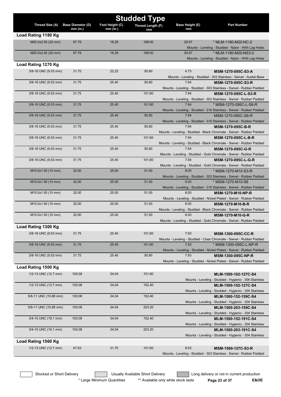|                       | <b>Studded Type</b>                    |                               |                   |                              |                                                                                                 |  |  |
|-----------------------|----------------------------------------|-------------------------------|-------------------|------------------------------|-------------------------------------------------------------------------------------------------|--|--|
| Thread Size (A)       | <b>Base Diameter (D)</b><br>$mm$ (in.) | Foot Height (C)<br>$mm$ (in.) | Thread Length (F) | <b>Base Height (E)</b><br>mm | <b>Part Number</b>                                                                              |  |  |
| Load Rating 1180 Kg   |                                        |                               | mm                |                              |                                                                                                 |  |  |
| M20.0x2.50 (20 mm)    | 97.79                                  | 18.29                         | 168.00            | 29.97                        | * MLM-1180-M20-NC-2                                                                             |  |  |
|                       |                                        |                               |                   |                              | Mounts - Leveling - Studded - Nylon - With Lag Holes                                            |  |  |
| M20.0x2.50 (20 mm)    | 97.79                                  | 18.29                         | 168.00            | 29.97                        | * MLM-1180-M20-NS3-2                                                                            |  |  |
|                       |                                        |                               |                   |                              | Mounts - Leveling - Studded - Nylon - With Lag Holes                                            |  |  |
| Load Rating 1270 Kg   |                                        |                               |                   |                              |                                                                                                 |  |  |
| 3/8-16 UNC (9.53 mm)  | 31.75                                  | 22.23                         | 50.80             | 4.75                         | MSM-1270-095C-S3-A                                                                              |  |  |
|                       |                                        |                               |                   |                              | Mounts - Leveling - Studded - 303 Stainless - Swivel - Acetal Base                              |  |  |
| 3/8-16 UNC (9.53 mm)  | 31.75                                  | 25.40                         | 50.80             | 7.94                         | MSM-1270-095C-S3-R                                                                              |  |  |
|                       |                                        |                               |                   |                              | Mounts - Leveling - Studded - 303 Stainless - Swivel - Rubber Padded                            |  |  |
| 3/8-16 UNC (9.53 mm)  | 31.75                                  | 25.40                         | 101.60            | 7.94                         | MSM-1270-095C-L-S3-R                                                                            |  |  |
| 3/8-16 UNC (9.53 mm)  | 31.75                                  | 25.40                         | 101.60            | 7.94                         | Mounts - Leveling - Studded - 303 Stainless - Swivel - Rubber Padded<br>* MSM-1270-095C-L-S6-R  |  |  |
|                       |                                        |                               |                   |                              | Mounts - Leveling - Studded - 316 Stainless - Swivel - Rubber Padded                            |  |  |
| 3/8-16 UNC (9.53 mm)  | 31.75                                  | 25.40                         | 50.80             | 7.94                         | MSM-1270-095C-S6-R                                                                              |  |  |
|                       |                                        |                               |                   |                              | Mounts - Leveling - Studded - 316 Stainless - Swivel - Rubber Padded                            |  |  |
| 3/8-16 UNC (9.53 mm)  | 31.75                                  | 25.40                         | 50.80             | 7.94                         | MSM-1270-095C-B-R                                                                               |  |  |
|                       |                                        |                               |                   |                              | Mounts - Leveling - Studded - Black Chromate - Swivel - Rubber Padded                           |  |  |
| 3/8-16 UNC (9.53 mm)  | 31.75                                  | 25.40                         | 101.60            | 7.94                         | MSM-1270-095C-L-B-R                                                                             |  |  |
|                       |                                        |                               |                   |                              | Mounts - Leveling - Studded - Black Chromate - Swivel - Rubber Padded                           |  |  |
| 3/8-16 UNC (9.53 mm)  | 31.75                                  | 25.40                         | 50.80             | 7.94                         | MSM-1270-095C-G-R                                                                               |  |  |
|                       |                                        |                               |                   |                              | Mounts - Leveling - Studded - Gold Chromate - Swivel - Rubber Padded                            |  |  |
| 3/8-16 UNC (9.53 mm)  | 31.75                                  | 25.40                         | 101.60            | 7.94                         | MSM-1270-095C-L-G-R                                                                             |  |  |
| M10.0x1.50 (10 mm)    | 32.00                                  | 25.00                         | 51.00             | 8.00                         | Mounts - Leveling - Studded - Gold Chromate - Swivel - Rubber Padded<br>* MSM-1270-M10-S3-R     |  |  |
|                       |                                        |                               |                   |                              | Mounts - Leveling - Studded - 303 Stainless - Swivel - Rubber Padded                            |  |  |
| M10.0x1.50 (10 mm)    | 32.00                                  | 25.00                         | 51.00             | 8.00                         | * MSM-1270-M10-S6                                                                               |  |  |
|                       |                                        |                               |                   |                              | Mounts - Leveling - Studded - 316 Stainless - Swivel - Rubber Padded                            |  |  |
| M10.0x1.50 (10 mm)    | 32.00                                  | 25.00                         | 51.00             | 8.00                         | <b>MSM-1270-M10-NP-R</b>                                                                        |  |  |
|                       |                                        |                               |                   |                              | Mounts - Leveling - Studded - Nickel Plated - Swivel - Rubber Padded                            |  |  |
| M10.0x1.50 (10 mm)    | 32.00                                  | 25.00                         | 51.00             | 8.00                         | <b>MSM-1270-M10-B-R</b>                                                                         |  |  |
|                       |                                        |                               |                   |                              | Mounts - Leveling - Studded - Black Chromate - Swivel - Rubber Padded                           |  |  |
| M10.0x1.50 (10 mm)    | 32.00                                  | 25.00                         | 51.00             | 8.00                         | <b>MSM-1270-M10-G-R</b>                                                                         |  |  |
| Load Rating 1300 Kg   |                                        |                               |                   |                              | Mounts - Leveling - Studded - Gold Chromate - Swivel - Rubber Padded                            |  |  |
|                       |                                        |                               |                   |                              |                                                                                                 |  |  |
| 3/8-16 UNC (9.53 mm)  | 31.75                                  | 25.40                         | 101.60            | 7.93                         | <b>MSM-1300-095C-CC-R</b>                                                                       |  |  |
| 3/8-16 UNC (9.53 mm)  | 31.75                                  | 25.40                         | 101.60            | 7.93                         | Mounts - Leveling - Studded - Clear Chromate - Swivel - Rubber Padded<br>* MSM-1300-095C-L-NP-R |  |  |
|                       |                                        |                               |                   |                              | Mounts - Leveling - Studded - Nickel Plated - Swivel - Rubber Padded                            |  |  |
| 3/8-16 UNC (9.53 mm)  | 31.75                                  | 25.40                         | 50.80             | 7.93                         | <b>MSM-1300-095C-NP-R</b>                                                                       |  |  |
|                       |                                        |                               |                   |                              | Mounts - Leveling - Studded - Nickel Plated - Swivel - Rubber Padded                            |  |  |
| Load Rating 1500 Kg   |                                        |                               |                   |                              |                                                                                                 |  |  |
| 1/2-13 UNC (12.7 mm)  | 100.08                                 | 34.04                         | 101.60            |                              | MLM-1500-102-127C-S4                                                                            |  |  |
|                       |                                        |                               |                   |                              | Mounts - Leveling - Studded - Hygienic - 304 Stainless                                          |  |  |
| 1/2-13 UNC (12.7 mm)  | 100.08                                 | 34.04                         | 152.40            |                              | MLM-1500-152-127C-S4                                                                            |  |  |
|                       |                                        |                               |                   |                              | Mounts - Leveling - Studded - Hygienic - 304 Stainless                                          |  |  |
| 5/8-11 UNC (15.88 mm) | 100.08                                 | 34.04                         | 152.40            |                              | MLM-1500-152-159C-S4                                                                            |  |  |
|                       |                                        |                               |                   |                              | Mounts - Leveling - Studded - Hygienic - 304 Stainless                                          |  |  |
| 5/8-11 UNC (15.88 mm) | 100.08                                 | 34.04                         | 203.20            |                              | MLM-1500-203-159C-S4                                                                            |  |  |
|                       |                                        |                               |                   |                              | Mounts - Leveling - Studded - Hygienic - 304 Stainless                                          |  |  |
| 3/4-10 UNC (19.1 mm)  | 100.08                                 | 34.04                         | 152.40            |                              | MLM-1500-152-191C-S4                                                                            |  |  |
| 3/4-10 UNC (19.1 mm)  | 100.08                                 | 34.04                         | 203.20            |                              | Mounts - Leveling - Studded - Hygienic - 304 Stainless<br>MLM-1500-203-191C-S4                  |  |  |
|                       |                                        |                               |                   |                              | Mounts - Leveling - Studded - Hygienic - 304 Stainless                                          |  |  |
| Load Rating 1560 Kg   |                                        |                               |                   |                              |                                                                                                 |  |  |
| 1/2-13 UNC (12.7 mm)  | 47.63                                  | 31.75                         | 101.60            | 9.53                         | MSM-1560-127C-S3-R                                                                              |  |  |
|                       |                                        |                               |                   |                              | Mounts - Leveling - Studded - 303 Stainless - Swivel - Rubber Padded                            |  |  |
|                       |                                        |                               |                   |                              |                                                                                                 |  |  |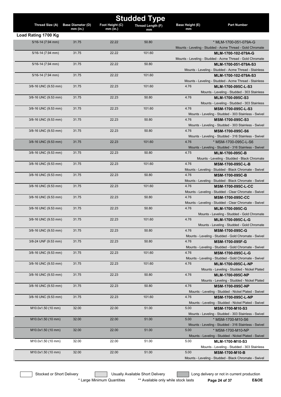| <b>Studded Type</b>   |                          |                 |                   |                                                                                           |  |
|-----------------------|--------------------------|-----------------|-------------------|-------------------------------------------------------------------------------------------|--|
| Thread Size (A)       | <b>Base Diameter (D)</b> | Foot Height (C) | Thread Length (F) | <b>Part Number</b><br><b>Base Height (E)</b>                                              |  |
|                       | $mm$ (in.)               | $mm$ (in.)      | mm                | mm                                                                                        |  |
| Load Rating 1700 Kg   |                          |                 |                   |                                                                                           |  |
| $5/16 - 14$ (7.94 mm) | 31.75                    | 22.22           | 50.80             | * MLM-1700-051-079A-G                                                                     |  |
| $5/16 - 14$ (7.94 mm) | 31.75                    | 22.22           | 101.60            | Mounts - Leveling - Studded - Acme Thread - Gold Chromate                                 |  |
|                       |                          |                 |                   | MLM-1700-102-079A-G<br>Mounts - Leveling - Studded - Acme Thread - Gold Chromate          |  |
| 5/16-14 (7.94 mm)     | 31.75                    | 22.22           | 50.80             | MLM-1700-051-079A-S3                                                                      |  |
|                       |                          |                 |                   | Mounts - Leveling - Studded - Acme Thread - Stainless                                     |  |
| $5/16 - 14$ (7.94 mm) | 31.75                    | 22.22           | 101.60            | MLM-1700-102-079A-S3                                                                      |  |
|                       |                          |                 |                   | Mounts - Leveling - Studded - Acme Thread - Stainless                                     |  |
| 3/8-16 UNC (9.53 mm)  | 31.75                    | 22.23           | 101.60            | 4.76<br>MLM-1700-095C-L-S3                                                                |  |
|                       |                          |                 |                   | Mounts - Leveling - Studded - 303 Stainless                                               |  |
| 3/8-16 UNC (9.53 mm)  | 31.75                    | 22.23           | 50.80             | 4.76<br>MLM-1700-095C-S3                                                                  |  |
| 3/8-16 UNC (9.53 mm)  | 31.75                    | 22.23           | 101.60            | Mounts - Leveling - Studded - 303 Stainless<br>4.76                                       |  |
|                       |                          |                 |                   | MSM-1700-095C-L-S3<br>Mounts - Leveling - Studded - 303 Stainless - Swivel                |  |
| 3/8-16 UNC (9.53 mm)  | 31.75                    | 22.23           | 50.80             | 4.76<br>MSM-1700-095C-S3                                                                  |  |
|                       |                          |                 |                   | Mounts - Leveling - Studded - 303 Stainless - Swivel                                      |  |
| 3/8-16 UNC (9.53 mm)  | 31.75                    | 22.23           | 50.80             | 4.76<br>MSM-1700-095C-S6                                                                  |  |
|                       |                          |                 |                   | Mounts - Leveling - Studded - 316 Stainless - Swivel                                      |  |
| 3/8-16 UNC (9.53 mm)  | 31.75                    | 22.23           | 101.60            | 4.76<br>* MSM-1700-095C-L-S6                                                              |  |
|                       |                          |                 |                   | Mounts - Leveling - Studded - 316 Stainless - Swivel                                      |  |
| 3/8-16 UNC (9.53 mm)  | 31.75                    | 22.23           | 50.80             | 4.75<br><b>MLM-1700-095C-B</b>                                                            |  |
|                       |                          |                 |                   | Mounts - Leveling - Studded - Black Chromate                                              |  |
| 3/8-16 UNC (9.53 mm)  | 31.75                    | 22.23           | 101.60            | 4.76<br><b>MSM-1700-095C-L-B</b>                                                          |  |
| 3/8-16 UNC (9.53 mm)  | 31.75                    | 22.23           | 50.80             | Mounts - Leveling - Studded - Black Chromate - Swivel<br>4.76<br><b>MSM-1700-095C-B</b>   |  |
|                       |                          |                 |                   | Mounts - Leveling - Studded - Black Chromate - Swivel                                     |  |
| 3/8-16 UNC (9.53 mm)  | 31.75                    | 22.23           | 101.60            | 4.76<br><b>MSM-1700-095C-L-CC</b>                                                         |  |
|                       |                          |                 |                   | Mounts - Leveling - Studded - Clear Chromate - Swivel                                     |  |
| 3/8-16 UNC (9.53 mm)  | 31.75                    | 22.23           | 50.80             | 4.76<br><b>MSM-1700-095C-CC</b>                                                           |  |
|                       |                          |                 |                   | Mounts - Leveling - Studded - Clear Chromate - Swivel                                     |  |
| 3/8-16 UNC (9.53 mm)  | 31.75                    | 22.23           | 50.80             | 4.76<br>MLM-1700-095C-G                                                                   |  |
|                       |                          |                 |                   | Mounts - Leveling - Studded - Gold Chromate                                               |  |
| 3/8-16 UNC (9.53 mm)  | 31.75                    | 22.23           | 101.60            | 4.76<br>MLM-1700-095C-L-G                                                                 |  |
| 3/8-16 UNC (9.53 mm)  | 31.75                    | 22.23           | 50.80             | Mounts - Leveling - Studded - Gold Chromate<br>4.76<br>MSM-1700-095C-G                    |  |
|                       |                          |                 |                   | Mounts - Leveling - Studded - Gold Chromate - Swivel                                      |  |
| 3/8-24 UNF (9.53 mm)  | 31.75                    | 22.23           | 50.80             | 4.76<br>MSM-1700-095F-G                                                                   |  |
|                       |                          |                 |                   | Mounts - Leveling - Studded - Gold Chromate - Swivel                                      |  |
| 3/8-16 UNC (9.53 mm)  | 31.75                    | 22.23           | 101.60            | 4.76<br>MSM-1700-095C-L-G                                                                 |  |
|                       |                          |                 |                   | Mounts - Leveling - Studded - Gold Chromate - Swivel                                      |  |
| 3/8-16 UNC (9.53 mm)  | 31.75                    | 22.23           | 101.60            | 4.76<br><b>MLM-1700-095C-L-NP</b>                                                         |  |
|                       |                          |                 |                   | Mounts - Leveling - Studded - Nickel Plated                                               |  |
| 3/8-16 UNC (9.53 mm)  | 31.75                    | 22.23           | 50.80             | 4.76<br><b>MLM-1700-095C-NP</b>                                                           |  |
|                       |                          | 22.23           |                   | Mounts - Leveling - Studded - Nickel Plated<br>4.76                                       |  |
| 3/8-16 UNC (9.53 mm)  | 31.75                    |                 | 50.80             | <b>MSM-1700-095C-NP</b>                                                                   |  |
| 3/8-16 UNC (9.53 mm)  | 31.75                    | 22.23           | 101.60            | Mounts - Leveling - Studded - Nickel Plated - Swivel<br>4.76<br><b>MSM-1700-095C-L-NP</b> |  |
|                       |                          |                 |                   | Mounts - Leveling - Studded - Nickel Plated - Swivel                                      |  |
| M10.0x1.50 (10 mm)    | 32.00                    | 22.00           | 51.00             | 5.00<br><b>MSM-1700-M10-S3</b>                                                            |  |
|                       |                          |                 |                   | Mounts - Leveling - Studded - 303 Stainless - Swivel                                      |  |
| M10.0x1.50 (10 mm)    | 32.00                    | 22.00           | 51.00             | 5.00<br>* MSM-1700-M10-S6                                                                 |  |
|                       |                          |                 |                   | Mounts - Leveling - Studded - 316 Stainless - Swivel                                      |  |
| M10.0x1.50 (10 mm)    | 32.00                    | 22.00           | 51.00             | 5.00<br>* MSM-1700-M10-NP                                                                 |  |
|                       |                          |                 |                   | Mounts - Leveling - Studded - Nickel Plated - Swivel                                      |  |
| M10.0x1.50 (10 mm)    | 32.00                    | 22.00           | 51.00             | 5.00<br>MLM-1700-M10-S3                                                                   |  |
| M10.0x1.50 (10 mm)    | 32.00                    | 22.00           | 51.00             | Mounts - Leveling - Studded - 303 Stainless<br>5.00                                       |  |
|                       |                          |                 |                   | <b>MSM-1700-M10-B</b><br>Mounts - Leveling - Studded - Black Chromate - Swivel            |  |
|                       |                          |                 |                   |                                                                                           |  |

\* Large Minimum Quantities \*\* Available only while stock lasts **Page 24 of 37 E&OE**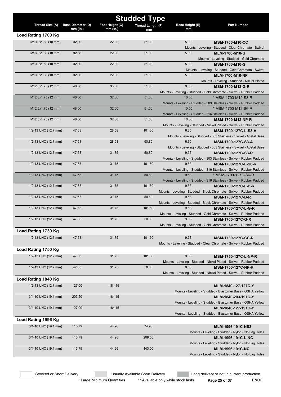|                      | <b>Studded Type</b>      |                 |                   |                 |                                                                                                     |  |  |
|----------------------|--------------------------|-----------------|-------------------|-----------------|-----------------------------------------------------------------------------------------------------|--|--|
| Thread Size (A)      | <b>Base Diameter (D)</b> | Foot Height (C) | Thread Length (F) | Base Height (E) | <b>Part Number</b>                                                                                  |  |  |
|                      | $mm$ (in.)               | $mm$ (in.)      | mm                | mm              |                                                                                                     |  |  |
| Load Rating 1700 Kg  |                          |                 |                   |                 |                                                                                                     |  |  |
| M10.0x1.50 (10 mm)   | 32.00                    | 22.00           | 51.00             | 5.00            | <b>MSM-1700-M10-CC</b>                                                                              |  |  |
|                      | 32.00                    | 22.00           | 51.00             | 5.00            | Mounts - Leveling - Studded - Clear Chromate - Swivel                                               |  |  |
| M10.0x1.50 (10 mm)   |                          |                 |                   |                 | <b>MLM-1700-M10-G</b><br>Mounts - Leveling - Studded - Gold Chromate                                |  |  |
| M10.0x1.50 (10 mm)   | 32.00                    | 22.00           | 51.00             | 5.00            | <b>MSM-1700-M10-G</b>                                                                               |  |  |
|                      |                          |                 |                   |                 | Mounts - Leveling - Studded - Gold Chromate - Swivel                                                |  |  |
| M10.0x1.50 (10 mm)   | 32.00                    | 22.00           | 51.00             | 5.00            | <b>MLM-1700-M10-NP</b>                                                                              |  |  |
|                      |                          |                 |                   |                 | Mounts - Leveling - Studded - Nickel Plated                                                         |  |  |
| M12.0x1.75 (12 mm)   | 48.00                    | 33.00           | 51.00             | 9.00            | <b>MSM-1700-M12-G-R</b>                                                                             |  |  |
|                      |                          |                 |                   |                 | Mounts - Leveling - Studded - Gold Chromate - Swivel - Rubber Padded                                |  |  |
| M12.0x1.75 (12 mm)   | 48.00                    | 32.00           | 51.00             | 10.00           | * MSM-1700-M12-S3-R                                                                                 |  |  |
|                      | 48.00                    | 32.00           | 51.00             | 10.00           | Mounts - Leveling - Studded - 303 Stainless - Swivel - Rubber Padded                                |  |  |
| M12.0x1.75 (12 mm)   |                          |                 |                   |                 | * MSM-1700-M12-S6-R<br>Mounts - Leveling - Studded - 316 Stainless - Swivel - Rubber Padded         |  |  |
| M12.0x1.75 (12 mm)   | 48.00                    | 32.00           | 51.00             | 10.00           | <b>MSM-1700-M12-NP-R</b>                                                                            |  |  |
|                      |                          |                 |                   |                 | Mounts - Leveling - Studded - Nickel Plated - Swivel - Rubber Padded                                |  |  |
| 1/2-13 UNC (12.7 mm) | 47.63                    | 28.58           | 101.60            | 6.35            | MSM-1700-127C-L-S3-A                                                                                |  |  |
|                      |                          |                 |                   |                 | Mounts - Leveling - Studded - 303 Stainless - Swivel - Acetal Base                                  |  |  |
| 1/2-13 UNC (12.7 mm) | 47.63                    | 28.58           | 50.80             | 6.35            | MSM-1700-127C-S3-A                                                                                  |  |  |
|                      |                          |                 |                   |                 | Mounts - Leveling - Studded - 303 Stainless - Swivel - Acetal Base                                  |  |  |
| 1/2-13 UNC (12.7 mm) | 47.63                    | 31.75           | 50.80             | 9.53            | MSM-1700-127C-S3-R                                                                                  |  |  |
| 1/2-13 UNC (12.7 mm) | 47.63                    | 31.75           | 101.60            | 9.53            | Mounts - Leveling - Studded - 303 Stainless - Swivel - Rubber Padded                                |  |  |
|                      |                          |                 |                   |                 | <b>MSM-1700-127C-L-S6-R</b><br>Mounts - Leveling - Studded - 316 Stainless - Swivel - Rubber Padded |  |  |
| 1/2-13 UNC (12.7 mm) | 47.63                    | 31.75           | 50.80             | 9.53            | * MSM-1700-127C-S6-R                                                                                |  |  |
|                      |                          |                 |                   |                 | Mounts - Leveling - Studded - 316 Stainless - Swivel - Rubber Padded                                |  |  |
| 1/2-13 UNC (12.7 mm) | 47.63                    | 31.75           | 101.60            | 9.53            | <b>MSM-1700-127C-L-B-R</b>                                                                          |  |  |
|                      |                          |                 |                   |                 | Mounts - Leveling - Studded - Black Chromate - Swivel - Rubber Padded                               |  |  |
| 1/2-13 UNC (12.7 mm) | 47.63                    | 31.75           | 50.80             | 9.53            | <b>MSM-1700-127C-B-R</b>                                                                            |  |  |
|                      |                          |                 |                   |                 | Mounts - Leveling - Studded - Black Chromate - Swivel - Rubber Padded                               |  |  |
| 1/2-13 UNC (12.7 mm) | 47.63                    | 31.75           | 101.60            | 9.53            | MSM-1700-127C-L-G-R                                                                                 |  |  |
| 1/2-13 UNC (12.7 mm) | 47.63                    | 31.75           | 50.80             | 9.53            | Mounts - Leveling - Studded - Gold Chromate - Swivel - Rubber Padded<br><b>MSM-1700-127C-G-R</b>    |  |  |
|                      |                          |                 |                   |                 | Mounts - Leveling - Studded - Gold Chromate - Swivel - Rubber Padded                                |  |  |
| Load Rating 1730 Kg  |                          |                 |                   |                 |                                                                                                     |  |  |
| 1/2-13 UNC (12.7 mm) | 47.63                    | 31.75           | 101.60            | 9.53            | <b>MSM-1730-127C-CC-R</b>                                                                           |  |  |
|                      |                          |                 |                   |                 | Mounts - Leveling - Studded - Clear Chromate - Swivel - Rubber Padded                               |  |  |
| Load Rating 1750 Kg  |                          |                 |                   |                 |                                                                                                     |  |  |
| 1/2-13 UNC (12.7 mm) | 47.63                    | 31.75           | 101.60            | 9.53            | <b>MSM-1750-127C-L-NP-R</b>                                                                         |  |  |
|                      |                          |                 |                   |                 | Mounts - Leveling - Studded - Nickel Plated - Swivel - Rubber Padded                                |  |  |
| 1/2-13 UNC (12.7 mm) | 47.63                    | 31.75           | 50.80             | 9.53            | <b>MSM-1750-127C-NP-R</b>                                                                           |  |  |
|                      |                          |                 |                   |                 | Mounts - Leveling - Studded - Nickel Plated - Swivel - Rubber Padded                                |  |  |
| Load Rating 1840 Kg  |                          |                 |                   |                 |                                                                                                     |  |  |
| 1/2-13 UNC (12.7 mm) | 127.00                   | 184.15          |                   |                 | MLM-1840-127-127C-Y                                                                                 |  |  |
|                      |                          |                 |                   |                 | Mounts - Leveling - Studded - Elastomer Base - OSHA Yellow                                          |  |  |
| 3/4-10 UNC (19.1 mm) | 203.20                   | 184.15          |                   |                 | MLM-1840-203-191C-Y                                                                                 |  |  |
|                      |                          |                 |                   |                 | Mounts - Leveling - Studded - Elastomer Base - OSHA Yellow                                          |  |  |
| 3/4-10 UNC (19.1 mm) | 127.00                   | 184.15          |                   |                 | MLM-1840-127-191C-Y                                                                                 |  |  |
|                      |                          |                 |                   |                 | Mounts - Leveling - Studded - Elastomer Base - OSHA Yellow                                          |  |  |
| Load Rating 1996 Kg  |                          |                 |                   |                 |                                                                                                     |  |  |
| 3/4-10 UNC (19.1 mm) | 113.79                   | 44.96           | 74.93             |                 | MLM-1996-191C-NS3                                                                                   |  |  |
| 3/4-10 UNC (19.1 mm) | 113.79                   | 44.96           | 209.55            |                 | Mounts - Leveling - Studded - Nylon - No Lag Holes                                                  |  |  |
|                      |                          |                 |                   |                 | MLM-1996-191C-L-NC<br>Mounts - Leveling - Studded - Nylon - No Lag Holes                            |  |  |
| 3/4-10 UNC (19.1 mm) | 113.79                   | 44.96           | 143.00            |                 | MLM-1996-191C-NC                                                                                    |  |  |
|                      |                          |                 |                   |                 | Mounts - Leveling - Studded - Nylon - No Lag Holes                                                  |  |  |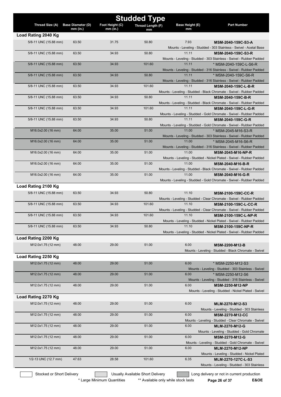|                       |                                        |                               | <b>Studded Type</b> |                       |                                                                                              |
|-----------------------|----------------------------------------|-------------------------------|---------------------|-----------------------|----------------------------------------------------------------------------------------------|
| Thread Size (A)       | <b>Base Diameter (D)</b><br>$mm$ (in.) | Foot Height (C)<br>$mm$ (in.) | Thread Length (F)   | Base Height (E)<br>mm | <b>Part Number</b>                                                                           |
| Load Rating 2040 Kg   |                                        |                               | mm                  |                       |                                                                                              |
| 5/8-11 UNC (15.88 mm) | 63.50                                  | 31.75                         | 50.80               | 7.93                  | MSM-2040-159C-S3-A                                                                           |
|                       |                                        |                               |                     |                       | Mounts - Leveling - Studded - 303 Stainless - Swivel - Acetal Base                           |
| 5/8-11 UNC (15.88 mm) | 63.50                                  | 34.93                         | 50.80               | 11.11                 | MSM-2040-159C-S3-R                                                                           |
|                       |                                        |                               |                     |                       | Mounts - Leveling - Studded - 303 Stainless - Swivel - Rubber Padded                         |
| 5/8-11 UNC (15.88 mm) | 63.50                                  | 34.93                         | 101.60              | 11.11                 | * MSM-2040-159C-L-S6-R                                                                       |
|                       |                                        |                               |                     |                       | Mounts - Leveling - Studded - 316 Stainless - Swivel - Rubber Padded                         |
| 5/8-11 UNC (15.88 mm) | 63.50                                  | 34.93                         | 50.80               | 11.11                 | * MSM-2040-159C-S6-R                                                                         |
|                       |                                        |                               |                     |                       | Mounts - Leveling - Studded - 316 Stainless - Swivel - Rubber Padded                         |
| 5/8-11 UNC (15.88 mm) | 63.50                                  | 34.93                         | 101.60              | 11.11                 | MSM-2040-159C-L-B-R<br>Mounts - Leveling - Studded - Black Chromate - Swivel - Rubber Padded |
| 5/8-11 UNC (15.88 mm) | 63.50                                  | 34.93                         | 50.80               | 11.11                 | MSM-2040-159C-B-R                                                                            |
|                       |                                        |                               |                     |                       | Mounts - Leveling - Studded - Black Chromate - Swivel - Rubber Padded                        |
| 5/8-11 UNC (15.88 mm) | 63.50                                  | 34.93                         | 101.60              | 11.11                 | MSM-2040-159C-L-G-R                                                                          |
|                       |                                        |                               |                     |                       | Mounts - Leveling - Studded - Gold Chromate - Swivel - Rubber Padded                         |
| 5/8-11 UNC (15.88 mm) | 63.50                                  | 34.93                         | 50.80               | 11.11                 | MSM-2040-159C-G-R                                                                            |
|                       |                                        |                               |                     |                       | Mounts - Leveling - Studded - Gold Chromate - Swivel - Rubber Padded                         |
| M16.0x2.00 (16 mm)    | 64.00                                  | 35.00                         | 51.00               | 11.00                 | * MSM-2045-M16-S3-R                                                                          |
|                       |                                        |                               |                     |                       | Mounts - Leveling - Studded - 303 Stainless - Swivel - Rubber Padded                         |
| M16.0x2.00 (16 mm)    | 64.00                                  | 35.00                         | 51.00               | 11.00                 | * MSM-2045-M16-S6-R                                                                          |
|                       |                                        |                               |                     |                       | Mounts - Leveling - Studded - 316 Stainless - Swivel - Rubber Padded                         |
| M16.0x2.00 (16 mm)    | 64.00                                  | 35.00                         | 51.00               | 11.00                 | MSM-2045-M16-NP-R                                                                            |
| M16.0x2.00 (16 mm)    | 64.00                                  | 35.00                         | 51.00               | 11.00                 | Mounts - Leveling - Studded - Nickel Plated - Swivel - Rubber Padded<br>MSM-2040-M16-B-R     |
|                       |                                        |                               |                     |                       | Mounts - Leveling - Studded - Black Chromate - Swivel - Rubber Padded                        |
| M16.0x2.00 (16 mm)    | 64.00                                  | 35.00                         | 51.00               | 11.00                 | MSM-2040-M16-G-R                                                                             |
|                       |                                        |                               |                     |                       | Mounts - Leveling - Studded - Gold Chromate - Swivel - Rubber Padded                         |
| Load Rating 2100 Kg   |                                        |                               |                     |                       |                                                                                              |
| 5/8-11 UNC (15.88 mm) | 63.50                                  | 34.93                         | 50.80               | 11.10                 | <b>MSM-2100-159C-CC-R</b>                                                                    |
|                       |                                        |                               |                     |                       | Mounts - Leveling - Studded - Clear Chromate - Swivel - Rubber Padded                        |
| 5/8-11 UNC (15.88 mm) | 63.50                                  | 34.93                         | 101.60              | 11.10                 | MSM-2100-159C-L-CC-R                                                                         |
|                       |                                        |                               |                     |                       | Mounts - Leveling - Studded - Clear Chromate - Swivel - Rubber Padded                        |
| 5/8-11 UNC (15.88 mm) | 63.50                                  | 34.93                         | 101.60              | 11.10                 | MSM-2100-159C-L-NP-R                                                                         |
|                       |                                        |                               |                     |                       | Mounts - Leveling - Studded - Nickel Plated - Swivel - Rubber Padded                         |
| 5/8-11 UNC (15.88 mm) | 63.50                                  | 34.93                         | 50.80               | 1110                  | MSM-2100-159C-NP-R                                                                           |
|                       |                                        |                               |                     |                       | Mounts - Leveling - Studded - Nickel Plated - Swivel - Rubber Padded                         |
| Load Rating 2200 Kg   |                                        |                               |                     |                       |                                                                                              |
| M12.0x1.75 (12 mm)    | 48.00                                  | 29.00                         | 51.00               | 6.00                  | MSM-2200-M12-B                                                                               |
|                       |                                        |                               |                     |                       | Mounts - Leveling - Studded - Black Chromate - Swivel                                        |
| Load Rating 2250 Kg   |                                        |                               |                     |                       |                                                                                              |
| M12.0x1.75 (12 mm)    | 48.00                                  | 29.00                         | 51.00               | 6.00                  | * MSM-2250-M12-S3                                                                            |
|                       |                                        |                               |                     |                       | Mounts - Leveling - Studded - 303 Stainless - Swivel                                         |
| M12.0x1.75 (12 mm)    | 48.00                                  | 29.00                         | 51.00               | 6.00                  | * MSM-2250-M12-S6                                                                            |
|                       |                                        |                               |                     |                       | Mounts - Leveling - Studded - 316 Stainless - Swivel                                         |
| M12.0x1.75 (12 mm)    | 48.00                                  | 29.00                         | 51.00               | 6.00                  | <b>MSM-2250-M12-NP</b>                                                                       |
|                       |                                        |                               |                     |                       | Mounts - Leveling - Studded - Nickel Plated - Swivel                                         |
| Load Rating 2270 Kg   |                                        |                               |                     |                       |                                                                                              |
| M12.0x1.75 (12 mm)    | 48.00                                  | 29.00                         | 51.00               | 6.00                  | MLM-2270-M12-S3                                                                              |
|                       |                                        |                               |                     |                       | Mounts - Leveling - Studded - 303 Stainless                                                  |
| M12.0x1.75 (12 mm)    | 48.00                                  | 29.00                         | 51.00               | 6.00                  | <b>MSM-2270-M12-CC</b>                                                                       |
| M12.0x1.75 (12 mm)    | 48.00                                  | 29.00                         | 51.00               | 6.00                  | Mounts - Leveling - Studded - Clear Chromate - Swivel                                        |
|                       |                                        |                               |                     |                       | MLM-2270-M12-G<br>Mounts - Leveling - Studded - Gold Chromate                                |
| M12.0x1.75 (12 mm)    | 48.00                                  | 29.00                         | 51.00               | 6.00                  | MSM-2270-M12-G                                                                               |
|                       |                                        |                               |                     |                       | Mounts - Leveling - Studded - Gold Chromate - Swivel                                         |
| M12.0x1.75 (12 mm)    | 48.00                                  | 29.00                         | 51.00               | 6.00                  | <b>MLM-2270-M12-NP</b>                                                                       |
|                       |                                        |                               |                     |                       | Mounts - Leveling - Studded - Nickel Plated                                                  |
| 1/2-13 UNC (12.7 mm)  | 47.63                                  | 28.58                         | 101.60              | 6.35                  | MLM-2270-127C-L-S3                                                                           |
|                       |                                        |                               |                     |                       | Mounts - Leveling - Studded - 303 Stainless                                                  |
|                       |                                        |                               |                     |                       |                                                                                              |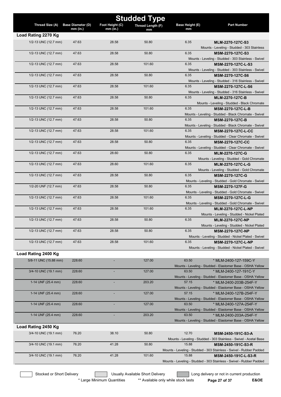| <b>Studded Type</b>   |                          |                 |                   |                 |                                                                                              |  |
|-----------------------|--------------------------|-----------------|-------------------|-----------------|----------------------------------------------------------------------------------------------|--|
| Thread Size (A)       | <b>Base Diameter (D)</b> | Foot Height (C) | Thread Length (F) | Base Height (E) | <b>Part Number</b>                                                                           |  |
|                       | mm (in.)                 | mm (in.)        | mm                | mm              |                                                                                              |  |
| Load Rating 2270 Kg   |                          |                 |                   |                 |                                                                                              |  |
| 1/2-13 UNC (12.7 mm)  | 47.63                    | 28.58           | 50.80             | 6.35            | MLM-2270-127C-S3<br>Mounts - Leveling - Studded - 303 Stainless                              |  |
| 1/2-13 UNC (12.7 mm)  | 47.63                    | 28.58           | 50.80             | 6.35            | MSM-2270-127C-S3                                                                             |  |
|                       |                          |                 |                   |                 | Mounts - Leveling - Studded - 303 Stainless - Swivel                                         |  |
| 1/2-13 UNC (12.7 mm)  | 47.63                    | 28.58           | 101.60            | 6.35            | MSM-2270-127C-L-S3                                                                           |  |
|                       |                          |                 |                   |                 | Mounts - Leveling - Studded - 303 Stainless - Swivel                                         |  |
| 1/2-13 UNC (12.7 mm)  | 47.63                    | 28.58           | 50.80             | 6.35            | MSM-2270-127C-S6                                                                             |  |
|                       |                          |                 |                   |                 | Mounts - Leveling - Studded - 316 Stainless - Swivel                                         |  |
| 1/2-13 UNC (12.7 mm)  | 47.63                    | 28.58           | 101.60            | 6.35            | MSM-2270-127C-L-S6<br>Mounts - Leveling - Studded - 316 Stainless - Swivel                   |  |
| 1/2-13 UNC (12.7 mm)  | 47.63                    | 28.58           | 50.80             | 6.35            | <b>MLM-2270-127C-B</b>                                                                       |  |
|                       |                          |                 |                   |                 | Mounts - Leveling - Studded - Black Chromate                                                 |  |
| 1/2-13 UNC (12.7 mm)  | 47.63                    | 28.58           | 101.60            | 6.35            | MSM-2270-127C-L-B                                                                            |  |
|                       |                          |                 |                   |                 | Mounts - Leveling - Studded - Black Chromate - Swivel                                        |  |
| 1/2-13 UNC (12.7 mm)  | 47.63                    | 28.58           | 50.80             | 6.35            | <b>MSM-2270-127C-B</b>                                                                       |  |
| 1/2-13 UNC (12.7 mm)  | 47.63                    | 28.58           | 101.60            | 6.35            | Mounts - Leveling - Studded - Black Chromate - Swivel<br><b>MSM-2270-127C-L-CC</b>           |  |
|                       |                          |                 |                   |                 | Mounts - Leveling - Studded - Clear Chromate - Swivel                                        |  |
| 1/2-13 UNC (12.7 mm)  | 47.63                    | 28.58           | 50.80             | 6.35            | <b>MSM-2270-127C-CC</b>                                                                      |  |
|                       |                          |                 |                   |                 | Mounts - Leveling - Studded - Clear Chromate - Swivel                                        |  |
| 1/2-13 UNC (12.7 mm)  | 47.63                    | 28.60           | 50.80             | 6.35            | MLM-2270-127C-G                                                                              |  |
|                       |                          |                 |                   |                 | Mounts - Leveling - Studded - Gold Chromate                                                  |  |
| 1/2-13 UNC (12.7 mm)  | 47.63                    | 28.60           | 101.60            | 6.35            | MLM-2270-127C-L-G                                                                            |  |
| 1/2-13 UNC (12.7 mm)  | 47.63                    | 28.58           | 50.80             | 6.35            | Mounts - Leveling - Studded - Gold Chromate<br><b>MSM-2270-127C-G</b>                        |  |
|                       |                          |                 |                   |                 | Mounts - Leveling - Studded - Gold Chromate - Swivel                                         |  |
| 1/2-20 UNF (12.7 mm)  | 47.63                    | 28.58           | 50.80             | 6.35            | <b>MSM-2270-127F-G</b>                                                                       |  |
|                       |                          |                 |                   |                 | Mounts - Leveling - Studded - Gold Chromate - Swivel                                         |  |
| 1/2-13 UNC (12.7 mm)  | 47.63                    | 28.58           | 101.60            | 6.35            | MSM-2270-127C-L-G                                                                            |  |
|                       |                          |                 |                   |                 | Mounts - Leveling - Studded - Gold Chromate - Swivel                                         |  |
| 1/2-13 UNC (12.7 mm)  | 47.63                    | 28.58           | 101.60            | 6.35            | <b>MLM-2270-127C-L-NP</b><br>Mounts - Leveling - Studded - Nickel Plated                     |  |
| 1/2-13 UNC (12.7 mm)  | 47.63                    | 28.58           | 50.80             | 6.35            | <b>MLM-2270-127C-NP</b>                                                                      |  |
|                       |                          |                 |                   |                 | Mounts - Leveling - Studded - Nickel Plated                                                  |  |
| 1/2-13 UNC (12.7 mm)  | 47.63                    | 28.58           | 50.80             | 6.35            | MSM-2270-127C-NP                                                                             |  |
|                       |                          |                 |                   |                 | Mounts - Leveling - Studded - Nickel Plated - Swivel                                         |  |
| 1/2-13 UNC (12.7 mm)  | 47.63                    | 28.58           | 101.60            | 6.35            | <b>MSM-2270-127C-L-NP</b>                                                                    |  |
|                       |                          |                 |                   |                 | Mounts - Leveling - Studded - Nickel Plated - Swivel                                         |  |
| Load Rating 2400 Kg   |                          |                 |                   |                 |                                                                                              |  |
| 5/8-11 UNC (15.88 mm) | 228.60                   |                 | 127.00            | 63.50           | * MLM-2400-127-159C-Y<br>Mounts - Leveling - Studded - Elastomer Base - OSHA Yellow          |  |
| 3/4-10 UNC (19.1 mm)  | 228.60                   |                 | 127.00            | 63.50           | * MLM-2400-127-191C-Y                                                                        |  |
|                       |                          |                 |                   |                 | Mounts - Leveling - Studded - Elastomer Base - OSHA Yellow                                   |  |
| 1-14 UNF (25.4 mm)    | 228.60                   |                 | 203.20            | 57.15           | * MLM-2400-203B-254F-Y                                                                       |  |
|                       |                          |                 |                   |                 | Mounts - Leveling - Studded - Elastomer Base - OSHA Yellow                                   |  |
| 1-14 UNF (25.4 mm)    | 228.60                   |                 | 127.00            | 57.15           | * MLM-2400-127B-254F-Y                                                                       |  |
| 1-14 UNF (25.4 mm)    | 228.60                   |                 | 127.00            | 63.50           | Mounts - Leveling - Studded - Elastomer Base - OSHA Yellow<br>* MLM-2400-127A-254F-Y         |  |
|                       |                          |                 |                   |                 | Mounts - Leveling - Studded - Elastomer Base - OSHA Yellow                                   |  |
| 1-14 UNF (25.4 mm)    | 228.60                   |                 | 203.20            | 63.50           | * MLM-2400-203A-254F-Y                                                                       |  |
|                       |                          |                 |                   |                 | Mounts - Leveling - Studded - Elastomer Base - OSHA Yellow                                   |  |
| Load Rating 2450 Kg   |                          |                 |                   |                 |                                                                                              |  |
| 3/4-10 UNC (19.1 mm)  | 76.20                    | 38.10           | 50.80             | 12.70           | MSM-2450-191C-S3-A                                                                           |  |
|                       |                          |                 |                   |                 | Mounts - Leveling - Studded - 303 Stainless - Swivel - Acetal Base                           |  |
| 3/4-10 UNC (19.1 mm)  | 76.20                    | 41.28           | 50.80             | 15.88           | <b>MSM-2450-191C-S3-R</b>                                                                    |  |
| 3/4-10 UNC (19.1 mm)  | 76.20                    | 41.28           | 101.60            | 15.88           | Mounts - Leveling - Studded - 303 Stainless - Swivel - Rubber Padded<br>MSM-2450-191C-L-S3-R |  |
|                       |                          |                 |                   |                 | Mounts - Leveling - Studded - 303 Stainless - Swivel - Rubber Padded                         |  |
|                       |                          |                 |                   |                 |                                                                                              |  |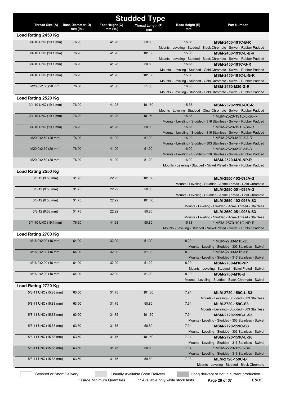| <b>Studded Type</b>   |                                      |                               |                   |                       |                                                                                                 |
|-----------------------|--------------------------------------|-------------------------------|-------------------|-----------------------|-------------------------------------------------------------------------------------------------|
| Thread Size (A)       | <b>Base Diameter (D)</b><br>mm (in.) | Foot Height (C)<br>$mm$ (in.) | Thread Length (F) | Base Height (E)<br>mm | <b>Part Number</b>                                                                              |
| Load Rating 2450 Kg   |                                      |                               | mm                |                       |                                                                                                 |
| 3/4-10 UNC (19.1 mm)  | 76.20                                | 41.28                         | 50.80             | 15.88                 | <b>MSM-2450-191C-B-R</b>                                                                        |
|                       |                                      |                               |                   |                       | Mounts - Leveling - Studded - Black Chromate - Swivel - Rubber Padded                           |
| 3/4-10 UNC (19.1 mm)  | 76.20                                | 41.28                         | 101.60            | 15.88                 | MSM-2450-191C-L-B-R                                                                             |
|                       |                                      |                               |                   |                       | Mounts - Leveling - Studded - Black Chromate - Swivel - Rubber Padded                           |
| 3/4-10 UNC (19.1 mm)  | 76.20                                | 41.28                         | 50.80             | 15.88                 | MSM-2450-191C-G-R<br>Mounts - Leveling - Studded - Gold Chromate - Swivel - Rubber Padded       |
| 3/4-10 UNC (19.1 mm)  | 76.20                                | 41.28                         | 101.60            | 15.88                 | MSM-2450-191C-L-G-R                                                                             |
|                       |                                      |                               |                   |                       | Mounts - Leveling - Studded - Gold Chromate - Swivel - Rubber Padded                            |
| M20.0x2.50 (20 mm)    | 76.00                                | 41.00                         | 51.00             | 16.00                 | MSM-2450-M20-G-R                                                                                |
|                       |                                      |                               |                   |                       | Mounts - Leveling - Studded - Gold Chromate - Swivel - Rubber Padded                            |
| Load Rating 2520 Kg   |                                      |                               |                   |                       |                                                                                                 |
| 3/4-10 UNC (19.1 mm)  | 76.20                                | 41.28                         | 101.60            | 15.88                 | <b>MSM-2520-191C-CC-R</b>                                                                       |
| 3/4-10 UNC (19.1 mm)  | 76.20                                | 41.28                         | 101.60            | 15.88                 | Mounts - Leveling - Studded - Clear Chromate - Swivel - Rubber Padded<br>* MSM-2520-191C-L-S6-R |
|                       |                                      |                               |                   |                       | Mounts - Leveling - Studded - 316 Stainless - Swivel - Rubber Padded                            |
| 3/4-10 UNC (19.1 mm)  | 76.20                                | 41.28                         | 50.80             | 15.88                 | * MSM-2520-191C-S6-R                                                                            |
|                       |                                      |                               |                   |                       | Mounts - Leveling - Studded - 316 Stainless - Swivel - Rubber Padded                            |
| M20.0x2.50 (20 mm)    | 76.00                                | 41.00                         | 51.00             | 16.00                 | * MSM-2520-M20-S3-R                                                                             |
| M20.0x2.50 (20 mm)    | 76.00                                | 41.00                         | 51.00             | 16.00                 | Mounts - Leveling - Studded - 303 Stainless - Swivel - Rubber Padded<br>* MSM-2520-M20-S6-R     |
|                       |                                      |                               |                   |                       | Mounts - Leveling - Studded - 316 Stainless - Swivel - Rubber Padded                            |
| M20.0x2.50 (20 mm)    | 76.00                                | 41.00                         | 51.00             | 16.00                 | <b>MSM-2520-M20-NP-R</b>                                                                        |
|                       |                                      |                               |                   |                       | Mounts - Leveling - Studded - Nickel Plated - Swivel - Rubber Padded                            |
| Load Rating 2550 Kg   |                                      |                               |                   |                       |                                                                                                 |
| $3/8 - 12$ (9.53 mm)  | 31.75                                | 22.22                         | 101.60            |                       | MLM-2550-102-095A-G                                                                             |
| $3/8 - 12$ (9.53 mm)  | 31.75                                | 22.22                         | 50.80             |                       | Mounts - Leveling - Studded - Acme Thread - Gold Chromate<br>MLM-2550-051-095A-G                |
|                       |                                      |                               |                   |                       | Mounts - Leveling - Studded - Acme Thread - Gold Chromate                                       |
| $3/8 - 12$ (9.53 mm)  | 31.75                                | 22.22                         | 101.60            |                       | MLM-2550-102-095A-S3                                                                            |
|                       |                                      |                               |                   |                       | Mounts - Leveling - Studded - Acme Thread - Stainless                                           |
| $3/8 - 12$ (9.53 mm)  | 31.75                                | 22.22                         | 50.80             |                       | MLM-2550-051-095A-S3                                                                            |
| 3/4-10 UNC (19.1 mm)  | 76.20                                | 41.28                         | 50.80             | 15.88                 | Mounts - Leveling - Studded - Acme Thread - Stainless<br>* MSM-2570-191C-NP-R                   |
|                       |                                      |                               |                   |                       | Mounts - Leveling - Studded - Nickel Plated - Swivel - Rubber Padded                            |
| Load Rating 2700 Kg   |                                      |                               |                   |                       |                                                                                                 |
| M16.0x2.00 (16 mm)    | 64.00                                | 32.00                         | 51.00             | 8.00                  | * MSM-2700-M16-S3                                                                               |
|                       |                                      |                               |                   |                       | Mounts - Leveling - Studded - 303 Stainless - Swivel                                            |
| M16.0x2.00 (16 mm)    | 64.00                                | 32.00                         | 51.00             | 8.00                  | * MSM-2700-M16-S6                                                                               |
| M16.0x2.00 (16 mm)    | 64.00                                | 32.00                         | 51.00             | 8.00                  | Mounts - Leveling - Studded - 316 Stainless - Swivel<br><b>MSM-2700-M16-NP</b>                  |
|                       |                                      |                               |                   |                       | Mounts - Leveling - Studded - Nickel Plated - Swivel                                            |
| M16.0x2.00 (16 mm)    | 64.00                                | 32.00                         | 51.00             | 8.00                  | <b>MSM-2700-M16-B</b>                                                                           |
|                       |                                      |                               |                   |                       | Mounts - Leveling - Studded - Black Chromate - Swivel                                           |
| Load Rating 2720 Kg   |                                      |                               |                   |                       |                                                                                                 |
| 5/8-11 UNC (15.88 mm) | 63.50                                | 31.75                         | 101.60            | 7.94                  | MLM-2720-159C-L-S3                                                                              |
|                       |                                      |                               |                   |                       | Mounts - Leveling - Studded - 303 Stainless                                                     |
| 5/8-11 UNC (15.88 mm) | 63.50                                | 31.75                         | 50.80             | 7.94                  | MLM-2720-159C-S3<br>Mounts - Leveling - Studded - 303 Stainless                                 |
| 5/8-11 UNC (15.88 mm) | 63.50                                | 31.75                         | 101.60            | 7.94                  | MSM-2720-159C-L-S3                                                                              |
|                       |                                      |                               |                   |                       | Mounts - Leveling - Studded - 303 Stainless - Swivel                                            |
| 5/8-11 UNC (15.88 mm) | 63.50                                | 31.75                         | 50.80             | 7.94                  | MSM-2720-159C-S3                                                                                |
|                       |                                      |                               |                   |                       | Mounts - Leveling - Studded - 303 Stainless - Swivel                                            |
| 5/8-11 UNC (15.88 mm) | 63.50                                | 31.75                         | 101.60            | 7.94                  | MSM-2720-159C-L-S6                                                                              |
| 5/8-11 UNC (15.88 mm) | 63.50                                | 31.75                         | 50.80             | 7.94                  | Mounts - Leveling - Studded - 316 Stainless - Swivel<br>* MSM-2720-159C-S6                      |
|                       |                                      |                               |                   |                       | Mounts - Leveling - Studded - 316 Stainless - Swivel                                            |
| 5/8-11 UNC (15.88 mm) | 63.50                                | 31.75                         | 50.80             | 7.93                  | <b>MLM-2720-159C-B</b>                                                                          |
|                       |                                      |                               |                   |                       | Mounts - Leveling - Studded - Black Chromate                                                    |

Stocked or Short Delivery **Contains the Usually Available Short Delivery Containery** Long delivery or not in current production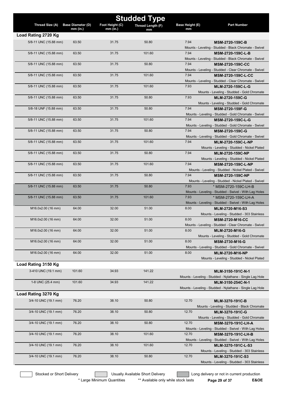| <b>Studded Type</b>   |                          |                 |                   |                 |                                                                                    |
|-----------------------|--------------------------|-----------------|-------------------|-----------------|------------------------------------------------------------------------------------|
| Thread Size (A)       | <b>Base Diameter (D)</b> | Foot Height (C) | Thread Length (F) | Base Height (E) | <b>Part Number</b>                                                                 |
| Load Rating 2720 Kg   | $mm$ (in.)               | $mm$ (in.)      | mm                | mm              |                                                                                    |
| 5/8-11 UNC (15.88 mm) | 63.50                    | 31.75           | 50.80             | 7.94            |                                                                                    |
|                       |                          |                 |                   |                 | <b>MSM-2720-159C-B</b><br>Mounts - Leveling - Studded - Black Chromate - Swivel    |
| 5/8-11 UNC (15.88 mm) | 63.50                    | 31.75           | 101.60            | 7.94            | MSM-2720-159C-L-B                                                                  |
|                       |                          |                 |                   |                 | Mounts - Leveling - Studded - Black Chromate - Swivel                              |
| 5/8-11 UNC (15.88 mm) | 63.50                    | 31.75           | 50.80             | 7.94            | <b>MSM-2720-159C-CC</b>                                                            |
|                       |                          |                 |                   |                 | Mounts - Leveling - Studded - Clear Chromate - Swivel                              |
| 5/8-11 UNC (15.88 mm) | 63.50                    | 31.75           | 101.60            | 7.94            | <b>MSM-2720-159C-L-CC</b>                                                          |
|                       |                          |                 |                   |                 | Mounts - Leveling - Studded - Clear Chromate - Swivel                              |
| 5/8-11 UNC (15.88 mm) | 63.50                    | 31.75           | 101.60            | 7.93            | MLM-2720-159C-L-G                                                                  |
|                       |                          |                 |                   |                 | Mounts - Leveling - Studded - Gold Chromate                                        |
| 5/8-11 UNC (15.88 mm) | 63.50                    | 31.75           | 50.80             | 7.93            | MLM-2720-159C-G                                                                    |
| 5/8-18 UNF (15.88 mm) | 63.50                    | 31.75           | 50.80             | 7.94            | Mounts - Leveling - Studded - Gold Chromate<br>MSM-2720-159F-G                     |
|                       |                          |                 |                   |                 | Mounts - Leveling - Studded - Gold Chromate - Swivel                               |
| 5/8-11 UNC (15.88 mm) | 63.50                    | 31.75           | 101.60            | 7.94            | MSM-2720-159C-L-G                                                                  |
|                       |                          |                 |                   |                 | Mounts - Leveling - Studded - Gold Chromate - Swivel                               |
| 5/8-11 UNC (15.88 mm) | 63.50                    | 31.75           | 50.80             | 7.94            | MSM-2720-159C-G                                                                    |
|                       |                          |                 |                   |                 | Mounts - Leveling - Studded - Gold Chromate - Swivel                               |
| 5/8-11 UNC (15.88 mm) | 63.50                    | 31.75           | 101.60            | 7.94            | <b>MLM-2720-159C-L-NP</b>                                                          |
|                       |                          |                 |                   |                 | Mounts - Leveling - Studded - Nickel Plated                                        |
| 5/8-11 UNC (15.88 mm) | 63.50                    | 31.75           | 50.80             | 7.94            | <b>MLM-2720-159C-NP</b>                                                            |
| 5/8-11 UNC (15.88 mm) | 63.50                    | 31.75           | 101.60            | 7.94            | Mounts - Leveling - Studded - Nickel Plated<br><b>MSM-2720-159C-L-NP</b>           |
|                       |                          |                 |                   |                 | Mounts - Leveling - Studded - Nickel Plated - Swivel                               |
| 5/8-11 UNC (15.88 mm) | 63.50                    | 31.75           | 50.80             | 7.94            | <b>MSM-2720-159C-NP</b>                                                            |
|                       |                          |                 |                   |                 | Mounts - Leveling - Studded - Nickel Plated - Swivel                               |
| 5/8-11 UNC (15.88 mm) | 63.50                    | 31.75           | 50.80             | 7.93            | * MSM-2720-159C-LH-B                                                               |
|                       |                          |                 |                   |                 | Mounts - Leveling - Studded - Swivel - With Lag Holes                              |
| 5/8-11 UNC (15.88 mm) | 63.50                    | 31.75           | 101.60            | 7.93            | * MSM-2720-159C-LH-A                                                               |
| M16.0x2.00 (16 mm)    | 64.00                    | 32.00           | 51.00             | 8.00            | Mounts - Leveling - Studded - Swivel - With Lag Holes<br>MLM-2720-M16-S3           |
|                       |                          |                 |                   |                 | Mounts - Leveling - Studded - 303 Stainless                                        |
| M16.0x2.00 (16 mm)    | 64.00                    | 32.00           | 51.00             | 8.00            | <b>MSM-2720-M16-CC</b>                                                             |
|                       |                          |                 |                   |                 | Mounts - Leveling - Studded - Clear Chromate - Swivel                              |
| M16.0x2.00 (16 mm)    | 64.00                    | 32.00           | 51.00             | 8.00            | MLM-2720-M16-G                                                                     |
|                       |                          |                 |                   |                 | Mounts - Leveling - Studded - Gold Chromate                                        |
| M16.0x2.00 (16 mm)    | 64.00                    | 32.00           | 51.00             | 8.00            | MSM-2730-M16-G                                                                     |
|                       |                          |                 |                   |                 | Mounts - Leveling - Studded - Gold Chromate - Swivel                               |
| M16.0x2.00 (16 mm)    | 64.00                    | 32.00           | 51.00             | 8.00            | <b>MLM-2720-M16-NP</b>                                                             |
|                       |                          |                 |                   |                 | Mounts - Leveling - Studded - Nickel Plated                                        |
| Load Rating 3150 Kg   |                          |                 |                   |                 |                                                                                    |
| 3-410 UNC (19.1 mm)   | 101.60                   | 34.93           | 141.22            |                 | MLM-3150-191C-N-1<br>Mounts - Leveling - Studded - Nylathane - Single Lag Hole     |
| 1-8 UNC (25.4 mm)     | 101.60                   | 34.93           | 141.22            |                 | MLM-3150-254C-N-1                                                                  |
|                       |                          |                 |                   |                 | Mounts - Leveling - Studded - Nylathane - Single Lag Hole                          |
| Load Rating 3270 Kg   |                          |                 |                   |                 |                                                                                    |
| 3/4-10 UNC (19.1 mm)  | 76.20                    | 38.10           | 50.80             | 12.70           | MLM-3270-191C-B                                                                    |
|                       |                          |                 |                   |                 | Mounts - Leveling - Studded - Black Chromate                                       |
| 3/4-10 UNC (19.1 mm)  | 76.20                    | 38.10           | 50.80             | 12.70           | MLM-3270-191C-G                                                                    |
|                       |                          |                 |                   |                 | Mounts - Leveling - Studded - Gold Chromate                                        |
| 3/4-10 UNC (19.1 mm)  | 76.20                    | 38.10           | 50.80             | 12.70           | MSM-3270-191C-LH-A                                                                 |
|                       | 76.20                    | 38.10           | 101.60            |                 | Mounts - Leveling - Studded - Swivel - With Lag Holes                              |
| 3/4-10 UNC (19.1 mm)  |                          |                 |                   | 12.70           | <b>MSM-3270-191C-LH-B</b><br>Mounts - Leveling - Studded - Swivel - With Lag Holes |
| 3/4-10 UNC (19.1 mm)  | 76.20                    | 38.10           | 101.60            | 12.70           | MLM-3270-191C-L-S3                                                                 |
|                       |                          |                 |                   |                 | Mounts - Leveling - Studded - 303 Stainless                                        |
| 3/4-10 UNC (19.1 mm)  | 76.20                    | 38.10           | 50.80             | 12.70           | MLM-3270-191C-S3                                                                   |
|                       |                          |                 |                   |                 | Mounts - Leveling - Studded - 303 Stainless                                        |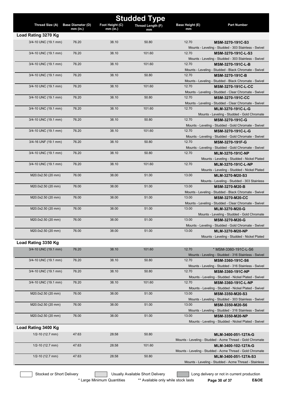| <b>Studded Type</b>  |                          |                 |                   |                        |                                                                                    |  |
|----------------------|--------------------------|-----------------|-------------------|------------------------|------------------------------------------------------------------------------------|--|
| Thread Size (A)      | <b>Base Diameter (D)</b> | Foot Height (C) | Thread Length (F) | <b>Base Height (E)</b> | <b>Part Number</b>                                                                 |  |
|                      | mm (in.)                 | $mm$ (in.)      | mm                | mm                     |                                                                                    |  |
| Load Rating 3270 Kg  |                          |                 |                   |                        |                                                                                    |  |
| 3/4-10 UNC (19.1 mm) | 76.20                    | 38.10           | 50.80             | 12.70                  | MSM-3270-191C-S3<br>Mounts - Leveling - Studded - 303 Stainless - Swivel           |  |
| 3/4-10 UNC (19.1 mm) | 76.20                    | 38.10           | 101.60            | 12.70                  | MSM-3270-191C-L-S3                                                                 |  |
|                      |                          |                 |                   |                        | Mounts - Leveling - Studded - 303 Stainless - Swivel                               |  |
| 3/4-10 UNC (19.1 mm) | 76.20                    | 38.10           | 101.60            | 12.70                  | MSM-3270-191C-L-B                                                                  |  |
|                      |                          |                 |                   |                        | Mounts - Leveling - Studded - Black Chromate - Swivel                              |  |
| 3/4-10 UNC (19.1 mm) | 76.20                    | 38.10           | 50.80             | 12.70                  | MSM-3270-191C-B                                                                    |  |
|                      |                          |                 |                   |                        | Mounts - Leveling - Studded - Black Chromate - Swivel                              |  |
| 3/4-10 UNC (19.1 mm) | 76.20                    | 38.10           | 101.60            | 12.70                  | <b>MSM-3270-191C-L-CC</b><br>Mounts - Leveling - Studded - Clear Chromate - Swivel |  |
| 3/4-10 UNC (19.1 mm) | 76.20                    | 38.10           | 50.80             | 12.70                  | <b>MSM-3270-191C-CC</b>                                                            |  |
|                      |                          |                 |                   |                        | Mounts - Leveling - Studded - Clear Chromate - Swivel                              |  |
| 3/4-10 UNC (19.1 mm) | 76.20                    | 38.10           | 101.60            | 12.70                  | MLM-3270-191C-L-G                                                                  |  |
|                      |                          |                 |                   |                        | Mounts - Leveling - Studded - Gold Chromate                                        |  |
| 3/4-10 UNC (19.1 mm) | 76.20                    | 38.10           | 50.80             | 12.70                  | MSM-3270-191C-G                                                                    |  |
|                      |                          |                 |                   |                        | Mounts - Leveling - Studded - Gold Chromate - Swivel                               |  |
| 3/4-10 UNC (19.1 mm) | 76.20                    | 38.10           | 101.60            | 12.70                  | MSM-3270-191C-L-G                                                                  |  |
| 3/4-16 UNF (19.1 mm) | 76.20                    | 38.10           | 50.80             | 12.70                  | Mounts - Leveling - Studded - Gold Chromate - Swivel<br>MSM-3270-191F-G            |  |
|                      |                          |                 |                   |                        | Mounts - Leveling - Studded - Gold Chromate - Swivel                               |  |
| 3/4-10 UNC (19.1 mm) | 76.20                    | 38.10           | 50.80             | 12.70                  | MLM-3270-191C-NP                                                                   |  |
|                      |                          |                 |                   |                        | Mounts - Leveling - Studded - Nickel Plated                                        |  |
| 3/4-10 UNC (19.1 mm) | 76.20                    | 38.10           | 101.60            | 12.70                  | MLM-3270-191C-L-NP                                                                 |  |
|                      |                          |                 |                   |                        | Mounts - Leveling - Studded - Nickel Plated                                        |  |
| M20.0x2.50 (20 mm)   | 76.00                    | 38.00           | 51.00             | 13.00                  | MLM-3270-M20-S3<br>Mounts - Leveling - Studded - 303 Stainless                     |  |
| M20.0x2.50 (20 mm)   | 76.00                    | 38.00           | 51.00             | 13.00                  | <b>MSM-3270-M20-B</b>                                                              |  |
|                      |                          |                 |                   |                        | Mounts - Leveling - Studded - Black Chromate - Swivel                              |  |
| M20.0x2.50 (20 mm)   | 76.00                    | 38.00           | 51.00             | 13.00                  | <b>MSM-3270-M20-CC</b>                                                             |  |
|                      |                          |                 |                   |                        | Mounts - Leveling - Studded - Clear Chromate - Swivel                              |  |
| M20.0x2.50 (20 mm)   | 76.00                    | 38.00           | 51.00             | 13.00                  | MLM-3270-M20-G                                                                     |  |
|                      |                          |                 |                   |                        | Mounts - Leveling - Studded - Gold Chromate                                        |  |
| M20.0x2.50 (20 mm)   | 76.00                    | 38.00           | 51.00             | 13.00                  | MSM-3270-M20-G<br>Mounts - Leveling - Studded - Gold Chromate - Swivel             |  |
| M20.0x2.50 (20 mm)   | 76.00                    | 38.00           | 51.00             | 13.00                  | MLM-3270-M20-NP                                                                    |  |
|                      |                          |                 |                   |                        | Mounts - Leveling - Studded - Nickel Plated                                        |  |
| Load Rating 3350 Kg  |                          |                 |                   |                        |                                                                                    |  |
| 3/4-10 UNC (19.1 mm) | 76.20                    | 38.10           | 101.60            | 12.70                  | * MSM-3360-191C-L-S6                                                               |  |
|                      |                          |                 |                   |                        | Mounts - Leveling - Studded - 316 Stainless - Swivel                               |  |
| 3/4-10 UNC (19.1 mm) | 76.20                    | 38.10           | 50.80             | 12.70                  | MSM-3360-191C-S6                                                                   |  |
|                      |                          |                 |                   |                        | Mounts - Leveling - Studded - 316 Stainless - Swivel                               |  |
| 3/4-10 UNC (19.1 mm) | 76.20                    | 38.10           | 50.80             | 12.70                  | <b>MSM-3360-191C-NP</b>                                                            |  |
| 3/4-10 UNC (19.1 mm) | 76.20                    | 38.10           | 101.60            | 12.70                  | Mounts - Leveling - Studded - Nickel Plated - Swivel<br><b>MSM-3360-191C-L-NP</b>  |  |
|                      |                          |                 |                   |                        | Mounts - Leveling - Studded - Nickel Plated - Swivel                               |  |
| M20.0x2.50 (20 mm)   | 76.00                    | 38.00           | 51.00             | 13.00                  | MSM-3350-M20-S3                                                                    |  |
|                      |                          |                 |                   |                        | Mounts - Leveling - Studded - 303 Stainless - Swivel                               |  |
| M20.0x2.50 (20 mm)   | 76.00                    | 38.00           | 51.00             | 13.00                  | MSM-3350-M20-S6                                                                    |  |
|                      |                          |                 |                   |                        | Mounts - Leveling - Studded - 316 Stainless - Swivel                               |  |
| M20.0x2.50 (20 mm)   | 76.00                    | 38.00           | 51.00             | 13.00                  | MSM-3350-M20-NP                                                                    |  |
| Load Rating 3400 Kg  |                          |                 |                   |                        | Mounts - Leveling - Studded - Nickel Plated - Swivel                               |  |
|                      |                          |                 |                   |                        |                                                                                    |  |
| $1/2 - 10$ (12.7 mm) | 47.63                    | 28.58           | 50.80             |                        | MLM-3400-051-127A-G<br>Mounts - Leveling - Studded - Acme Thread - Gold Chromate   |  |
| $1/2 - 10$ (12.7 mm) | 47.63                    | 28.58           | 101.60            |                        | MLM-3400-102-127A-G                                                                |  |
|                      |                          |                 |                   |                        | Mounts - Leveling - Studded - Acme Thread - Gold Chromate                          |  |
| $1/2 - 10$ (12.7 mm) | 47.63                    | 28.58           | 50.80             |                        | MLM-3400-051-127A-S3                                                               |  |
|                      |                          |                 |                   |                        | Mounts - Leveling - Studded - Acme Thread - Stainless                              |  |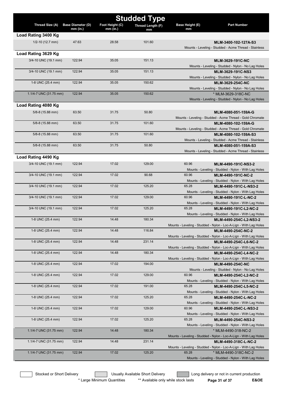|                        | <b>Studded Type</b>      |                 |                   |                 |                                                                                         |  |  |
|------------------------|--------------------------|-----------------|-------------------|-----------------|-----------------------------------------------------------------------------------------|--|--|
| Thread Size (A)        | <b>Base Diameter (D)</b> | Foot Height (C) | Thread Length (F) | Base Height (E) | <b>Part Number</b>                                                                      |  |  |
|                        | $mm$ (in.)               | $mm$ (in.)      | mm                | mm              |                                                                                         |  |  |
| Load Rating 3400 Kg    |                          |                 |                   |                 |                                                                                         |  |  |
| $1/2 - 10$ (12.7 mm)   | 47.63                    | 28.58           | 101.60            |                 | MLM-3400-102-127A-S3<br>Mounts - Leveling - Studded - Acme Thread - Stainless           |  |  |
| Load Rating 3629 Kg    |                          |                 |                   |                 |                                                                                         |  |  |
|                        |                          |                 |                   |                 |                                                                                         |  |  |
| 3/4-10 UNC (19.1 mm)   | 122.94                   | 35.05           | 151.13            |                 | <b>MLM-3629-191C-NC</b><br>Mounts - Leveling - Studded - Nylon - No Lag Holes           |  |  |
| 3/4-10 UNC (19.1 mm)   | 122.94                   | 35.05           | 151.13            |                 | MLM-3629-191C-NS3                                                                       |  |  |
|                        |                          |                 |                   |                 | Mounts - Leveling - Studded - Nylon - No Lag Holes                                      |  |  |
| 1-8 UNC (25.4 mm)      | 122.94                   | 35.05           | 150.62            |                 | <b>MLM-3629-254C-NC</b>                                                                 |  |  |
|                        |                          |                 |                   |                 | Mounts - Leveling - Studded - Nylon - No Lag Holes                                      |  |  |
| 1.1/4-7 UNC (31.75 mm) | 122.94                   | 35.05           | 150.62            |                 | * MLM-3629-318C-NC                                                                      |  |  |
|                        |                          |                 |                   |                 | Mounts - Leveling - Studded - Nylon - No Lag Holes                                      |  |  |
| Load Rating 4080 Kg    |                          |                 |                   |                 |                                                                                         |  |  |
| 5/8-8 (15.88 mm)       | 63.50                    | 31.75           | 50.80             |                 | MLM-4080-051-159A-G                                                                     |  |  |
|                        |                          |                 |                   |                 | Mounts - Leveling - Studded - Acme Thread - Gold Chromate                               |  |  |
| 5/8-8 (15.88 mm)       | 63.50                    | 31.75           | 101.60            |                 | MLM-4080-102-159A-G                                                                     |  |  |
|                        |                          |                 |                   |                 | Mounts - Leveling - Studded - Acme Thread - Gold Chromate                               |  |  |
| 5/8-8 (15.88 mm)       | 63.50                    | 31.75           | 101.60            |                 | MLM-4080-102-159A-S3                                                                    |  |  |
| 5/8-8 (15.88 mm)       | 63.50                    | 31.75           | 50.80             |                 | Mounts - Leveling - Studded - Acme Thread - Stainless                                   |  |  |
|                        |                          |                 |                   |                 | MLM-4080-051-159A-S3<br>Mounts - Leveling - Studded - Acme Thread - Stainless           |  |  |
| Load Rating 4490 Kg    |                          |                 |                   |                 |                                                                                         |  |  |
|                        | 122.94                   | 17.02           | 129.00            | 60.96           |                                                                                         |  |  |
| 3/4-10 UNC (19.1 mm)   |                          |                 |                   |                 | MLM-4490-191C-NS3-2<br>Mounts - Leveling - Studded - Nylon - With Lag Holes             |  |  |
| 3/4-10 UNC (19.1 mm)   | 122.94                   | 17.02           | 90.68             | 60.96           | MLM-4490-191C-NC-2                                                                      |  |  |
|                        |                          |                 |                   |                 | Mounts - Leveling - Studded - Nylon - With Lag Holes                                    |  |  |
| 3/4-10 UNC (19.1 mm)   | 122.94                   | 17.02           | 125.20            | 65.28           | MLM-4490-191C-L-NS3-2                                                                   |  |  |
|                        |                          |                 |                   |                 | Mounts - Leveling - Studded - Nylon - With Lag Holes                                    |  |  |
| 3/4-10 UNC (19.1 mm)   | 122.94                   | 17.02           | 129.00            | 60.96           | MLM-4490-191C-L-NC-2                                                                    |  |  |
|                        |                          |                 |                   |                 | Mounts - Leveling - Studded - Nylon - With Lag Holes                                    |  |  |
| 3/4-10 UNC (19.1 mm)   | 122.94                   | 17.02           | 125.20            | 65.28           | MLM-4490-191C-L2-NC-2                                                                   |  |  |
|                        |                          |                 |                   |                 | Mounts - Leveling - Studded - Nylon - With Lag Holes                                    |  |  |
| 1-8 UNC (25.4 mm)      | 122.94                   | 14.48           | 180.34            |                 | MLM-4490-254C-L2-NS3-2                                                                  |  |  |
| 1-8 UNC (25.4 mm)      | 122.94                   | 14.48           | 116.84            |                 | Mounts - Leveling - Studded - Nylon - Loc-A-Lign - With Lag Holes<br>MLM-4490-254C-NC-2 |  |  |
|                        |                          |                 |                   |                 | Mounts - Leveling - Studded - Nylon - Loc-A-Lign - With Lag Holes                       |  |  |
| 1-8 UNC (25.4 mm)      | 122.94                   | 14.48           | 231.14            |                 | MLM-4490-254C-L6-NC-2                                                                   |  |  |
|                        |                          |                 |                   |                 | Mounts - Leveling - Studded - Nylon - Loc-A-Lign - With Lag Holes                       |  |  |
| 1-8 UNC (25.4 mm)      | 122.94                   | 14.48           | 180.34            |                 | MLM-4490-254C-L4-NC-2                                                                   |  |  |
|                        |                          |                 |                   |                 | Mounts - Leveling - Studded - Nylon - Loc-A-Lign - With Lag Holes                       |  |  |
| 1-8 UNC (25.4 mm)      | 122.94                   | 17.02           | 194.00            |                 | <b>MLM-4490-254C-NC</b>                                                                 |  |  |
|                        |                          |                 |                   |                 | Mounts - Leveling - Studded - Nylon - No Lag Holes                                      |  |  |
| 1-8 UNC (25.4 mm)      | 122.94                   | 17.02           | 129.00            | 60.96           | MLM-4490-254C-L2-NC-2                                                                   |  |  |
|                        |                          |                 |                   |                 | Mounts - Leveling - Studded - Nylon - With Lag Holes                                    |  |  |
| 1-8 UNC (25.4 mm)      | 122.94                   | 17.02           | 191.00            | 65.28           | MLM-4490-254C-L5-NC-2                                                                   |  |  |
| 1-8 UNC (25.4 mm)      | 122.94                   | 17.02           | 125.20            | 65.28           | Mounts - Leveling - Studded - Nylon - With Lag Holes<br>MLM-4490-254C-L-NC-2            |  |  |
|                        |                          |                 |                   |                 | Mounts - Leveling - Studded - Nylon - With Lag Holes                                    |  |  |
| 1-8 UNC (25.4 mm)      | 122.94                   | 17.02           | 129.00            | 60.96           | MLM-4490-254C-L-NS3-2                                                                   |  |  |
|                        |                          |                 |                   |                 | Mounts - Leveling - Studded - Nylon - With Lag Holes                                    |  |  |
| 1-8 UNC (25.4 mm)      | 122.94                   | 17.02           | 125.20            | 65.28           | MLM-4490-254C-NS3-2                                                                     |  |  |
|                        |                          |                 |                   |                 | Mounts - Leveling - Studded - Nylon - With Lag Holes                                    |  |  |
| 1.1/4-7 UNC (31.75 mm) | 122.94                   | 14.48           | 180.34            |                 | * MLM-4490-318-NC-2                                                                     |  |  |
|                        |                          |                 |                   |                 | Mounts - Leveling - Studded - Nylon - Loc-A-Lign - With Lag Holes                       |  |  |
| 1.1/4-7 UNC (31.75 mm) | 122.94                   | 14.48           | 231.14            |                 | MLM-4490-318C-L-NC-2                                                                    |  |  |
|                        |                          |                 |                   |                 | Mounts - Leveling - Studded - Nylon - Loc-A-Lign - With Lag Holes                       |  |  |
| 1.1/4-7 UNC (31.75 mm) | 122.94                   | 17.02           | 125.20            | 65.28           | * MLM-4490-318C-NC-2                                                                    |  |  |
|                        |                          |                 |                   |                 | Mounts - Leveling - Studded - Nylon - With Lag Holes                                    |  |  |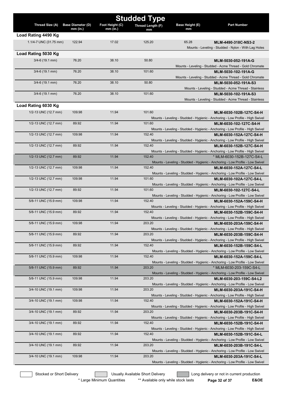|                        | <b>Studded Type</b>      |                 |                   |                 |                                                                                                           |  |  |
|------------------------|--------------------------|-----------------|-------------------|-----------------|-----------------------------------------------------------------------------------------------------------|--|--|
| Thread Size (A)        | <b>Base Diameter (D)</b> | Foot Height (C) | Thread Length (F) | Base Height (E) | <b>Part Number</b>                                                                                        |  |  |
| Load Rating 4490 Kg    | $mm$ (in.)               | $mm$ (in.)      | mm                | mm              |                                                                                                           |  |  |
| 1.1/4-7 UNC (31.75 mm) | 122.94                   | 17.02           | 125.20            | 65.28           | MLM-4490-318C-NS3-2                                                                                       |  |  |
|                        |                          |                 |                   |                 | Mounts - Leveling - Studded - Nylon - With Lag Holes                                                      |  |  |
| Load Rating 5030 Kg    |                          |                 |                   |                 |                                                                                                           |  |  |
| $3/4 - 6$ (19.1 mm)    | 76.20                    | 38.10           | 50.80             |                 | MLM-5030-052-191A-G                                                                                       |  |  |
|                        |                          |                 |                   |                 | Mounts - Leveling - Studded - Acme Thread - Gold Chromate                                                 |  |  |
| $3/4 - 6$ (19.1 mm)    | 76.20                    | 38.10           | 101.60            |                 | MLM-5030-102-191A-G                                                                                       |  |  |
|                        |                          |                 |                   |                 | Mounts - Leveling - Studded - Acme Thread - Gold Chromate                                                 |  |  |
| $3/4 - 6$ (19.1 mm)    | 76.20                    | 38.10           | 50.80             |                 | MLM-5030-052-191A-S3<br>Mounts - Leveling - Studded - Acme Thread - Stainless                             |  |  |
| $3/4 - 6$ (19.1 mm)    | 76.20                    | 38.10           | 101.60            |                 | MLM-5030-102-191A-S3                                                                                      |  |  |
|                        |                          |                 |                   |                 | Mounts - Leveling - Studded - Acme Thread - Stainless                                                     |  |  |
| Load Rating 6030 Kg    |                          |                 |                   |                 |                                                                                                           |  |  |
| 1/2-13 UNC (12.7 mm)   | 109.98                   | 11.94           | 101.60            |                 | MLM-6030-102B-127C-S4-H                                                                                   |  |  |
|                        |                          |                 |                   |                 | Mounts - Leveling - Studded - Hygienic - Anchoring - Low Profile - High Swivel                            |  |  |
| 1/2-13 UNC (12.7 mm)   | 89.92                    | 11.94           | 101.60            |                 | MLM-6030-102-127C-S4-H                                                                                    |  |  |
|                        |                          |                 |                   |                 | Mounts - Leveling - Studded - Hygienic - Anchoring - Low Profile - High Swivel                            |  |  |
| 1/2-13 UNC (12.7 mm)   | 109.98                   | 11.94           | 152.40            |                 | MLM-6030-152A-127C-S4-H<br>Mounts - Leveling - Studded - Hygienic - Anchoring - Low Profile - High Swivel |  |  |
| 1/2-13 UNC (12.7 mm)   | 89.92                    | 11.94           | 152.40            |                 | MLM-6030-152B-127C-S4-H                                                                                   |  |  |
|                        |                          |                 |                   |                 | Mounts - Leveling - Studded - Hygienic - Anchoring - Low Profile - High Swivel                            |  |  |
| 1/2-13 UNC (12.7 mm)   | 89.92                    | 11.94           | 152.40            |                 | * MLM-6030-152B-127C-S4-L                                                                                 |  |  |
|                        |                          |                 |                   |                 | Mounts - Leveling - Studded - Hygienic - Anchoring - Low Profile - Low Swivel                             |  |  |
| 1/2-13 UNC (12.7 mm)   | 109.98                   | 11.94           | 152.40            |                 | MLM-6030-152A-127C-S4-L                                                                                   |  |  |
|                        | 109.98                   | 11.94           | 101.60            |                 | Mounts - Leveling - Studded - Hygienic - Anchoring - Low Profile - Low Swivel                             |  |  |
| 1/2-13 UNC (12.7 mm)   |                          |                 |                   |                 | MLM-6030-102A-127C-S4-L<br>Mounts - Leveling - Studded - Hygienic - Anchoring - Low Profile - Low Swivel  |  |  |
| 1/2-13 UNC (12.7 mm)   | 89.92                    | 11.94           | 101.60            |                 | MLM-6030-102-127C-S4-L                                                                                    |  |  |
|                        |                          |                 |                   |                 | Mounts - Leveling - Studded - Hygienic - Anchoring - Low Profile - Low Swivel                             |  |  |
| 5/8-11 UNC (15.9 mm)   | 109.98                   | 11.94           | 152.40            |                 | MLM-6030-152A-159C-S4-H                                                                                   |  |  |
|                        |                          |                 |                   |                 | Mounts - Leveling - Studded - Hygienic - Anchoring - Low Profile - High Swivel                            |  |  |
| 5/8-11 UNC (15.9 mm)   | 89.92                    | 11.94           | 152.40            |                 | MLM-6030-152B-159C-S4-H                                                                                   |  |  |
| 5/8-11 UNC (15.9 mm)   | 109.98                   | 11.94           | 203.20            |                 | Mounts - Leveling - Studded - Hygienic - Anchoring - Low Profile - High Swivel<br>MLM-6030-203A-159C-S4-H |  |  |
|                        |                          |                 |                   |                 | Mounts - Leveling - Studded - Hygienic - Anchoring - Low Profile - High Swivel                            |  |  |
| 5/8-11 UNC (15.9 mm)   | 89.92                    | 11.94           | 203.20            |                 | MLM-6030-203B-159C-S4-H                                                                                   |  |  |
|                        |                          |                 |                   |                 | Mounts - Leveling - Studded - Hygienic - Anchoring - Low Profile - High Swivel                            |  |  |
| 5/8-11 UNC (15.9 mm)   | 89.92                    | 11.94           | 152.40            |                 | MLM-6030-152B-159C-S4-L                                                                                   |  |  |
|                        |                          |                 |                   |                 | Mounts - Leveling - Studded - Hygienic - Anchoring - Low Profile - Low Swivel                             |  |  |
| 5/8-11 UNC (15.9 mm)   | 109.98                   | 11.94           | 152.40            |                 | MLM-6030-152A-159C-S4-L<br>Mounts - Leveling - Studded - Hygienic - Anchoring - Low Profile - Low Swivel  |  |  |
| 5/8-11 UNC (15.9 mm)   | 89.92                    | 11.94           | 203.20            |                 | * MLM-6030-203-159C-S4-L                                                                                  |  |  |
|                        |                          |                 |                   |                 | Mounts - Leveling - Studded - Hygienic - Anchoring - Low Profile - Low Swivel                             |  |  |
| 5/8-11 UNC (15.9 mm)   | 109.98                   | 11.94           | 203.20            |                 | MLM-6030-203-159C-S4-L2                                                                                   |  |  |
|                        |                          |                 |                   |                 | Mounts - Leveling - Studded - Hygienic - Anchoring - Low Profile - Low Swivel                             |  |  |
| 3/4-10 UNC (19.1 mm)   | 109.98                   | 11.94           | 203.20            |                 | MLM-6030-203A-191C-S4-H                                                                                   |  |  |
| 3/4-10 UNC (19.1 mm)   | 109.98                   | 11.94           | 152.40            |                 | Mounts - Leveling - Studded - Hygienic - Anchoring - Low Profile - High Swivel<br>MLM-6030-152A-191C-S4-H |  |  |
|                        |                          |                 |                   |                 | Mounts - Leveling - Studded - Hygienic - Anchoring - Low Profile - High Swivel                            |  |  |
| 3/4-10 UNC (19.1 mm)   | 89.92                    | 11.94           | 203.20            |                 | MLM-6030-203B-191C-S4-H                                                                                   |  |  |
|                        |                          |                 |                   |                 | Mounts - Leveling - Studded - Hygienic - Anchoring - Low Profile - High Swivel                            |  |  |
| 3/4-10 UNC (19.1 mm)   | 89.92                    | 11.94           | 152.40            |                 | MLM-6030-152B-191C-S4-H                                                                                   |  |  |
|                        |                          |                 | 152.40            |                 | Mounts - Leveling - Studded - Hygienic - Anchoring - Low Profile - High Swivel                            |  |  |
| 3/4-10 UNC (19.1 mm)   | 89.92                    | 11.94           |                   |                 | MLM-6030-152B-191C-S4-L<br>Mounts - Leveling - Studded - Hygienic - Anchoring - Low Profile - Low Swivel  |  |  |
| 3/4-10 UNC (19.1 mm)   | 89.92                    | 11.94           | 203.20            |                 | MLM-6030-203B-191C-S4-L                                                                                   |  |  |
|                        |                          |                 |                   |                 | Mounts - Leveling - Studded - Hygienic - Anchoring - Low Profile - Low Swivel                             |  |  |
| 3/4-10 UNC (19.1 mm)   | 109.98                   | 11.94           | 203.20            |                 | MLM-6030-203A-191C-S4-L                                                                                   |  |  |
|                        |                          |                 |                   |                 | Mounts - Leveling - Studded - Hygienic - Anchoring - Low Profile - Low Swivel                             |  |  |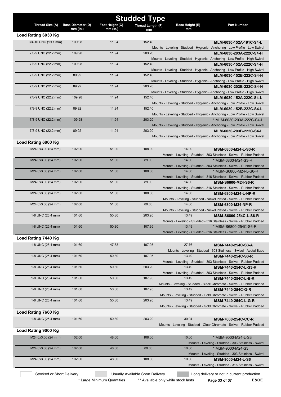| <b>Studded Type</b>       |                                                   |                               |                                  |                              |                                                                                                           |
|---------------------------|---------------------------------------------------|-------------------------------|----------------------------------|------------------------------|-----------------------------------------------------------------------------------------------------------|
| Thread Size (A)           | <b>Base Diameter (D)</b><br>$\overline{mm}$ (in.) | Foot Height (C)<br>$mm$ (in.) | Thread Length (F)<br>mm          | <b>Base Height (E)</b><br>mm | <b>Part Number</b>                                                                                        |
| Load Rating 6030 Kg       |                                                   |                               |                                  |                              |                                                                                                           |
| 3/4-10 UNC (19.1 mm)      | 109.98                                            | 11.94                         | 152.40                           |                              | MLM-6030-152A-191C-S4-L                                                                                   |
|                           |                                                   |                               |                                  |                              | Mounts - Leveling - Studded - Hygienic - Anchoring - Low Profile - Low Swivel                             |
| 7/8-9 UNC (22.2 mm)       | 109.98                                            | 11.94                         | 203.20                           |                              | MLM-6030-203A-222C-S4-H                                                                                   |
|                           |                                                   |                               |                                  |                              | Mounts - Leveling - Studded - Hygienic - Anchoring - Low Profile - High Swivel                            |
| 7/8-9 UNC (22.2 mm)       | 109.98                                            | 11.94                         | 152.40                           |                              | MLM-6030-152A-222C-S4-H                                                                                   |
| 7/8-9 UNC (22.2 mm)       | 89.92                                             | 11.94                         | 152.40                           |                              | Mounts - Leveling - Studded - Hygienic - Anchoring - Low Profile - High Swivel                            |
|                           |                                                   |                               |                                  |                              | MLM-6030-152B-222C-S4-H<br>Mounts - Leveling - Studded - Hygienic - Anchoring - Low Profile - High Swivel |
| 7/8-9 UNC (22.2 mm)       | 89.92                                             | 11.94                         | 203.20                           |                              | MLM-6030-203B-222C-S4-H                                                                                   |
|                           |                                                   |                               |                                  |                              | Mounts - Leveling - Studded - Hygienic - Anchoring - Low Profile - High Swivel                            |
| 7/8-9 UNC (22.2 mm)       | 109.98                                            | 11.94                         | 152.40                           |                              | MLM-6030-152A-222C-S4-L                                                                                   |
|                           |                                                   |                               |                                  |                              | Mounts - Leveling - Studded - Hygienic - Anchoring - Low Profile - Low Swivel                             |
| 7/8-9 UNC (22.2 mm)       | 89.92                                             | 11.94                         | 152.40                           |                              | MLM-6030-152B-222C-S4-L                                                                                   |
|                           |                                                   |                               |                                  |                              | Mounts - Leveling - Studded - Hygienic - Anchoring - Low Profile - Low Swivel                             |
| 7/8-9 UNC (22.2 mm)       | 109.98                                            | 11.94                         | 203.20                           |                              | * MLM-6030-203A-222C-S4-L                                                                                 |
|                           |                                                   |                               |                                  |                              | Mounts - Leveling - Studded - Hygienic - Anchoring - Low Profile - Low Swivel                             |
| 7/8-9 UNC (22.2 mm)       | 89.92                                             | 11.94                         | 203.20                           |                              | MLM-6030-203B-222C-S4-L                                                                                   |
|                           |                                                   |                               |                                  |                              | Mounts - Leveling - Studded - Hygienic - Anchoring - Low Profile - Low Swivel                             |
| Load Rating 6800 Kg       |                                                   |                               |                                  |                              |                                                                                                           |
| M24.0x3.00 (24 mm)        | 102.00                                            | 51.00                         | 108.00                           | 14.00                        | MSM-6800-M24-L-S3-R                                                                                       |
|                           |                                                   |                               |                                  |                              | Mounts - Leveling - Studded - 303 Stainless - Swivel - Rubber Padded                                      |
| M24.0x3.00 (24 mm)        | 102.00                                            | 51.00                         | 89.00                            | 14.00                        | * MSM-6800-M24-S3-R<br>Mounts - Leveling - Studded - 303 Stainless - Swivel - Rubber Padded               |
| M24.0x3.00 (24 mm)        | 102.00                                            | 51.00                         | 108.00                           | 14.00                        | * MSM-S6800-M24-L-S6-R                                                                                    |
|                           |                                                   |                               |                                  |                              | Mounts - Leveling - Studded - 316 Stainless - Swivel - Rubber Padded                                      |
| M24.0x3.00 (24 mm)        | 102.00                                            | 51.00                         | 89.00                            | 14.00                        | MSM-S6800-M24-S6-R                                                                                        |
|                           |                                                   |                               |                                  |                              | Mounts - Leveling - Studded - 316 Stainless - Swivel - Rubber Padded                                      |
| M24.0x3.00 (24 mm)        | 102.00                                            | 51.00                         | 108.00                           | 14.00                        | MSM-6800-M24-L-NP-R                                                                                       |
|                           |                                                   |                               |                                  |                              | Mounts - Leveling - Studded - Nickel Plated - Swivel - Rubber Padded                                      |
| M24.0x3.00 (24 mm)        | 102.00                                            | 51.00                         | 89.00                            | 14.00                        | <b>MSM-6800-M24-NP-R</b>                                                                                  |
|                           |                                                   |                               |                                  |                              | Mounts - Leveling - Studded - Nickel Plated - Swivel - Rubber Padded                                      |
| 1-8 UNC (25.4 mm)         | 101.60                                            | 50.80                         | 203.20                           | 13.49                        | MSM-S6800-254C-L-S6-R                                                                                     |
|                           | 101.60                                            | 50.80                         |                                  | 13.49                        | Mounts - Leveling - Studded - 316 Stainless - Swivel - Rubber Padded                                      |
| 1-8 UNC (25.4 mm)         |                                                   |                               | 107.95                           |                              | * MSM-S6800-254C-S6-R<br>Mounts - Leveling - Studded - 316 Stainless - Swivel - Rubber Padded             |
| Load Rating 7440 Kg       |                                                   |                               |                                  |                              |                                                                                                           |
|                           |                                                   |                               |                                  |                              |                                                                                                           |
| 1-8 UNC (25.4 mm)         | 101.60                                            | 47.63                         | 107.95                           | 27.76                        | MSM-7440-254C-S3-A                                                                                        |
| 1-8 UNC (25.4 mm)         | 101.60                                            | 50.80                         | 107.95                           | 13.49                        | Mounts - Leveling - Studded - 303 Stainless - Swivel - Acetal Base                                        |
|                           |                                                   |                               |                                  |                              | MSM-7440-254C-S3-R<br>Mounts - Leveling - Studded - 303 Stainless - Swivel - Rubber Padded                |
| 1-8 UNC (25.4 mm)         | 101.60                                            | 50.80                         | 203.20                           | 13.49                        | MSM-7440-254C-L-S3-R                                                                                      |
|                           |                                                   |                               |                                  |                              | Mounts - Leveling - Studded - 303 Stainless - Swivel - Rubber Padded                                      |
| 1-8 UNC (25.4 mm)         | 101.60                                            | 50.80                         | 107.95                           | 13.49                        | MSM-7440-254C-L-B-R                                                                                       |
|                           |                                                   |                               |                                  |                              | Mounts - Leveling - Studded - Black Chromate - Swivel - Rubber Padded                                     |
| 1-8 UNC (25.4 mm)         | 101.60                                            | 50.80                         | 107.95                           | 13.49                        | <b>MSM-7440-254C-G-R</b>                                                                                  |
|                           |                                                   |                               |                                  |                              | Mounts - Leveling - Studded - Gold Chromate - Swivel - Rubber Padded                                      |
| 1-8 UNC (25.4 mm)         | 101.60                                            | 50.80                         | 203.20                           | 13.49                        | MSM-7440-254C-L-G-R                                                                                       |
|                           |                                                   |                               |                                  |                              | Mounts - Leveling - Studded - Gold Chromate - Swivel - Rubber Padded                                      |
| Load Rating 7660 Kg       |                                                   |                               |                                  |                              |                                                                                                           |
| 1-8 UNC (25.4 mm)         | 101.60                                            | 50.80                         | 203.20                           | 30.94                        | <b>MSM-7660-254C-CC-R</b>                                                                                 |
|                           |                                                   |                               |                                  |                              | Mounts - Leveling - Studded - Clear Chromate - Swivel - Rubber Padded                                     |
| Load Rating 9000 Kg       |                                                   |                               |                                  |                              |                                                                                                           |
| M24.0x3.00 (24 mm)        | 102.00                                            | 48.00                         | 108.00                           | 10.00                        | * MSM-9000-M24-L-S3                                                                                       |
|                           |                                                   |                               |                                  |                              | Mounts - Leveling - Studded - 303 Stainless - Swivel                                                      |
| M24.0x3.00 (24 mm)        | 102.00                                            | 48.00                         | 89.00                            | 10.00                        | * MSM-9000-M24-S3                                                                                         |
|                           |                                                   |                               |                                  |                              | Mounts - Leveling - Studded - 303 Stainless - Swivel                                                      |
| M24.0x3.00 (24 mm)        | 102.00                                            | 48.00                         | 108.00                           | 10.00                        | MSM-9000-M24-L-S6                                                                                         |
|                           |                                                   |                               |                                  |                              | Mounts - Leveling - Studded - 316 Stainless - Swivel                                                      |
| Stocked or Short Delivery |                                                   |                               | Usually Available Short Delivery |                              | Long delivery or not in current production                                                                |

\* Large Minimum Quantities \*\* Available only while stock lasts **Page 33 of 37 E&OE**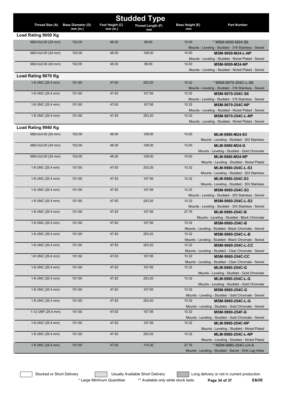| <b>Studded Type</b> |                          |                 |                   |                        |                                                                                  |  |
|---------------------|--------------------------|-----------------|-------------------|------------------------|----------------------------------------------------------------------------------|--|
| Thread Size (A)     | <b>Base Diameter (D)</b> | Foot Height (C) | Thread Length (F) | <b>Base Height (E)</b> | <b>Part Number</b>                                                               |  |
|                     | $mm$ (in.)               | $mm$ (in.)      | mm                | mm                     |                                                                                  |  |
| Load Rating 9000 Kg |                          |                 |                   |                        |                                                                                  |  |
| M24.0x3.00 (24 mm)  | 102.00                   | 48.00           | 89.00             | 10.00                  | * MSM-9000-M24-S6                                                                |  |
| M24.0x3.00 (24 mm)  | 102.00                   | 48.00           | 108.00            | 10.00                  | Mounts - Leveling - Studded - 316 Stainless - Swivel<br><b>MSM-9000-M24-L-NP</b> |  |
|                     |                          |                 |                   |                        | Mounts - Leveling - Studded - Nickel Plated - Swivel                             |  |
| M24.0x3.00 (24 mm)  | 102.00                   | 48.00           | 89.00             | 10.00                  | <b>MSM-9000-M24-NP</b>                                                           |  |
|                     |                          |                 |                   |                        | Mounts - Leveling - Studded - Nickel Plated - Swivel                             |  |
| Load Rating 9070 Kg |                          |                 |                   |                        |                                                                                  |  |
|                     |                          |                 |                   |                        |                                                                                  |  |
| 1-8 UNC (25.4 mm)   | 101.60                   | 47.63           | 203.20            | 10.32                  | * MSM-9070-254C-L-S6                                                             |  |
| 1-8 UNC (25.4 mm)   | 101.60                   | 47.63           | 107.95            | 10.32                  | Mounts - Leveling - Studded - 316 Stainless - Swivel<br>MSM-9070-254C-S6         |  |
|                     |                          |                 |                   |                        | Mounts - Leveling - Studded - 316 Stainless - Swivel                             |  |
| 1-8 UNC (25.4 mm)   | 101.60                   | 47.63           | 107.95            | 10.32                  | <b>MSM-9070-254C-NP</b>                                                          |  |
|                     |                          |                 |                   |                        | Mounts - Leveling - Studded - Nickel Plated - Swivel                             |  |
| 1-8 UNC (25.4 mm)   | 101.60                   | 47.63           | 203.20            | 10.32                  | MSM-9070-254C-L-NP                                                               |  |
|                     |                          |                 |                   |                        | Mounts - Leveling - Studded - Nickel Plated - Swivel                             |  |
| Load Rating 9980 Kg |                          |                 |                   |                        |                                                                                  |  |
| M24.0x3.00 (24 mm)  | 102.00                   | 48.00           | 108.00            | 10.00                  | MLM-9980-M24-S3                                                                  |  |
|                     |                          |                 |                   |                        | Mounts - Leveling - Studded - 303 Stainless                                      |  |
| M24.0x3.00 (24 mm)  | 102.00                   | 48.00           | 108.00            | 10.00                  | MLM-9980-M24-G                                                                   |  |
|                     |                          |                 |                   |                        | Mounts - Leveling - Studded - Gold Chromate                                      |  |
| M24.0x3.00 (24 mm)  | 102.00                   | 48.00           | 108.00            | 10.00                  | <b>MLM-9980-M24-NP</b>                                                           |  |
|                     |                          |                 |                   |                        | Mounts - Leveling - Studded - Nickel Plated                                      |  |
| 1-8 UNC (25.4 mm)   | 101.60                   | 47.63           | 203.20            | 10.32                  | MLM-9980-254C-L-S3                                                               |  |
|                     |                          |                 |                   |                        | Mounts - Leveling - Studded - 303 Stainless                                      |  |
| 1-8 UNC (25.4 mm)   | 101.60                   | 47.63           | 107.95            | 10.32                  | MLM-9980-254C-S3                                                                 |  |
|                     |                          |                 |                   |                        | Mounts - Leveling - Studded - 303 Stainless                                      |  |
| 1-8 UNC (25.4 mm)   | 101.60                   | 47.63           | 107.95            | 10.32                  | MSM-9980-254C-S3                                                                 |  |
|                     |                          |                 |                   |                        | Mounts - Leveling - Studded - 303 Stainless - Swivel                             |  |
| 1-8 UNC (25.4 mm)   | 101.60                   | 47.63           | 203.20            | 10.32                  | MSM-9980-254C-L-S3                                                               |  |
|                     |                          |                 |                   |                        | Mounts - Leveling - Studded - 303 Stainless - Swivel                             |  |
| 1-8 UNC (25.4 mm)   | 101.60                   | 47.63           | 107.95            | 27.76                  | <b>MLM-9980-254C-B</b>                                                           |  |
|                     |                          |                 |                   |                        | Mounts - Leveling - Studded - Black Chromate                                     |  |
| 1-8 UNC (25.4 mm)   | 101.60                   | 47.63           | 107.95            | 10.32                  | <b>MSM-9980-254C-B</b>                                                           |  |
| 1-8 UNC (25.4 mm)   | 101.60                   | 47.63           | 203.20            | 10.32                  | Mounts - Leveling - Studded - Black Chromate - Swivel<br>MSM-9980-254C-L-B       |  |
|                     |                          |                 |                   |                        | Mounts - Leveling - Studded - Black Chromate - Swivel                            |  |
| 1-8 UNC (25.4 mm)   | 101.60                   | 47.63           | 203.20            | 10.32                  | MSM-9980-254C-L-CC                                                               |  |
|                     |                          |                 |                   |                        | Mounts - Leveling - Studded - Clear Chromate - Swivel                            |  |
| 1-8 UNC (25.4 mm)   | 101.60                   | 47.63           | 107.95            | 10.32                  | <b>MSM-9980-254C-CC</b>                                                          |  |
|                     |                          |                 |                   |                        | Mounts - Leveling - Studded - Clear Chromate - Swivel                            |  |
| 1-8 UNC (25.4 mm)   | 101.60                   | 47.63           | 107.95            | 10.32                  | MLM-9980-254C-G                                                                  |  |
|                     |                          |                 |                   |                        | Mounts - Leveling - Studded - Gold Chromate                                      |  |
| 1-8 UNC (25.4 mm)   | 101.60                   | 47.63           | 203.20            | 10.32                  | MLM-9980-254C-L-G                                                                |  |
|                     |                          |                 |                   |                        | Mounts - Leveling - Studded - Gold Chromate                                      |  |
| 1-8 UNC (25.4 mm)   | 101.60                   | 47.63           | 107.95            | 10.32                  | MSM-9980-254C-G                                                                  |  |
|                     |                          |                 |                   |                        | Mounts - Leveling - Studded - Gold Chromate - Swivel                             |  |
| 1-8 UNC (25.4 mm)   | 101.60                   | 47.63           | 203.20            | 10.32                  | MSM-9980-254C-L-G                                                                |  |
|                     |                          |                 |                   |                        | Mounts - Leveling - Studded - Gold Chromate - Swivel                             |  |
| 1-12 UNF (25.4 mm)  | 101.60                   | 47.63           | 107.95            | 10.32                  | MSM-9980-254F-G                                                                  |  |
|                     |                          | 47.63           | 107.95            |                        | Mounts - Leveling - Studded - Gold Chromate - Swivel                             |  |
| 1-8 UNC (25.4 mm)   | 101.60                   |                 |                   | 10.32                  | MLM-9980-254C-NP                                                                 |  |
| 1-8 UNC (25.4 mm)   | 101.60                   | 47.63           | 203.20            | 10.32                  | Mounts - Leveling - Studded - Nickel Plated<br>MLM-9980-254C-L-NP                |  |
|                     |                          |                 |                   |                        | Mounts - Leveling - Studded - Nickel Plated                                      |  |
| 1-8 UNC (25.4 mm)   | 101.60                   | 47.63           | 114.30            | 27.76                  | * MSM-9980-254C-LH-A                                                             |  |
|                     |                          |                 |                   |                        | Mounts - Leveling - Studded - Swivel - With Lag Holes                            |  |
|                     |                          |                 |                   |                        |                                                                                  |  |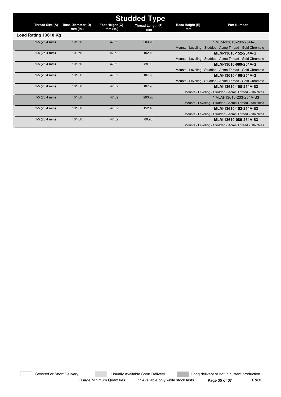| <b>Studded Type</b>  |                                        |                               |                         |                              |                                                           |  |  |  |
|----------------------|----------------------------------------|-------------------------------|-------------------------|------------------------------|-----------------------------------------------------------|--|--|--|
| Thread Size (A)      | <b>Base Diameter (D)</b><br>$mm$ (in.) | Foot Height (C)<br>$mm$ (in.) | Thread Length (F)<br>mm | <b>Base Height (E)</b><br>mm | <b>Part Number</b>                                        |  |  |  |
| Load Rating 13610 Kg |                                        |                               |                         |                              |                                                           |  |  |  |
| $1-5(25.4$ mm)       | 101.60                                 | 47.62                         | 203.20                  |                              | * MLM-13610-203-254A-G                                    |  |  |  |
|                      |                                        |                               |                         |                              | Mounts - Leveling - Studded - Acme Thread - Gold Chromate |  |  |  |
| $1-5(25.4$ mm)       | 101.60                                 | 47.62                         | 152.40                  |                              | MLM-13610-152-254A-G                                      |  |  |  |
|                      |                                        |                               |                         |                              | Mounts - Leveling - Studded - Acme Thread - Gold Chromate |  |  |  |
| $1-5(25.4$ mm)       | 101.60                                 | 47.62                         | 88.90                   |                              | MLM-13610-089-254A-G                                      |  |  |  |
|                      |                                        |                               |                         |                              | Mounts - Leveling - Studded - Acme Thread - Gold Chromate |  |  |  |
| $1-5(25.4$ mm)       | 101.60                                 | 47.62                         | 107.95                  |                              | MLM-13610-108-254A-G                                      |  |  |  |
|                      |                                        |                               |                         |                              | Mounts - Leveling - Studded - Acme Thread - Gold Chromate |  |  |  |
| $1-5(25.4$ mm)       | 101.60                                 | 47.62                         | 107.95                  |                              | MLM-13610-108-254A-S3                                     |  |  |  |
|                      |                                        |                               |                         |                              | Mounts - Leveling - Studded - Acme Thread - Stainless     |  |  |  |
| $1-5(25.4$ mm)       | 101.60                                 | 47.62                         | 203.20                  |                              | * MLM-13610-203-254A-S3                                   |  |  |  |
|                      |                                        |                               |                         |                              | Mounts - Leveling - Studded - Acme Thread - Stainless     |  |  |  |
| $1-5(25.4$ mm)       | 101.60                                 | 47.62                         | 152.40                  |                              | MLM-13610-152-254A-S3                                     |  |  |  |
|                      |                                        |                               |                         |                              | Mounts - Leveling - Studded - Acme Thread - Stainless     |  |  |  |
| $1-5(25.4$ mm)       | 101.60                                 | 47.62                         | 88.90                   |                              | MLM-13610-089-254A-S3                                     |  |  |  |
|                      |                                        |                               |                         |                              | Mounts - Leveling - Studded - Acme Thread - Stainless     |  |  |  |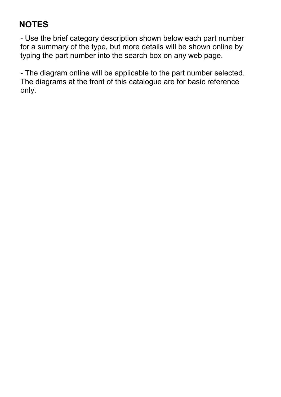### NOTES

- Use the brief category description shown below each part number for a summary of the type, but more details will be shown online by typing the part number into the search box on any web page.

- The diagram online will be applicable to the part number selected. The diagrams at the front of this catalogue are for basic reference only.